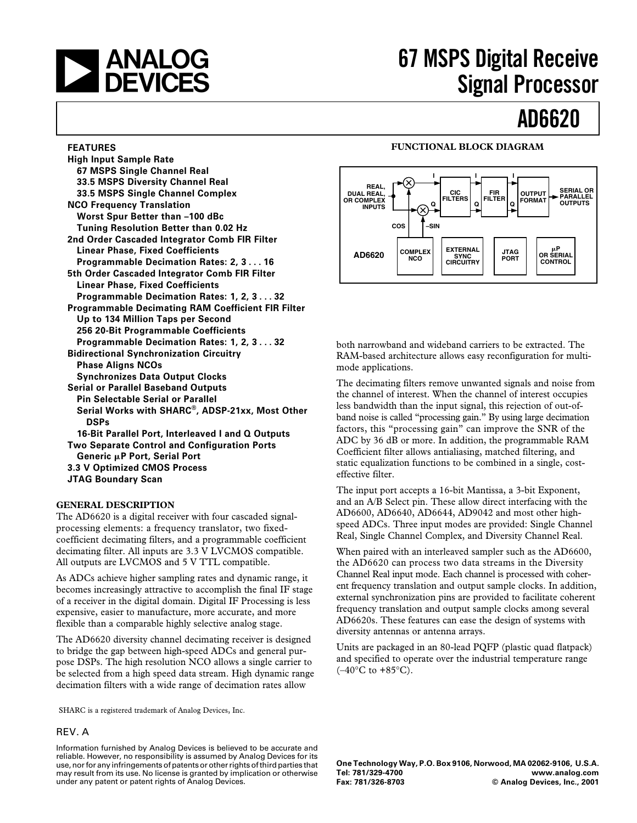

# **67 MSPS Digital Receive Signal Processor**

# **AD6620**

#### **FEATURES**

**High Input Sample Rate 67 MSPS Single Channel Real 33.5 MSPS Diversity Channel Real 33.5 MSPS Single Channel Complex NCO Frequency Translation Worst Spur Better than –100 dBc Tuning Resolution Better than 0.02 Hz 2nd Order Cascaded Integrator Comb FIR Filter Linear Phase, Fixed Coefficients Programmable Decimation Rates: 2, 3 . . . 16 5th Order Cascaded Integrator Comb FIR Filter Linear Phase, Fixed Coefficients Programmable Decimation Rates: 1, 2, 3 . . . 32 Programmable Decimating RAM Coefficient FIR Filter Up to 134 Million Taps per Second 256 20-Bit Programmable Coefficients Programmable Decimation Rates: 1, 2, 3 . . . 32 Bidirectional Synchronization Circuitry Phase Aligns NCOs Synchronizes Data Output Clocks Serial or Parallel Baseband Outputs Pin Selectable Serial or Parallel Serial Works with SHARC®, ADSP-21xx, Most Other DSPs 16-Bit Parallel Port, Interleaved I and Q Outputs Two Separate Control and Configuration Ports Generic P Port, Serial Port 3.3 V Optimized CMOS Process JTAG Boundary Scan**

#### **GENERAL DESCRIPTION**

The AD6620 is a digital receiver with four cascaded signalprocessing elements: a frequency translator, two fixedcoefficient decimating filters, and a programmable coefficient decimating filter. All inputs are 3.3 V LVCMOS compatible. All outputs are LVCMOS and 5 V TTL compatible.

As ADCs achieve higher sampling rates and dynamic range, it becomes increasingly attractive to accomplish the final IF stage of a receiver in the digital domain. Digital IF Processing is less expensive, easier to manufacture, more accurate, and more flexible than a comparable highly selective analog stage.

The AD6620 diversity channel decimating receiver is designed to bridge the gap between high-speed ADCs and general purpose DSPs. The high resolution NCO allows a single carrier to be selected from a high speed data stream. High dynamic range decimation filters with a wide range of decimation rates allow

SHARC is a registered trademark of Analog Devices, Inc.

#### REV. A

Information furnished by Analog Devices is believed to be accurate and reliable. However, no responsibility is assumed by Analog Devices for its use, nor for any infringements of patents or other rights of third parties that may result from its use. No license is granted by implication or otherwise under any patent or patent rights of Analog Devices.

#### **FUNCTIONAL BLOCK DIAGRAM**



both narrowband and wideband carriers to be extracted. The RAM-based architecture allows easy reconfiguration for multimode applications.

The decimating filters remove unwanted signals and noise from the channel of interest. When the channel of interest occupies less bandwidth than the input signal, this rejection of out-ofband noise is called "processing gain." By using large decimation factors, this "processing gain" can improve the SNR of the ADC by 36 dB or more. In addition, the programmable RAM Coefficient filter allows antialiasing, matched filtering, and static equalization functions to be combined in a single, costeffective filter.

The input port accepts a 16-bit Mantissa, a 3-bit Exponent, and an A/B Select pin. These allow direct interfacing with the AD6600, AD6640, AD6644, AD9042 and most other highspeed ADCs. Three input modes are provided: Single Channel Real, Single Channel Complex, and Diversity Channel Real.

When paired with an interleaved sampler such as the AD6600, the AD6620 can process two data streams in the Diversity Channel Real input mode. Each channel is processed with coherent frequency translation and output sample clocks. In addition, external synchronization pins are provided to facilitate coherent frequency translation and output sample clocks among several AD6620s. These features can ease the design of systems with diversity antennas or antenna arrays.

Units are packaged in an 80-lead PQFP (plastic quad flatpack) and specified to operate over the industrial temperature range  $(-40^{\circ}$ C to  $+85^{\circ}$ C).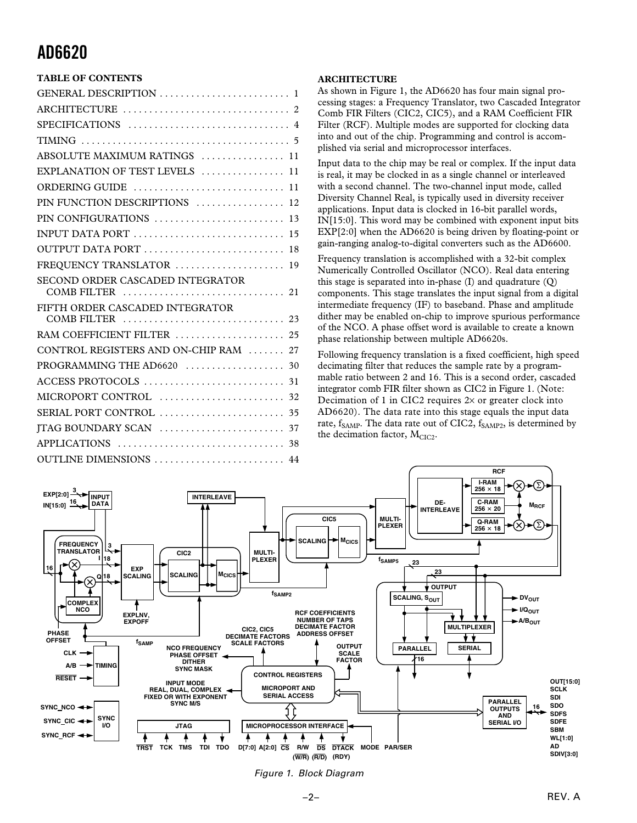## **TABLE OF CONTENTS**

| ABSOLUTE MAXIMUM RATINGS  11          |
|---------------------------------------|
| EXPLANATION OF TEST LEVELS  11        |
|                                       |
| PIN FUNCTION DESCRIPTIONS  12         |
| PIN CONFIGURATIONS  13                |
|                                       |
| OUTPUT DATA PORT  18                  |
| FREQUENCY TRANSLATOR  19              |
| SECOND ORDER CASCADED INTEGRATOR      |
| FIFTH ORDER CASCADED INTEGRATOR       |
| RAM COEFFICIENT FILTER  25            |
| CONTROL REGISTERS AND ON-CHIP RAM  27 |
|                                       |
|                                       |
|                                       |
|                                       |
|                                       |
|                                       |
| OUTLINE DIMENSIONS  44                |

#### **ARCHITECTURE**

As shown in Figure 1, the AD6620 has four main signal processing stages: a Frequency Translator, two Cascaded Integrator Comb FIR Filters (CIC2, CIC5), and a RAM Coefficient FIR Filter (RCF). Multiple modes are supported for clocking data into and out of the chip. Programming and control is accomplished via serial and microprocessor interfaces.

Input data to the chip may be real or complex. If the input data is real, it may be clocked in as a single channel or interleaved with a second channel. The two-channel input mode, called Diversity Channel Real, is typically used in diversity receiver applications. Input data is clocked in 16-bit parallel words, IN[15:0]. This word may be combined with exponent input bits EXP[2:0] when the AD6620 is being driven by floating-point or gain-ranging analog-to-digital converters such as the AD6600.

Frequency translation is accomplished with a 32-bit complex Numerically Controlled Oscillator (NCO). Real data entering this stage is separated into in-phase (I) and quadrature (Q) components. This stage translates the input signal from a digital intermediate frequency (IF) to baseband. Phase and amplitude dither may be enabled on-chip to improve spurious performance of the NCO. A phase offset word is available to create a known phase relationship between multiple AD6620s.

Following frequency translation is a fixed coefficient, high speed decimating filter that reduces the sample rate by a programmable ratio between 2 and 16. This is a second order, cascaded integrator comb FIR filter shown as CIC2 in Figure 1. (Note: Decimation of 1 in CIC2 requires  $2 \times$  or greater clock into AD6620). The data rate into this stage equals the input data rate,  $f_{SAMP}$ . The data rate out of CIC2,  $f_{SAMP2}$ , is determined by the decimation factor,  $M<sub>CIC2</sub>$ .



Figure 1. Block Diagram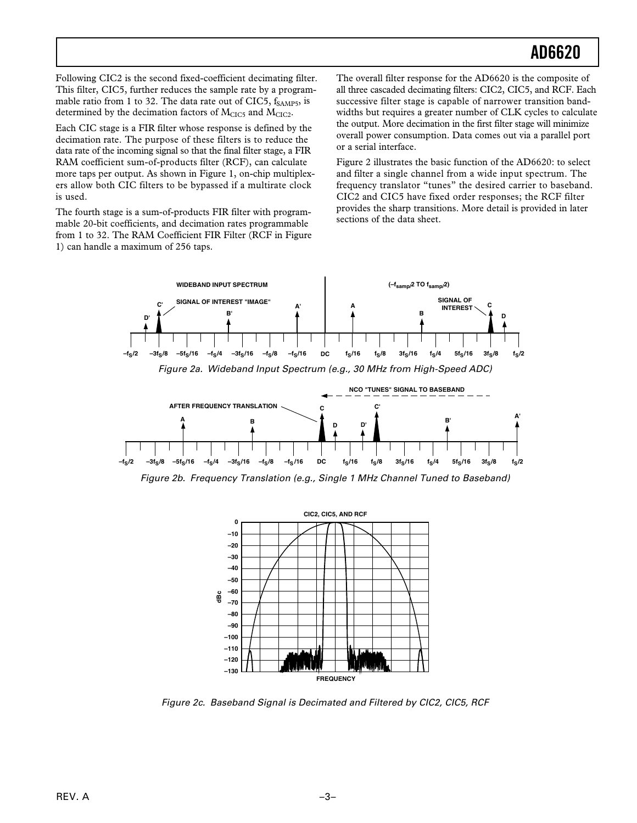Following CIC2 is the second fixed-coefficient decimating filter. This filter, CIC5, further reduces the sample rate by a programmable ratio from 1 to 32. The data rate out of CIC5,  $f_{SAMP5}$ , is determined by the decimation factors of  $M<sub>CIC5</sub>$  and  $M<sub>CIC2</sub>$ .

Each CIC stage is a FIR filter whose response is defined by the decimation rate. The purpose of these filters is to reduce the data rate of the incoming signal so that the final filter stage, a FIR RAM coefficient sum-of-products filter (RCF), can calculate more taps per output. As shown in Figure 1, on-chip multiplexers allow both CIC filters to be bypassed if a multirate clock is used.

The fourth stage is a sum-of-products FIR filter with programmable 20-bit coefficients, and decimation rates programmable from 1 to 32. The RAM Coefficient FIR Filter (RCF in Figure 1) can handle a maximum of 256 taps.

The overall filter response for the AD6620 is the composite of all three cascaded decimating filters: CIC2, CIC5, and RCF. Each successive filter stage is capable of narrower transition bandwidths but requires a greater number of CLK cycles to calculate the output. More decimation in the first filter stage will minimize overall power consumption. Data comes out via a parallel port or a serial interface.

Figure 2 illustrates the basic function of the AD6620: to select and filter a single channel from a wide input spectrum. The frequency translator "tunes" the desired carrier to baseband. CIC2 and CIC5 have fixed order responses; the RCF filter provides the sharp transitions. More detail is provided in later sections of the data sheet.





Figure 2b. Frequency Translation (e.g., Single 1 MHz Channel Tuned to Baseband)



Figure 2c. Baseband Signal is Decimated and Filtered by CIC2, CIC5, RCF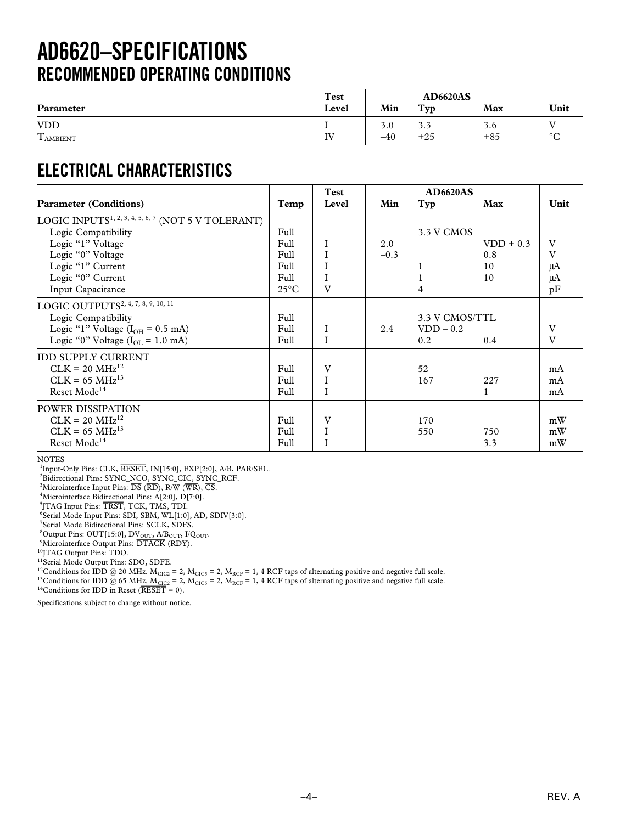## **AD6620–SPECIFICATIONS RECOMMENDED OPERATING CONDITIONS**

|                                  | Test  |       | <b>AD6620AS</b> |       |              |
|----------------------------------|-------|-------|-----------------|-------|--------------|
| Parameter                        | Level | Min   | Typ             | Max   | Unit         |
| <b>VDD</b>                       |       | 3.0   | د.د             | 3.6   | т.           |
| $\mathbf{r}$<br><b>L</b> AMBIENT | IV    | $-40$ | $+25$           | $+85$ | $\circ$<br>◡ |

## **ELECTRICAL CHARACTERISTICS**

|                                                                |                | Test  |        | <b>AD6620AS</b> |             |      |
|----------------------------------------------------------------|----------------|-------|--------|-----------------|-------------|------|
| <b>Parameter (Conditions)</b>                                  | Temp           | Level | Min    | Typ             | Max         | Unit |
| LOGIC INPUTS <sup>1, 2, 3, 4, 5, 6, 7</sup> (NOT 5 V TOLERANT) |                |       |        |                 |             |      |
| Logic Compatibility                                            | Full           |       |        | 3.3 V CMOS      |             |      |
| Logic "1" Voltage                                              | Full           |       | 2.0    |                 | $VDD + 0.3$ | V    |
| Logic "0" Voltage                                              | Full           |       | $-0.3$ |                 | 0.8         | V    |
| Logic "1" Current                                              | Full           |       |        |                 | 10          | μA   |
| Logic "0" Current                                              | Full           |       |        |                 | 10          | μA   |
| Input Capacitance                                              | $25^{\circ}$ C | V     |        | 4               |             | pF   |
| LOGIC OUTPUTS <sup>2, 4, 7, 8, 9, 10, 11</sup>                 |                |       |        |                 |             |      |
| Logic Compatibility                                            | Full           |       |        | 3.3 V CMOS/TTL  |             |      |
| Logic "1" Voltage $(I_{OH} = 0.5$ mA)                          | Full           | I     | 2.4    | $VDD - 0.2$     |             | V    |
| Logic "0" Voltage $(I_{\text{or}} = 1.0 \text{ mA})$           | Full           |       |        | 0.2             | 0.4         | V    |
| <b>IDD SUPPLY CURRENT</b>                                      |                |       |        |                 |             |      |
| $CLK = 20 MHz^{12}$                                            | Full           | V     |        | 52              |             | mA   |
| $CLK = 65 MHz^{13}$                                            | Full           |       |        | 167             | 227         | mA   |
| Reset Mode <sup>14</sup>                                       | Full           | I     |        |                 | 1           | mA   |
| POWER DISSIPATION                                              |                |       |        |                 |             |      |
| $CLK = 20 MHz^{12}$                                            | Full           | V     |        | 170             |             | mW   |
| $CLK = 65 MHz^{13}$                                            | Full           |       |        | 550             | 750         | mW   |
| Reset Mode <sup>14</sup>                                       | Full           |       |        |                 | 3.3         | mW   |

NOTES

<sup>1</sup>Input-Only Pins: CLK, **RESET**, **IN**[15:0], **EXP**[2:0], A/B, PAR/SEL.

2 Bidirectional Pins: SYNC\_NCO, SYNC\_CIC, SYNC\_RCF.

3 Microinterface Input Pins: *DS* (*RD*), R/W (*WR*), *CS*.

4 Microinterface Bidirectional Pins: A[2:0], D[7:0].

5 JTAG Input Pins: *TRST*, TCK, TMS, TDI.

6 Serial Mode Input Pins: SDI, SBM, WL[1:0], AD, SDIV[3:0].

7 Serial Mode Bidirectional Pins: SCLK, SDFS.

<sup>8</sup>Output Pins: OUT[15:0], DV<sub>OUT</sub>, A/B<sub>OUT</sub>, I/Q<sub>OUT</sub>.<br><sup>9</sup>Microinterface Output Pins: DTACK (RDY).

 $\rm ^{10}JTAG$  Output Pins: TDO.

<sup>11</sup>Serial Mode Output Pins: SDO, SDFE.

<sup>12</sup>Conditions for IDD @ 20 MHz.  $M_{CIC2} = 2$ ,  $M_{CIC5} = 2$ ,  $M_{RCF} = 1$ , 4 RCF taps of alternating positive and negative full scale.

<sup>13</sup>Conditions for IDD @ 65 MHz. M<sub>CIC2</sub> = 2, M<sub>CIC5</sub> = 2, M<sub>RCF</sub> = 1, 4 RCF taps of alternating positive and negative full scale.

14Conditions for IDD in Reset (*RESET* = 0).

Specifications subject to change without notice.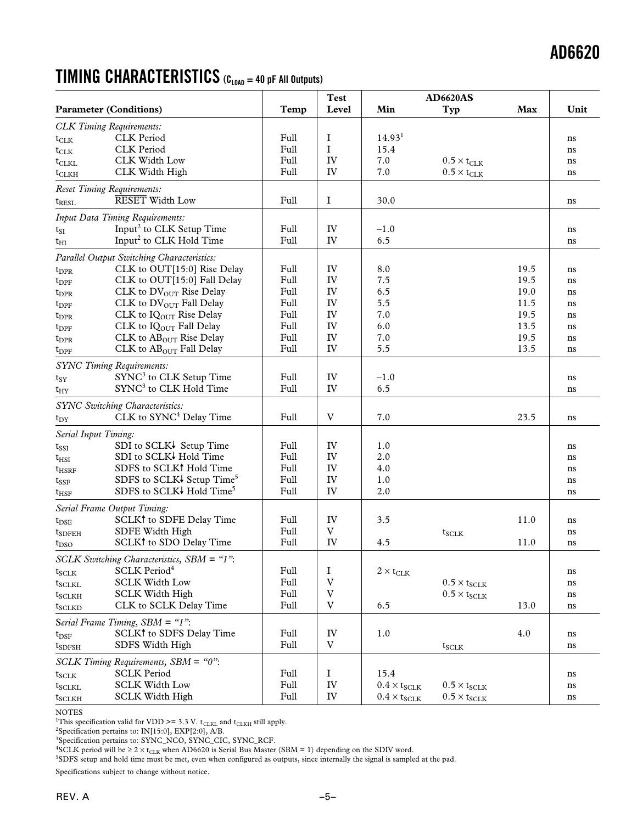## **TIMING CHARACTERISTICS (CLOAD = 40 pF All Outputs)**

|                      |                                            |      | <b>Test</b>               |                       | <b>AD6620AS</b>             |            |      |
|----------------------|--------------------------------------------|------|---------------------------|-----------------------|-----------------------------|------------|------|
|                      | <b>Parameter (Conditions)</b>              | Temp | Level                     | Min                   | Typ                         | <b>Max</b> | Unit |
|                      | <b>CLK</b> Timing Requirements:            |      |                           |                       |                             |            |      |
| $t_{CLK}$            | <b>CLK</b> Period                          | Full | $\bf{I}$                  | 14.93 <sup>1</sup>    |                             |            | ns   |
| $t_{CLK}$            | <b>CLK</b> Period                          | Full | $\mathbf I$               | 15.4                  |                             |            | ns   |
| $t_{\rm CLKL}$       | CLK Width Low                              | Full | IV                        | 7.0                   | $0.5 \times t_{\text{CLK}}$ |            | ns   |
| $t$ CLKH             | CLK Width High                             | Full | IV                        | 7.0                   | $0.5\times t_{\text{CLK}}$  |            | ns   |
|                      | <b>Reset Timing Requirements:</b>          |      |                           |                       |                             |            |      |
| $t_{\rm RESL}$       | <b>RESET</b> Width Low                     | Full | $\bf{I}$                  | 30.0                  |                             |            | ns   |
|                      | <b>Input Data Timing Requirements:</b>     |      |                           |                       |                             |            |      |
| $t_{SI}$             | Input <sup>2</sup> to CLK Setup Time       | Full | IV                        | $-1.0$                |                             |            | ns   |
| t <sub>HI</sub>      | Input <sup>2</sup> to CLK Hold Time        | Full | IV                        | 6.5                   |                             |            | ns   |
|                      | Parallel Output Switching Characteristics: |      |                           |                       |                             |            |      |
| $t_{\rm DPR}$        | CLK to OUT[15:0] Rise Delay                | Full | IV                        | 8.0                   |                             | 19.5       | ns   |
| $t_{\rm DPF}$        | CLK to OUT[15:0] Fall Delay                | Full | IV                        | 7.5                   |                             | 19.5       | ns   |
| $t_{\rm DPR}$        | CLK to DV <sub>OUT</sub> Rise Delay        | Full | IV                        | 6.5                   |                             | 19.0       | ns   |
| $t_{\rm DPF}$        | CLK to DVOUT Fall Delay                    | Full | IV                        | 5.5                   |                             | 11.5       | ns   |
| $t_{\rm DPR}$        | CLK to IQ <sub>OUT</sub> Rise Delay        | Full | IV                        | 7.0                   |                             | 19.5       | ns   |
| $t_{\rm DPF}$        | CLK to IQOUT Fall Delay                    | Full | IV                        | 6.0                   |                             | 13.5       | ns   |
| $t_{\rm DPR}$        | CLK to $ABOUT$ Rise Delay                  | Full | IV                        | 7.0                   |                             | 19.5       | ns   |
| $t_{\rm DPF}$        | CLK to AB <sub>OUT</sub> Fall Delay        | Full | IV                        | 5.5                   |                             | 13.5       | ns   |
|                      | <b>SYNC Timing Requirements:</b>           |      |                           |                       |                             |            |      |
| $t_{SY}$             | SYNC <sup>3</sup> to CLK Setup Time        | Full | IV                        | $-1.0$                |                             |            | ns   |
| $t_{\rm HY}$         | SYNC <sup>3</sup> to CLK Hold Time         | Full | IV                        | 6.5                   |                             |            | ns   |
|                      | <b>SYNC Switching Characteristics:</b>     |      |                           |                       |                             |            |      |
| $t_{DY}$             | CLK to SYNC <sup>4</sup> Delay Time        | Full | V                         | 7.0                   |                             | 23.5       | ns   |
| Serial Input Timing: |                                            |      |                           |                       |                             |            |      |
| $t_{\rm{SSI}}$       | SDI to SCLK↓ Setup Time                    | Full | IV                        | 1.0                   |                             |            | ns   |
| $t_{\rm HSI}$        | SDI to SCLK↓ Hold Time                     | Full | IV                        | 2.0                   |                             |            | ns   |
| $t_{HSRF}$           | SDFS to SCLK <sup>†</sup> Hold Time        | Full | IV                        | 4.0                   |                             |            | ns   |
| $t_{\rm SSF}$        | SDFS to SCLK↓ Setup Time <sup>5</sup>      | Full | IV                        | 1.0                   |                             |            | ns   |
| $\tau_{\rm HSF}$     | SDFS to SCLK↓ Hold Time <sup>5</sup>       | Full | IV                        | 2.0                   |                             |            | ns   |
|                      | Serial Frame Output Timing:                |      |                           |                       |                             |            |      |
| $t_{\rm DSE}$        | SCLK <sup>†</sup> to SDFE Delay Time       | Full | IV                        | 3.5                   |                             | 11.0       | ns   |
| $t_{SDFEH}$          | SDFE Width High                            | Full | $\ensuremath{\mathbf{V}}$ |                       | $t_{SCLK}$                  |            | ns   |
| $t_{\rm DSO}$        | SCLK <sup>†</sup> to SDO Delay Time        | Full | IV                        | 4.5                   |                             | 11.0       | ns   |
|                      | SCLK Switching Characteristics, SBM = "1": |      |                           |                       |                             |            |      |
| $t_{SCLK}$           | SCLK Period <sup>4</sup>                   | Full | $\mathbf I$               | $2 \times t_{CLK}$    |                             |            | ns   |
| $t_{SCLKL}$          | <b>SCLK Width Low</b>                      | Full | $\ensuremath{\text{V}}$   |                       | $0.5\times t_{SCLR}$        |            | ns   |
| $t_{SCLKH}$          | <b>SCLK Width High</b>                     | Full | $\ensuremath{\text{V}}$   |                       | $0.5 \times t_{SCLR}$       |            | ns   |
| $t_{SCLKD}$          | CLK to SCLK Delay Time                     | Full | $\ensuremath{\mathbf{V}}$ | 6.5                   |                             | 13.0       | ns   |
|                      | Serial Frame Timing, $SBM = "1"$ :         |      |                           |                       |                             |            |      |
| $t_{\rm{DSF}}$       | SCLK <sup>†</sup> to SDFS Delay Time       | Full | IV                        | 1.0                   |                             | 4.0        | ns   |
| $t_{\rm SDFSH}$      | SDFS Width High                            | Full | $\mathbf V$               |                       | $t_{SCLK}$                  |            | ns   |
|                      | SCLK Timing Requirements, SBM = "0":       |      |                           |                       |                             |            |      |
| $t_{SCLK}$           | <b>SCLK Period</b>                         | Full | $\bf{I}$                  | 15.4                  |                             |            | ns   |
| $t_{SCLKL}$          | <b>SCLK Width Low</b>                      | Full | IV                        | $0.4 \times t_{SCLK}$ | $0.5 \times t_{SCLK}$       |            | ns   |
| $t_{SCLKH}$          | <b>SCLK Width High</b>                     | Full | IV                        | $0.4\times t_{SCLR}$  | $0.5\times t_{\text{SCLR}}$ |            | ns   |

NOTES

<sup>1</sup>This specification valid for VDD >= 3.3 V. t<sub>CLKL</sub> and t<sub>CLKH</sub> still apply.<br><sup>2</sup>Specification pertains to: IN[15:0], EXP[2:0], A/B.

<sup>3</sup>Specification pertains to: SYNC\_NCO, SYNC\_CIC, SYNC\_RCF.<br><sup>4</sup>SCLK period will be ≥ 2 × t<sub>CLK</sub> when AD6620 is Serial Bus Master (SBM = 1) depending on the SDIV word.

5 SDFS setup and hold time must be met, even when configured as outputs, since internally the signal is sampled at the pad.

Specifications subject to change without notice.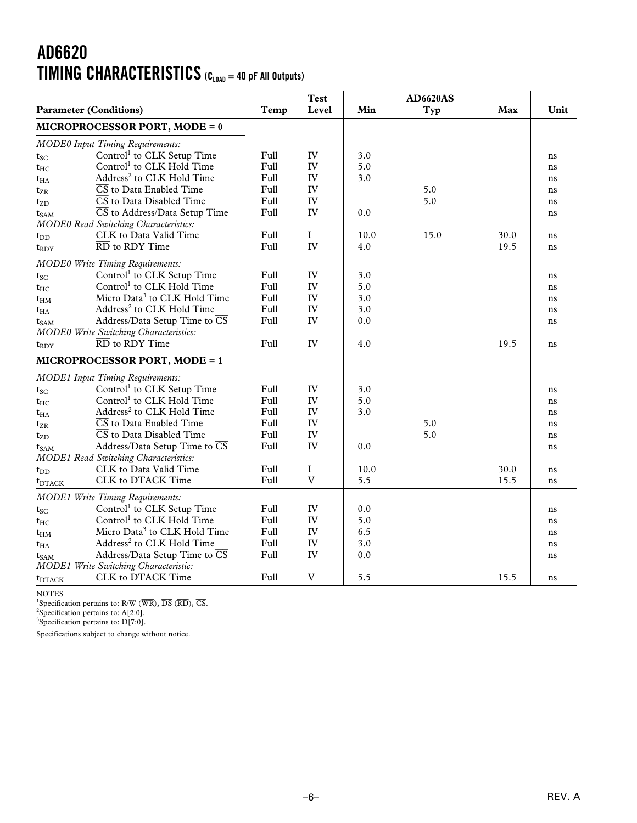## **AD6620 TIMING CHARACTERISTICS (CLOAD = 40 pF All Outputs)**

|                               |                                                   |      | <b>Test</b>               |      | <b>AD6620AS</b> |      |      |
|-------------------------------|---------------------------------------------------|------|---------------------------|------|-----------------|------|------|
| <b>Parameter (Conditions)</b> |                                                   | Temp | Level                     | Min  | Typ             | Max  | Unit |
|                               | <b>MICROPROCESSOR PORT, MODE = 0</b>              |      |                           |      |                 |      |      |
|                               | <b>MODE0</b> Input Timing Requirements:           |      |                           |      |                 |      |      |
| $t_{SC}$                      | Control <sup>1</sup> to CLK Setup Time            | Full | IV                        | 3.0  |                 |      | ns   |
| $t_{\rm HC}$                  | Control <sup>1</sup> to CLK Hold Time             | Full | IV                        | 5.0  |                 |      | ns   |
| $t_{HA}$                      | Address <sup>2</sup> to CLK Hold Time             | Full | IV                        | 3.0  |                 |      | ns   |
| t <sub>ZR</sub>               | $\overline{\text{CS}}$ to Data Enabled Time       | Full | IV                        |      | 5.0             |      | ns   |
| $t_{ZD}$                      | $\overline{\text{CS}}$ to Data Disabled Time      | Full | IV                        |      | 5.0             |      | ns   |
| $t_{\rm SAM}$                 | $\overline{\text{CS}}$ to Address/Data Setup Time | Full | IV                        | 0.0  |                 |      | ns   |
|                               | <b>MODE0</b> Read Switching Characteristics:      |      |                           |      |                 |      |      |
| $t_{\rm DD}$                  | CLK to Data Valid Time                            | Full | $\mathbf I$               | 10.0 | 15.0            | 30.0 | ns   |
| $t_{\rm RDY}$                 | $\overline{\text{RD}}$ to RDY Time                | Full | IV                        | 4.0  |                 | 19.5 | ns   |
|                               | <b>MODE0 Write Timing Requirements:</b>           |      |                           |      |                 |      |      |
| $t_{SC}$                      | Control <sup>1</sup> to CLK Setup Time            | Full | IV                        | 3.0  |                 |      | ns   |
| $t_{\rm HC}$                  | Control <sup>1</sup> to CLK Hold Time             | Full | IV                        | 5.0  |                 |      | ns   |
| $t_{HM}$                      | Micro Data <sup>3</sup> to CLK Hold Time          | Full | IV                        | 3.0  |                 |      | ns   |
| $\mathrm{t}_{\mathrm{HA}}$    | Address <sup>2</sup> to CLK Hold Time             | Full | IV                        | 3.0  |                 |      | ns   |
| $t_{SAM}$                     | Address/Data Setup Time to $\overline{\text{CS}}$ | Full | IV                        | 0.0  |                 |      | ns   |
|                               | <b>MODE0 Write Switching Characteristics:</b>     |      |                           |      |                 |      |      |
| $t_{\rm RDY}$                 | $\overline{\text{RD}}$ to RDY Time                | Full | IV                        | 4.0  |                 | 19.5 | ns   |
|                               | <b>MICROPROCESSOR PORT, MODE = 1</b>              |      |                           |      |                 |      |      |
|                               | <b>MODE1 Input Timing Requirements:</b>           |      |                           |      |                 |      |      |
| $t_{\rm SC}$                  | Control <sup>1</sup> to CLK Setup Time            | Full | IV                        | 3.0  |                 |      | ns   |
| $t_{HC}$                      | Control <sup>1</sup> to CLK Hold Time             | Full | IV                        | 5.0  |                 |      | ns   |
| $\mathrm{t}_{\mathrm{HA}}$    | Address <sup>2</sup> to CLK Hold Time             | Full | IV                        | 3.0  |                 |      | ns   |
| $t_{\rm ZR}$                  | $\overline{\text{CS}}$ to Data Enabled Time       | Full | IV                        |      | 5.0             |      | ns   |
| $t_{ZD}$                      | $\overline{\text{CS}}$ to Data Disabled Time      | Full | IV                        |      | 5.0             |      | ns   |
| $t_{\rm SAM}$                 | Address/Data Setup Time to $\overline{\text{CS}}$ | Full | IV                        | 0.0  |                 |      | ns   |
|                               | <b>MODE1</b> Read Switching Characteristics:      |      |                           |      |                 |      |      |
| $t_{\rm DD}$                  | CLK to Data Valid Time                            | Full | I                         | 10.0 |                 | 30.0 | ns   |
| $t_{\text{DTACK}}$            | CLK to DTACK Time                                 | Full | $\mathbf V$               | 5.5  |                 | 15.5 | ns   |
|                               | <b>MODE1 Write Timing Requirements:</b>           |      |                           |      |                 |      |      |
| $t_{\rm SC}$                  | Control <sup>1</sup> to CLK Setup Time            | Full | IV                        | 0.0  |                 |      | ns   |
| $t_{\rm HC}$                  | Control <sup>1</sup> to CLK Hold Time             | Full | IV                        | 5.0  |                 |      | ns   |
| $\mathrm{t_{HM}}$             | Micro Data <sup>3</sup> to CLK Hold Time          | Full | IV                        | 6.5  |                 |      | ns   |
| $\mathrm{t}_{\mathrm{HA}}$    | Address <sup>2</sup> to CLK Hold Time             | Full | IV                        | 3.0  |                 |      | ns   |
| $t_{\rm SAM}$                 | Address/Data Setup Time to $\overline{\text{CS}}$ | Full | IV                        | 0.0  |                 |      | ns   |
|                               | <b>MODE1 Write Switching Characteristic:</b>      |      |                           |      |                 |      |      |
| <b>t</b> <sub>DTACK</sub>     | CLK to DTACK Time                                 | Full | $\ensuremath{\mathbf{V}}$ | 5.5  |                 | 15.5 | ns   |

NOTES<br><sup>1</sup>Specification pertains to: R/W (WR), DS (RD), CS.<br><sup>2</sup>Specification pertains to: A[2:0].<br><sup>3</sup>Specification pertains to: D[7:0].

Specifications subject to change without notice.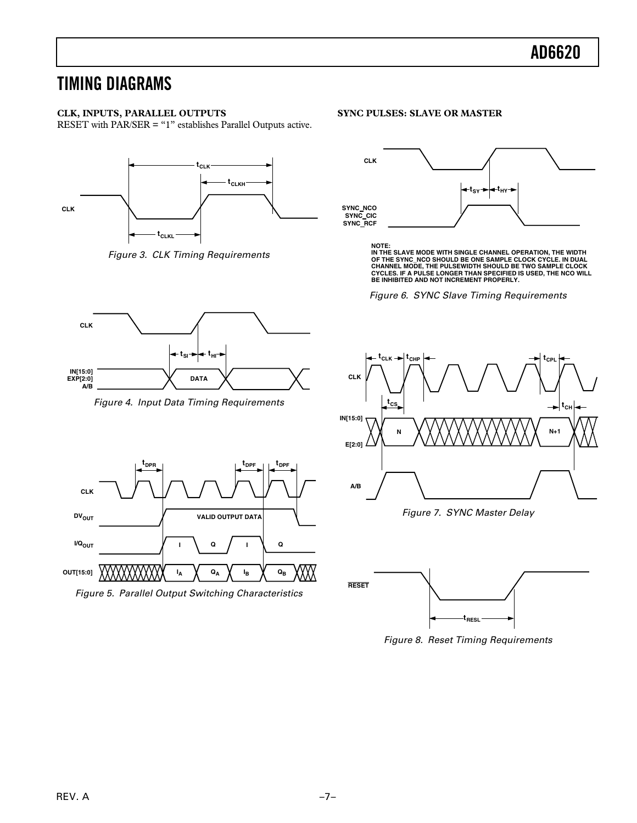## **TIMING DIAGRAMS**

## **CLK, INPUTS, PARALLEL OUTPUTS**

RESET with PAR/SER = "1" establishes Parallel Outputs active.



Figure 3. CLK Timing Requirements



Figure 4. Input Data Timing Requirements



## **SYNC PULSES: SLAVE OR MASTER**



**NOTE: IN THE SLAVE MODE WITH SINGLE CHANNEL OPERATION, THE WIDTH** OF THE SYNC\_NCO SHOULD BE ONE SAMPLE CLOCK CYCLE. IN DUAL<br>CHANNEL MODE, THE PULSEWIDTH SHOULD BE TWO SAMPLE CLOCK<br>CYCLES. IF A PULSE LONGER THAN SPECIFIED IS USED, THE NCO WILL<br>BE INHIBITED AND NOT INCREMENT PROPERLY.

Figure 6. SYNC Slave Timing Requirements



Figure 7. SYNC Master Delay



Figure 8. Reset Timing Requirements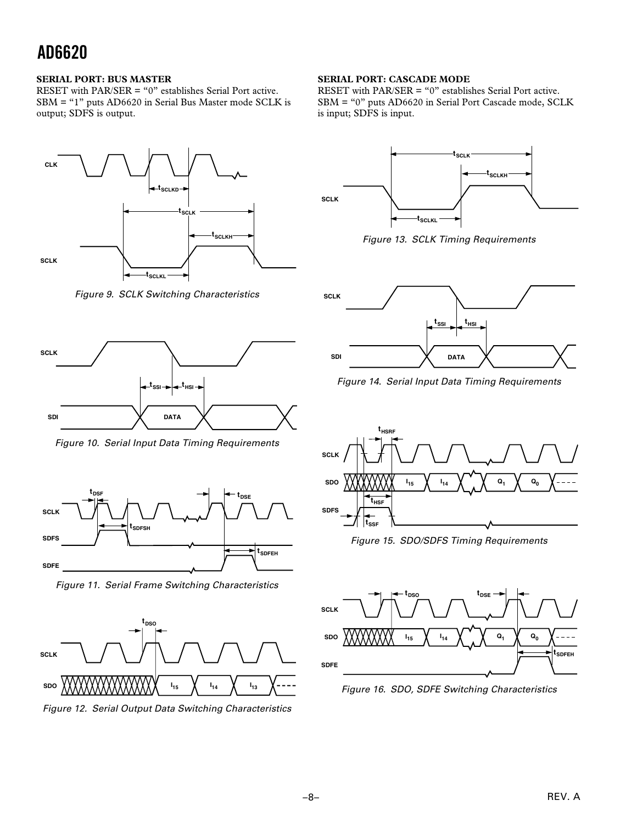### **SERIAL PORT: BUS MASTER**

RESET with PAR/SER = "0" establishes Serial Port active. SBM = "1" puts AD6620 in Serial Bus Master mode SCLK is output; SDFS is output.



Figure 9. SCLK Switching Characteristics



Figure 10. Serial Input Data Timing Requirements



Figure 11. Serial Frame Switching Characteristics



Figure 12. Serial Output Data Switching Characteristics

## **SERIAL PORT: CASCADE MODE**

RESET with PAR/SER = "0" establishes Serial Port active. SBM = "0" puts AD6620 in Serial Port Cascade mode, SCLK is input; SDFS is input.



Figure 13. SCLK Timing Requirements



Figure 14. Serial Input Data Timing Requirements



Figure 15. SDO/SDFS Timing Requirements



Figure 16. SDO, SDFE Switching Characteristics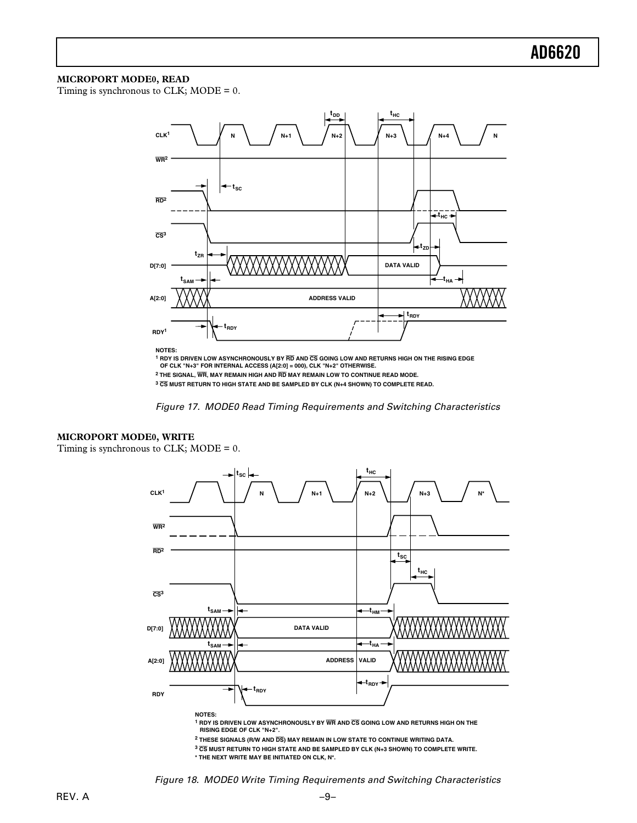#### **MICROPORT MODE0, READ**

Timing is synchronous to CLK; MODE = 0.



<sup>1</sup> RDY IS DRIVEN LOW ASYNCHRONOUSLY BY **RD** AND **CS GOING LOW AND RETURNS HIGH ON THE RISING EDGE**<br>OF CLK "N+3" FOR INTERNAL ACCESS (A[2:0] = 000), CLK "N+2" OTHERWISE. **2 THE SIGNAL, WR, MAY REMAIN HIGH AND RD MAY REMAIN LOW TO CONTINUE READ MODE. <sup>3</sup> CS MUST RETURN TO HIGH STATE AND BE SAMPLED BY CLK (N+4 SHOWN) TO COMPLETE READ.**



### **MICROPORT MODE0, WRITE**

Timing is synchronous to CLK; MODE = 0.



**1 RDY IS DRIVEN LOW ASYNCHRONOUSLY BY WR AND CS GOING LOW AND RETURNS HIGH ON THE RISING EDGE OF CLK "N+2".**

**2 THESE SIGNALS (R/W AND DS) MAY REMAIN IN LOW STATE TO CONTINUE WRITING DATA.**

**<sup>3</sup> CS MUST RETURN TO HIGH STATE AND BE SAMPLED BY CLK (N+3 SHOWN) TO COMPLETE WRITE.**

**\* THE NEXT WRITE MAY BE INITIATED ON CLK, N\*.**

Figure 18. MODE0 Write Timing Requirements and Switching Characteristics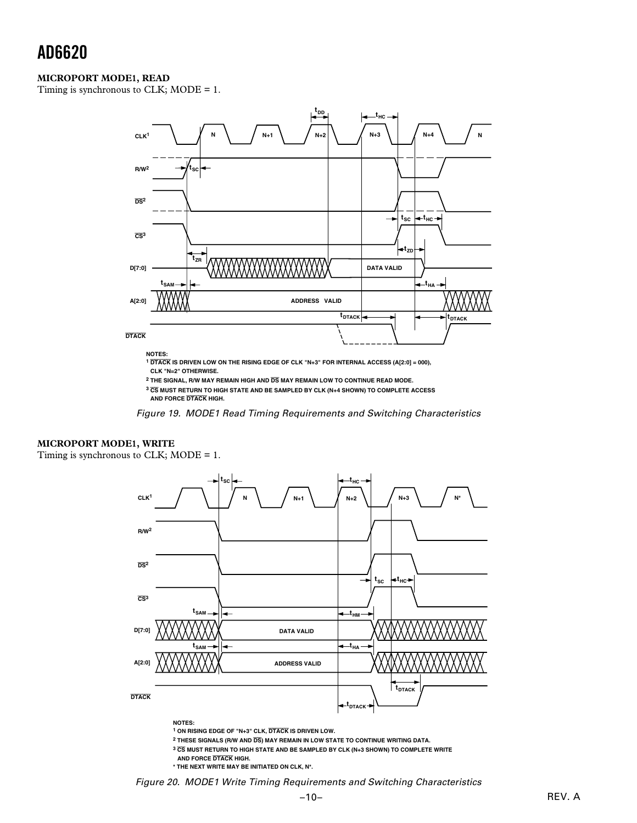### **MICROPORT MODE1, READ**

Timing is synchronous to CLK; MODE = 1.



**NOTES:**

**<sup>1</sup> DTACK IS DRIVEN LOW ON THE RISING EDGE OF CLK "N+3" FOR INTERNAL ACCESS (A[2:0] = 000), CLK "N=2" OTHERWISE.**

**<sup>3</sup> CS MUST RETURN TO HIGH STATE AND BE SAMPLED BY CLK (N+4 SHOWN) TO COMPLETE ACCESS AND FORCE DTACK HIGH.**

Figure 19. MODE1 Read Timing Requirements and Switching Characteristics

### **MICROPORT MODE1, WRITE**

Timing is synchronous to CLK; MODE = 1.



**1 ON RISING EDGE OF "N+3" CLK, DTACK IS DRIVEN LOW.**

**2 THESE SIGNALS (R/W AND DS) MAY REMAIN IN LOW STATE TO CONTINUE WRITING DATA.**

**<sup>3</sup> CS MUST RETURN TO HIGH STATE AND BE SAMPLED BY CLK (N+3 SHOWN) TO COMPLETE WRITE**

**AND FORCE DTACK HIGH.**

**\* THE NEXT WRITE MAY BE INITIATED ON CLK, N\*.**

Figure 20. MODE1 Write Timing Requirements and Switching Characteristics

**<sup>2</sup> THE SIGNAL, R/W MAY REMAIN HIGH AND DS MAY REMAIN LOW TO CONTINUE READ MODE.**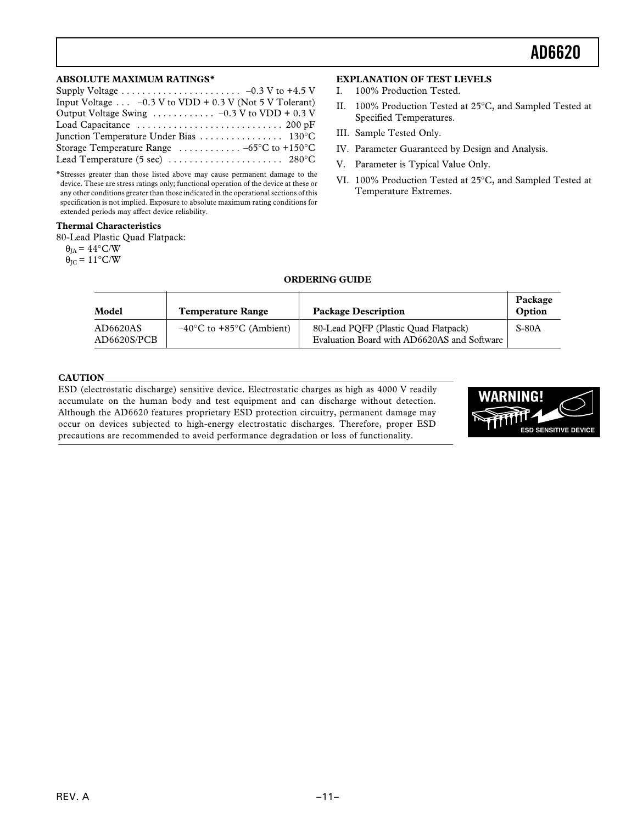#### **ABSOLUTE MAXIMUM RATINGS\***

| Input Voltage $\ldots$ -0.3 V to VDD + 0.3 V (Not 5 V Tolerant)          |  |
|--------------------------------------------------------------------------|--|
| Output Voltage Swing $\ldots \ldots \ldots \ldots -0.3$ V to VDD + 0.3 V |  |
|                                                                          |  |
|                                                                          |  |
| Storage Temperature Range $\ldots \ldots \ldots -65$ °C to +150°C        |  |
|                                                                          |  |
|                                                                          |  |

\*Stresses greater than those listed above may cause permanent damage to the device. These are stress ratings only; functional operation of the device at these or any other conditions greater than those indicated in the operational sections of this specification is not implied. Exposure to absolute maximum rating conditions for extended periods may affect device reliability.

#### **Thermal Characteristics**

80-Lead Plastic Quad Flatpack:

 $\theta_{IA} = 44^{\circ}$ C/W

 $\theta_{\text{IC}} = 11^{\circ}\text{C/W}$ 

#### **EXPLANATION OF TEST LEVELS**

- I. 100% Production Tested.
- II. 100% Production Tested at 25°C, and Sampled Tested at Specified Temperatures.
- III. Sample Tested Only.
- IV. Parameter Guaranteed by Design and Analysis.
- V. Parameter is Typical Value Only.
- VI. 100% Production Tested at 25°C, and Sampled Tested at Temperature Extremes.

### **ORDERING GUIDE**

| Model                   | <b>Temperature Range</b>                      | <b>Package Description</b>                                                          | Package<br>Option |
|-------------------------|-----------------------------------------------|-------------------------------------------------------------------------------------|-------------------|
| AD6620AS<br>AD6620S/PCB | $-40^{\circ}$ C to +85 $^{\circ}$ C (Ambient) | 80-Lead POFP (Plastic Ouad Flatpack)<br>Evaluation Board with AD6620AS and Software | S-80A             |

#### **CAUTION**

ESD (electrostatic discharge) sensitive device. Electrostatic charges as high as 4000 V readily accumulate on the human body and test equipment and can discharge without detection. Although the AD6620 features proprietary ESD protection circuitry, permanent damage may occur on devices subjected to high-energy electrostatic discharges. Therefore, proper ESD precautions are recommended to avoid performance degradation or loss of functionality.

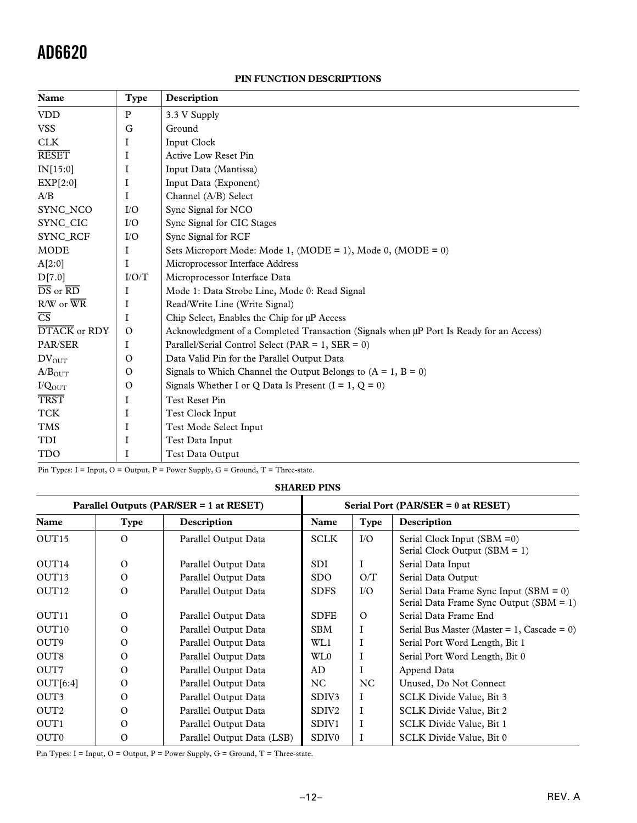## **PIN FUNCTION DESCRIPTIONS**

| Name                                             | <b>Type</b>   | Description                                                                             |
|--------------------------------------------------|---------------|-----------------------------------------------------------------------------------------|
| <b>VDD</b>                                       | ${\bf P}$     | 3.3 V Supply                                                                            |
| <b>VSS</b>                                       | G             | Ground                                                                                  |
| <b>CLK</b>                                       | I             | Input Clock                                                                             |
| <b>RESET</b>                                     | I             | <b>Active Low Reset Pin</b>                                                             |
| IN[15:0]                                         | I             | Input Data (Mantissa)                                                                   |
| EXP[2:0]                                         | I             | Input Data (Exponent)                                                                   |
| A/B                                              | I             | Channel (A/B) Select                                                                    |
| SYNC_NCO                                         | I/O           | Sync Signal for NCO                                                                     |
| SYNC CIC                                         | I/O           | Sync Signal for CIC Stages                                                              |
| <b>SYNC RCF</b>                                  | I/O           | Sync Signal for RCF                                                                     |
| <b>MODE</b>                                      | I             | Sets Microport Mode: Mode 1, $(MODE = 1)$ , Mode 0, $(MODE = 0)$                        |
| A[2:0]                                           | I             | Microprocessor Interface Address                                                        |
| D[7.0]                                           | I/O/T         | Microprocessor Interface Data                                                           |
| $\overline{\text{DS}}$ or $\overline{\text{RD}}$ | I             | Mode 1: Data Strobe Line, Mode 0: Read Signal                                           |
| $R/W$ or $\overline{WR}$                         | I             | Read/Write Line (Write Signal)                                                          |
| $\overline{\text{CS}}$                           | I             | Chip Select, Enables the Chip for µP Access                                             |
| DTACK or RDY                                     | $\mathcal{O}$ | Acknowledgment of a Completed Transaction (Signals when µP Port Is Ready for an Access) |
| PAR/SER                                          | I             | Parallel/Serial Control Select (PAR = $1$ , SER = 0)                                    |
| $DV_{OUT}$                                       | $\Omega$      | Data Valid Pin for the Parallel Output Data                                             |
| A/B <sub>OUT</sub>                               | $\mathbf{O}$  | Signals to Which Channel the Output Belongs to $(A = 1, B = 0)$                         |
| I/Q <sub>OUT</sub>                               | $\mathcal{O}$ | Signals Whether I or Q Data Is Present $(I = 1, Q = 0)$                                 |
| <b>TRST</b>                                      | I             | Test Reset Pin                                                                          |
| <b>TCK</b>                                       | I             | Test Clock Input                                                                        |
| <b>TMS</b>                                       | I             | Test Mode Select Input                                                                  |
| TDI                                              | I             | Test Data Input                                                                         |
| <b>TDO</b>                                       | I             | Test Data Output                                                                        |

Pin Types: I = Input, O = Output, P = Power Supply, G = Ground, T = Three-state.

## **SHARED PINS**

| Parallel Outputs (PAR/SER = 1 at RESET) |             |                            | Serial Port (PAR/SER = $0$ at RESET) |             |                                                                                       |  |
|-----------------------------------------|-------------|----------------------------|--------------------------------------|-------------|---------------------------------------------------------------------------------------|--|
| Name                                    | <b>Type</b> | Description                | Name                                 | <b>Type</b> | Description                                                                           |  |
| OUT <sub>15</sub>                       | $\Omega$    | Parallel Output Data       | <b>SCLK</b>                          | $IO$        | Serial Clock Input $(SBM = 0)$<br>Serial Clock Output (SBM = 1)                       |  |
| OUT14                                   | $\Omega$    | Parallel Output Data       | SDI.                                 | I           | Serial Data Input                                                                     |  |
| OUT <sub>13</sub>                       | $\Omega$    | Parallel Output Data       | SDO.                                 | O/T         | Serial Data Output                                                                    |  |
| OUT <sub>12</sub>                       | $\Omega$    | Parallel Output Data       | <b>SDFS</b>                          | $IO$        | Serial Data Frame Sync Input $(SBM = 0)$<br>Serial Data Frame Sync Output $(SBM = 1)$ |  |
| OUT <sub>11</sub>                       | $\Omega$    | Parallel Output Data       | <b>SDFE</b>                          | $\Omega$    | Serial Data Frame End                                                                 |  |
| OUT <sub>10</sub>                       | $\Omega$    | Parallel Output Data       | <b>SBM</b>                           |             | Serial Bus Master (Master = $1$ , Cascade = 0)                                        |  |
| OUT <sub>9</sub>                        | $\Omega$    | Parallel Output Data       | WL1                                  |             | Serial Port Word Length, Bit 1                                                        |  |
| OUT <sub>8</sub>                        | $\Omega$    | Parallel Output Data       | WL0                                  |             | Serial Port Word Length, Bit 0                                                        |  |
| OUT7                                    | $\Omega$    | Parallel Output Data       | AD                                   |             | Append Data                                                                           |  |
| OUT[6:4]                                | $\Omega$    | Parallel Output Data       | NC                                   | NC          | Unused, Do Not Connect                                                                |  |
| OUT3                                    | $\Omega$    | Parallel Output Data       | SDIV <sub>3</sub>                    | I           | SCLK Divide Value, Bit 3                                                              |  |
| OUT <sub>2</sub>                        | $\Omega$    | Parallel Output Data       | SDIV <sub>2</sub>                    | $\mathbf I$ | SCLK Divide Value, Bit 2                                                              |  |
| OUT <sub>1</sub>                        | $\Omega$    | Parallel Output Data       | SDIV1                                | $\mathbf I$ | SCLK Divide Value, Bit 1                                                              |  |
| OUT <sub>0</sub>                        | $\Omega$    | Parallel Output Data (LSB) | SDIV <sub>0</sub>                    |             | SCLK Divide Value, Bit 0                                                              |  |

Pin Types: I = Input, O = Output, P = Power Supply, G = Ground, T = Three-state.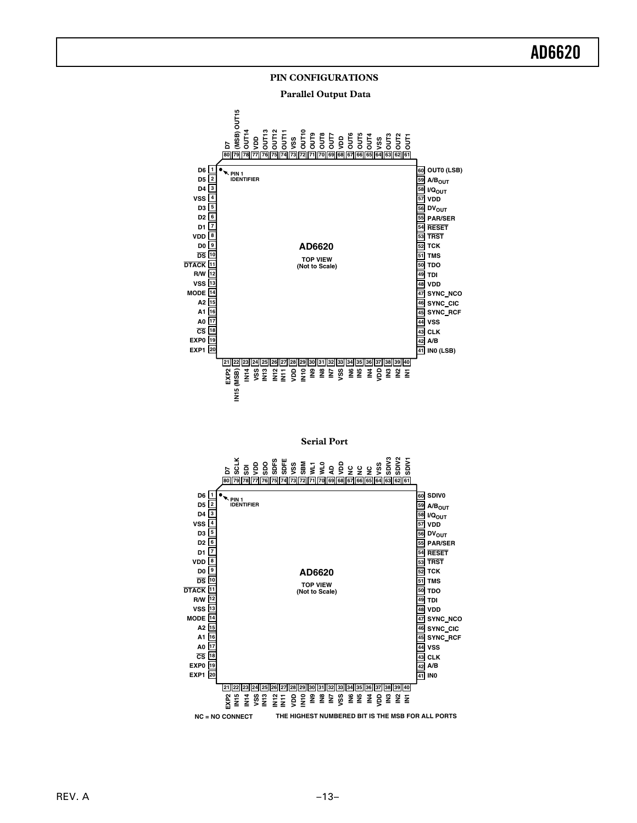## **PIN CONFIGURATIONS**

 **Parallel Output Data**



**Serial Port**

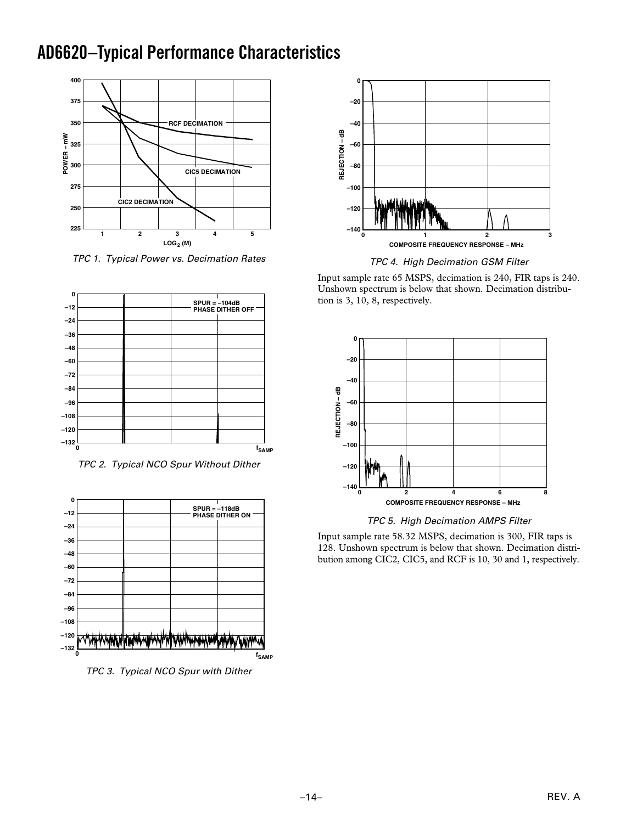## **AD6620 –Typical Performance Characteristics**



TPC 1. Typical Power vs. Decimation Rates



TPC 2. Typical NCO Spur Without Dither



TPC 3. Typical NCO Spur with Dither



TPC 4. High Decimation GSM Filter

Input sample rate 65 MSPS, decimation is 240, FIR taps is 240. Unshown spectrum is below that shown. Decimation distribution is 3, 10, 8, respectively.



TPC 5. High Decimation AMPS Filter

Input sample rate 58.32 MSPS, decimation is 300, FIR taps is 128. Unshown spectrum is below that shown. Decimation distribution among CIC2, CIC5, and RCF is 10, 30 and 1, respectively.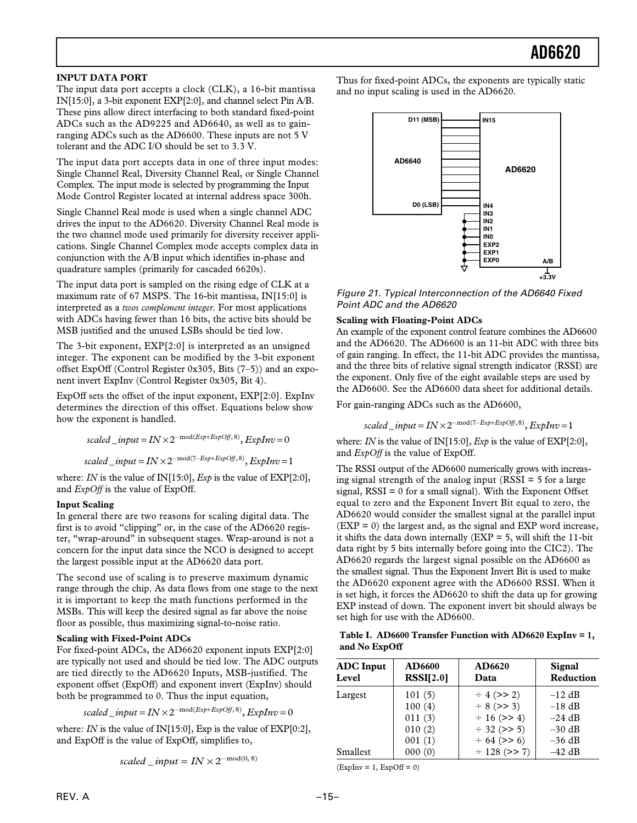### **INPUT DATA PORT**

The input data port accepts a clock (CLK), a 16-bit mantissa IN[15:0], a 3-bit exponent EXP[2:0], and channel select Pin A/B. These pins allow direct interfacing to both standard fixed-point ADCs such as the AD9225 and AD6640, as well as to gainranging ADCs such as the AD6600. These inputs are not 5 V tolerant and the ADC I/O should be set to 3.3 V.

The input data port accepts data in one of three input modes: Single Channel Real, Diversity Channel Real, or Single Channel Complex. The input mode is selected by programming the Input Mode Control Register located at internal address space 300h.

Single Channel Real mode is used when a single channel ADC drives the input to the AD6620. Diversity Channel Real mode is the two channel mode used primarily for diversity receiver applications. Single Channel Complex mode accepts complex data in conjunction with the A/B input which identifies in-phase and quadrature samples (primarily for cascaded 6620s).

The input data port is sampled on the rising edge of CLK at a maximum rate of 67 MSPS. The 16-bit mantissa, IN[15:0] is interpreted as a *twos complement integer*. For most applications with ADCs having fewer than 16 bits, the active bits should be MSB justified and the unused LSBs should be tied low.

The 3-bit exponent, EXP[2:0] is interpreted as an unsigned integer. The exponent can be modified by the 3-bit exponent offset ExpOff (Control Register 0x305, Bits (7–5)) and an exponent invert ExpInv (Control Register 0x305, Bit 4).

ExpOff sets the offset of the input exponent, EXP[2:0]. ExpInv determines the direction of this offset. Equations below show how the exponent is handled.

 $scaled\_input = IN \times 2^{-\text{mod}(Exp + ExpOf, 8)}$ ,  $ExpInv = 0$ 

 $scaled\_input = IN \times 2^{-\text{mod}(7 - Exp + ExpOf, 8)}, ExpInv = 1$ 

where: *IN* is the value of IN[15:0], *Exp* is the value of EXP[2:0], and *ExpOff* is the value of ExpOff.

#### **Input Scaling**

In general there are two reasons for scaling digital data. The first is to avoid "clipping" or, in the case of the AD6620 register, "wrap-around" in subsequent stages. Wrap-around is not a concern for the input data since the NCO is designed to accept the largest possible input at the AD6620 data port.

The second use of scaling is to preserve maximum dynamic range through the chip. As data flows from one stage to the next it is important to keep the math functions performed in the MSBs. This will keep the desired signal as far above the noise floor as possible, thus maximizing signal-to-noise ratio.

#### **Scaling with Fixed-Point ADCs**

For fixed-point ADCs, the AD6620 exponent inputs EXP[2:0] are typically not used and should be tied low. The ADC outputs are tied directly to the AD6620 Inputs, MSB-justified. The exponent offset (ExpOff) and exponent invert (ExpInv) should both be programmed to 0. Thus the input equation,

 $scaled\_input = IN \times 2^{-\text{mod}(Exp + ExpOff, 8)}$ ,  $ExpInv = 0$ 

where: *IN* is the value of IN[15:0], Exp is the value of EXP[0:2], and ExpOff is the value of ExpOff, simplifies to,

$$
scaled\_input = IN \times 2^{-\text{mod}(0, 8)}
$$

Thus for fixed-point ADCs, the exponents are typically static and no input scaling is used in the AD6620.



Figure 21. Typical Interconnection of the AD6640 Fixed Point ADC and the AD6620

#### **Scaling with Floating-Point ADCs**

An example of the exponent control feature combines the AD6600 and the AD6620. The AD6600 is an 11-bit ADC with three bits of gain ranging. In effect, the 11-bit ADC provides the mantissa, and the three bits of relative signal strength indicator (RSSI) are the exponent. Only five of the eight available steps are used by the AD6600. See the AD6600 data sheet for additional details.

For gain-ranging ADCs such as the AD6600,

$$
scaled\_input = IN \times 2^{-mod(7-Exp+ExpOf, 8)}, ExpInv = 1
$$

where: *IN* is the value of IN[15:0], *Exp* is the value of EXP[2:0], and *ExpOff* is the value of ExpOff.

The RSSI output of the AD6600 numerically grows with increasing signal strength of the analog input (RSSI = 5 for a large signal, RSSI = 0 for a small signal). With the Exponent Offset equal to zero and the Exponent Invert Bit equal to zero, the AD6620 would consider the smallest signal at the parallel input  $(EXP = 0)$  the largest and, as the signal and EXP word increase, it shifts the data down internally ( $EXP = 5$ , will shift the 11-bit data right by 5 bits internally before going into the CIC2). The AD6620 regards the largest signal possible on the AD6600 as the smallest signal. Thus the Exponent Invert Bit is used to make the AD6620 exponent agree with the AD6600 RSSI. When it is set high, it forces the AD6620 to shift the data up for growing EXP instead of down. The exponent invert bit should always be set high for use with the AD6600.

#### **Table I. AD6600 Transfer Function with AD6620 ExpInv = 1, and No ExpOff**

| <b>ADC</b> Input<br>Level | <b>AD6600</b><br>RSSI[2.0] | AD6620<br>Data    | <b>Signal</b><br>Reduction |
|---------------------------|----------------------------|-------------------|----------------------------|
| Largest                   | 101(5)                     | $\div$ 4 (>> 2)   | $-12$ dB                   |
|                           | 100(4)                     | $\div$ 8 (>> 3)   | $-18$ dB                   |
|                           | 011(3)                     | $\div$ 16 (>> 4)  | $-24$ dB                   |
|                           | 010(2)                     | $\div$ 32 (>> 5)  | $-30$ dB                   |
|                           | 001(1)                     | $\div$ 64 (>> 6)  | $-36$ dB                   |
| Smallest                  | 000(0)                     | $\div$ 128 (>> 7) | $-42$ dB                   |

 $(ExpInv = 1, ExpOff = 0)$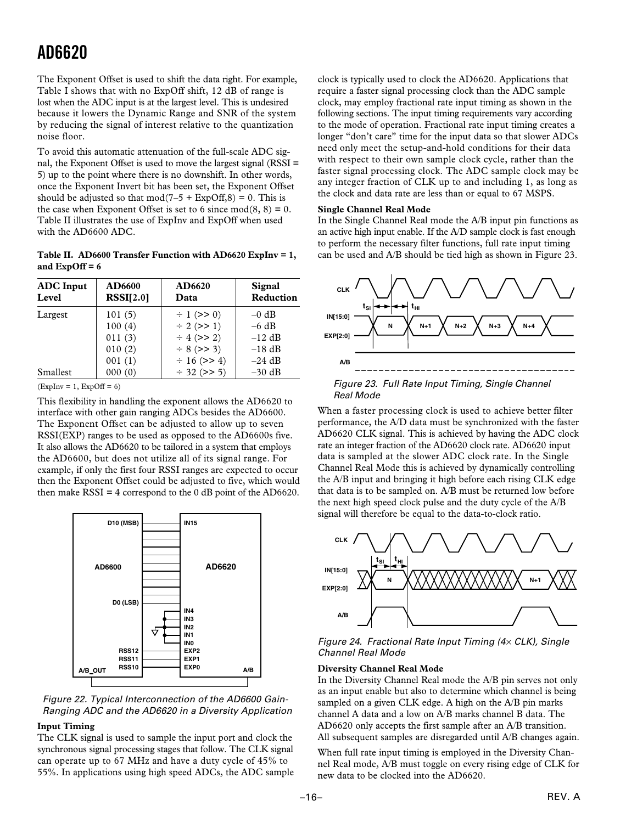The Exponent Offset is used to shift the data right. For example, Table I shows that with no ExpOff shift, 12 dB of range is lost when the ADC input is at the largest level. This is undesired because it lowers the Dynamic Range and SNR of the system by reducing the signal of interest relative to the quantization noise floor.

To avoid this automatic attenuation of the full-scale ADC signal, the Exponent Offset is used to move the largest signal (RSSI = 5) up to the point where there is no downshift. In other words, once the Exponent Invert bit has been set, the Exponent Offset should be adjusted so that  $mod(7-5 + ExpOff.8) = 0$ . This is the case when Exponent Offset is set to 6 since  $mod(8, 8) = 0$ . Table II illustrates the use of ExpInv and ExpOff when used with the AD6600 ADC.

**Table II. AD6600 Transfer Function with AD6620 ExpInv = 1, and ExpOff = 6**

| <b>ADC</b> Input<br>Level | AD6600<br>RSSI[2.0] | AD6620<br>Data   | <b>Signal</b><br>Reduction |
|---------------------------|---------------------|------------------|----------------------------|
| Largest                   | 101(5)              | $\div$ 1 (>> 0)  | $-0$ dB                    |
|                           | 100(4)              | $\div$ 2 (>> 1)  | $-6$ dB                    |
|                           | 011(3)              | $\div$ 4 (>> 2)  | $-12$ dB                   |
|                           | 010(2)              | $\div$ 8 (>> 3)  | $-18$ dB                   |
|                           | 001(1)              | $\div$ 16 (>> 4) | $-24$ dB                   |
| Smallest                  | 000(0)              | $\div$ 32 (>> 5) | $-30$ dB                   |

 $(ExpInv = 1, ExpOff = 6)$ 

This flexibility in handling the exponent allows the AD6620 to interface with other gain ranging ADCs besides the AD6600. The Exponent Offset can be adjusted to allow up to seven RSSI(EXP) ranges to be used as opposed to the AD6600s five. It also allows the AD6620 to be tailored in a system that employs the AD6600, but does not utilize all of its signal range. For example, if only the first four RSSI ranges are expected to occur then the Exponent Offset could be adjusted to five, which would then make  $RSSI = 4$  correspond to the 0 dB point of the AD6620.





### **Input Timing**

The CLK signal is used to sample the input port and clock the synchronous signal processing stages that follow. The CLK signal can operate up to 67 MHz and have a duty cycle of 45% to 55%. In applications using high speed ADCs, the ADC sample

clock is typically used to clock the AD6620. Applications that require a faster signal processing clock than the ADC sample clock, may employ fractional rate input timing as shown in the following sections. The input timing requirements vary according to the mode of operation. Fractional rate input timing creates a longer "don't care" time for the input data so that slower ADCs need only meet the setup-and-hold conditions for their data with respect to their own sample clock cycle, rather than the faster signal processing clock. The ADC sample clock may be any integer fraction of CLK up to and including 1, as long as the clock and data rate are less than or equal to 67 MSPS.

#### **Single Channel Real Mode**

In the Single Channel Real mode the A/B input pin functions as an active high input enable. If the A/D sample clock is fast enough to perform the necessary filter functions, full rate input timing can be used and A/B should be tied high as shown in Figure 23.



Figure 23. Full Rate Input Timing, Single Channel Real Mode

When a faster processing clock is used to achieve better filter performance, the A/D data must be synchronized with the faster AD6620 CLK signal. This is achieved by having the ADC clock rate an integer fraction of the AD6620 clock rate. AD6620 input data is sampled at the slower ADC clock rate. In the Single Channel Real Mode this is achieved by dynamically controlling the A/B input and bringing it high before each rising CLK edge that data is to be sampled on. A/B must be returned low before the next high speed clock pulse and the duty cycle of the A/B signal will therefore be equal to the data-to-clock ratio.



Figure 24. Fractional Rate Input Timing  $(4 \times CLK)$ , Single Channel Real Mode

#### **Diversity Channel Real Mode**

In the Diversity Channel Real mode the A/B pin serves not only as an input enable but also to determine which channel is being sampled on a given CLK edge. A high on the A/B pin marks channel A data and a low on A/B marks channel B data. The AD6620 only accepts the first sample after an A/B transition. All subsequent samples are disregarded until A/B changes again.

When full rate input timing is employed in the Diversity Channel Real mode, A/B must toggle on every rising edge of CLK for new data to be clocked into the AD6620.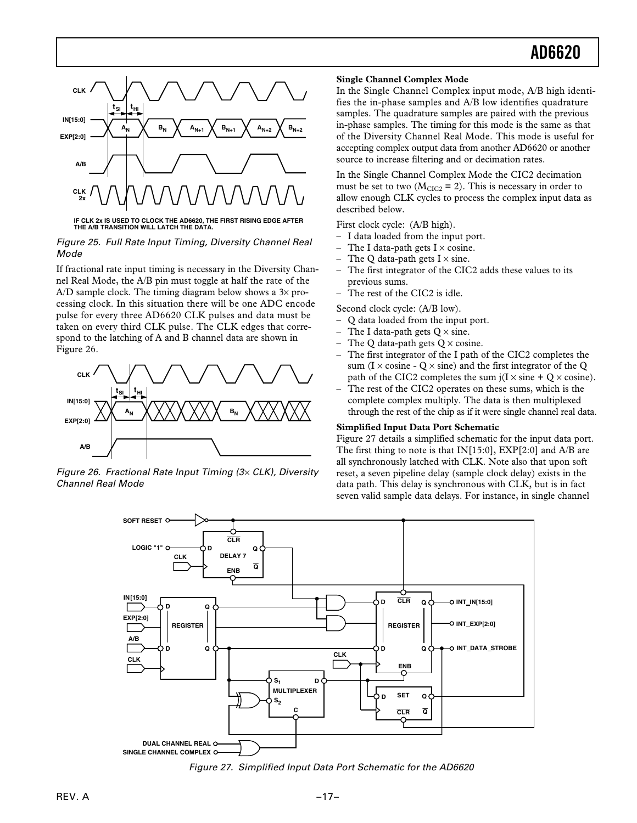

**IF CLK 2x IS USED TO CLOCK THE AD6620, THE FIRST RISING EDGE AFTER THE A/B TRANSITION WILL LATCH THE DATA.**

#### Figure 25. Full Rate Input Timing, Diversity Channel Real Mode

If fractional rate input timing is necessary in the Diversity Channel Real Mode, the A/B pin must toggle at half the rate of the A/D sample clock. The timing diagram below shows a  $3\times$  processing clock. In this situation there will be one ADC encode pulse for every three AD6620 CLK pulses and data must be taken on every third CLK pulse. The CLK edges that correspond to the latching of A and B channel data are shown in Figure 26.



Figure 26. Fractional Rate Input Timing  $(3 \times CLK)$ , Diversity Channel Real Mode

#### **Single Channel Complex Mode**

In the Single Channel Complex input mode, A/B high identifies the in-phase samples and A/B low identifies quadrature samples. The quadrature samples are paired with the previous in-phase samples. The timing for this mode is the same as that of the Diversity Channel Real Mode. This mode is useful for accepting complex output data from another AD6620 or another source to increase filtering and or decimation rates.

In the Single Channel Complex Mode the CIC2 decimation must be set to two ( $M_{CIC2}$  = 2). This is necessary in order to allow enough CLK cycles to process the complex input data as described below.

First clock cycle: (A/B high).

- I data loaded from the input port.
- The I data-path gets  $I \times \text{cosine}$ .
- The Q data-path gets  $I \times \text{sine}$ .
- The first integrator of the CIC2 adds these values to its previous sums.
- The rest of the CIC2 is idle.

Second clock cycle: (A/B low).

- Q data loaded from the input port.
- The I data-path gets  $Q \times \text{sine}$ .
- The O data-path gets  $O \times \text{cosine}$ .
- The first integrator of the I path of the CIC2 completes the sum (I  $\times$  cosine - Q  $\times$  sine) and the first integrator of the Q path of the CIC2 completes the sum  $j(I \times sine + Q \times cosine)$ .
- The rest of the CIC2 operates on these sums, which is the complete complex multiply. The data is then multiplexed through the rest of the chip as if it were single channel real data.

#### **Simplified Input Data Port Schematic**

Figure 27 details a simplified schematic for the input data port. The first thing to note is that IN[15:0], EXP[2:0] and A/B are all synchronously latched with CLK. Note also that upon soft reset, a seven pipeline delay (sample clock delay) exists in the data path. This delay is synchronous with CLK, but is in fact seven valid sample data delays. For instance, in single channel



Figure 27. Simplified Input Data Port Schematic for the AD6620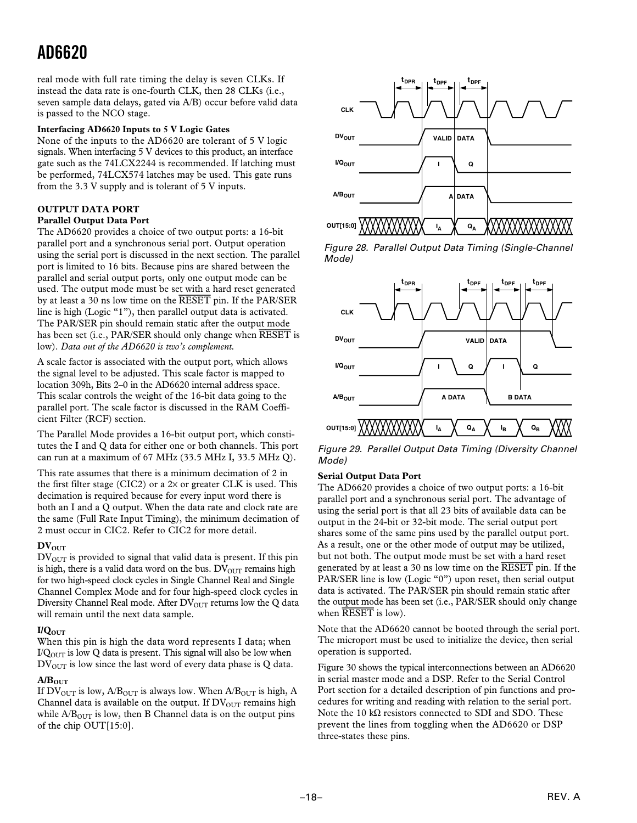real mode with full rate timing the delay is seven CLKs. If instead the data rate is one-fourth CLK, then 28 CLKs (i.e., seven sample data delays, gated via A/B) occur before valid data is passed to the NCO stage.

### **Interfacing AD6620 Inputs to 5 V Logic Gates**

None of the inputs to the AD6620 are tolerant of 5 V logic signals. When interfacing 5 V devices to this product, an interface gate such as the 74LCX2244 is recommended. If latching must be performed, 74LCX574 latches may be used. This gate runs from the 3.3 V supply and is tolerant of 5 V inputs.

## **OUTPUT DATA PORT**

## **Parallel Output Data Port**

The AD6620 provides a choice of two output ports: a 16-bit parallel port and a synchronous serial port. Output operation using the serial port is discussed in the next section. The parallel port is limited to 16 bits. Because pins are shared between the parallel and serial output ports, only one output mode can be used. The output mode must be set with a hard reset generated by at least a 30 ns low time on the *RESET* pin. If the PAR/SER line is high (Logic "1"), then parallel output data is activated. The PAR/SER pin should remain static after the output mode has been set (i.e., PAR/SER should only change when *RESET* is low). *Data out of the AD6620 is two's complement.*

A scale factor is associated with the output port, which allows the signal level to be adjusted. This scale factor is mapped to location 309h, Bits 2–0 in the AD6620 internal address space. This scalar controls the weight of the 16-bit data going to the parallel port. The scale factor is discussed in the RAM Coefficient Filter (RCF) section.

The Parallel Mode provides a 16-bit output port, which constitutes the I and Q data for either one or both channels. This port can run at a maximum of 67 MHz (33.5 MHz I, 33.5 MHz Q).

This rate assumes that there is a minimum decimation of 2 in the first filter stage (CIC2) or a  $2\times$  or greater CLK is used. This decimation is required because for every input word there is both an I and a Q output. When the data rate and clock rate are the same (Full Rate Input Timing), the minimum decimation of 2 must occur in CIC2. Refer to CIC2 for more detail.

### $DV_{OUT}$

 $DV<sub>OUT</sub>$  is provided to signal that valid data is present. If this pin is high, there is a valid data word on the bus.  $DV<sub>OUT</sub>$  remains high for two high-speed clock cycles in Single Channel Real and Single Channel Complex Mode and for four high-speed clock cycles in Diversity Channel Real mode. After  $DV<sub>OUT</sub>$  returns low the Q data will remain until the next data sample.

### **I/QOUT**

When this pin is high the data word represents I data; when  $I/Q<sub>OUT</sub>$  is low Q data is present. This signal will also be low when  $DV<sub>OUT</sub>$  is low since the last word of every data phase is Q data.

### $A/B<sub>OUT</sub>$

If  $DV_{\text{OUT}}$  is low,  $A/B_{\text{OUT}}$  is always low. When  $A/B_{\text{OUT}}$  is high, A Channel data is available on the output. If  $DV<sub>OUT</sub>$  remains high while  $A/B<sub>OUT</sub>$  is low, then B Channel data is on the output pins of the chip OUT[15:0].



Figure 28. Parallel Output Data Timing (Single-Channel Mode)



Figure 29. Parallel Output Data Timing (Diversity Channel Mode)

### **Serial Output Data Port**

The AD6620 provides a choice of two output ports: a 16-bit parallel port and a synchronous serial port. The advantage of using the serial port is that all 23 bits of available data can be output in the 24-bit or 32-bit mode. The serial output port shares some of the same pins used by the parallel output port. As a result, one or the other mode of output may be utilized, but not both. The output mode must be set with a hard reset generated by at least a 30 ns low time on the *RESET* pin. If the PAR/SER line is low (Logic "0") upon reset, then serial output data is activated. The PAR/SER pin should remain static after the output mode has been set (i.e., PAR/SER should only change when *RESET* is low).

Note that the AD6620 cannot be booted through the serial port. The microport must be used to initialize the device, then serial operation is supported.

Figure 30 shows the typical interconnections between an AD6620 in serial master mode and a DSP. Refer to the Serial Control Port section for a detailed description of pin functions and procedures for writing and reading with relation to the serial port. Note the 10 kΩ resistors connected to SDI and SDO. These prevent the lines from toggling when the AD6620 or DSP three-states these pins.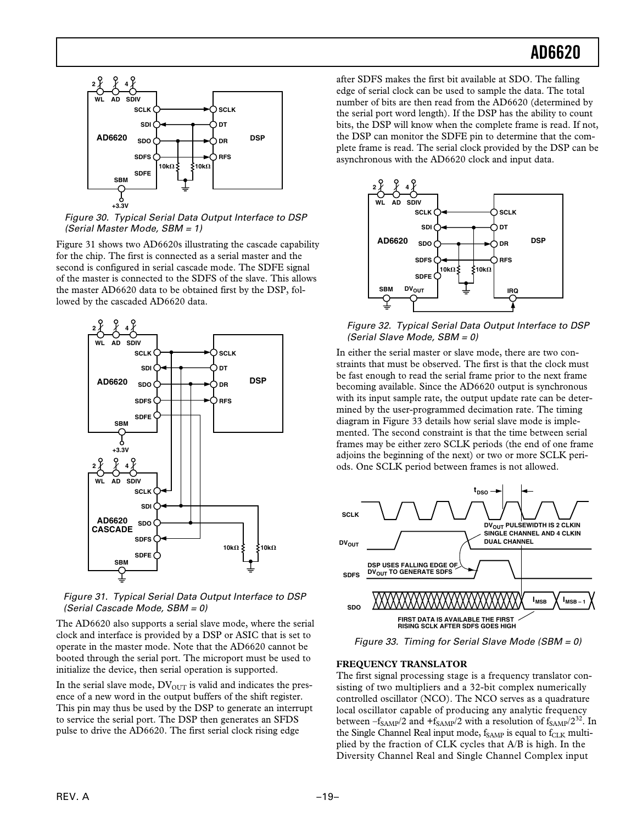

Figure 30. Typical Serial Data Output Interface to DSP (Serial Master Mode, SBM = 1)

Figure 31 shows two AD6620s illustrating the cascade capability for the chip. The first is connected as a serial master and the second is configured in serial cascade mode. The SDFE signal of the master is connected to the SDFS of the slave. This allows the master AD6620 data to be obtained first by the DSP, followed by the cascaded AD6620 data.



Figure 31. Typical Serial Data Output Interface to DSP (Serial Cascade Mode, SBM = 0)

The AD6620 also supports a serial slave mode, where the serial clock and interface is provided by a DSP or ASIC that is set to operate in the master mode. Note that the AD6620 cannot be booted through the serial port. The microport must be used to initialize the device, then serial operation is supported.

In the serial slave mode,  $DV<sub>OUT</sub>$  is valid and indicates the presence of a new word in the output buffers of the shift register. This pin may thus be used by the DSP to generate an interrupt to service the serial port. The DSP then generates an SFDS pulse to drive the AD6620. The first serial clock rising edge

after SDFS makes the first bit available at SDO. The falling edge of serial clock can be used to sample the data. The total number of bits are then read from the AD6620 (determined by the serial port word length). If the DSP has the ability to count bits, the DSP will know when the complete frame is read. If not, the DSP can monitor the SDFE pin to determine that the complete frame is read. The serial clock provided by the DSP can be asynchronous with the AD6620 clock and input data.



Figure 32. Typical Serial Data Output Interface to DSP (Serial Slave Mode, SBM = 0)

In either the serial master or slave mode, there are two constraints that must be observed. The first is that the clock must be fast enough to read the serial frame prior to the next frame becoming available. Since the AD6620 output is synchronous with its input sample rate, the output update rate can be determined by the user-programmed decimation rate. The timing diagram in Figure 33 details how serial slave mode is implemented. The second constraint is that the time between serial frames may be either zero SCLK periods (the end of one frame adjoins the beginning of the next) or two or more SCLK periods. One SCLK period between frames is not allowed.



Figure 33. Timing for Serial Slave Mode (SBM = 0)

### **FREQUENCY TRANSLATOR**

The first signal processing stage is a frequency translator consisting of two multipliers and a 32-bit complex numerically controlled oscillator (NCO). The NCO serves as a quadrature local oscillator capable of producing any analytic frequency between  $-f_{SAMP}/2$  and  $+f_{SAMP}/2$  with a resolution of  $f_{SAMP}/2^{32}$ . In the Single Channel Real input mode, f<sub>SAMP</sub> is equal to f<sub>CLK</sub> multiplied by the fraction of CLK cycles that A/B is high. In the Diversity Channel Real and Single Channel Complex input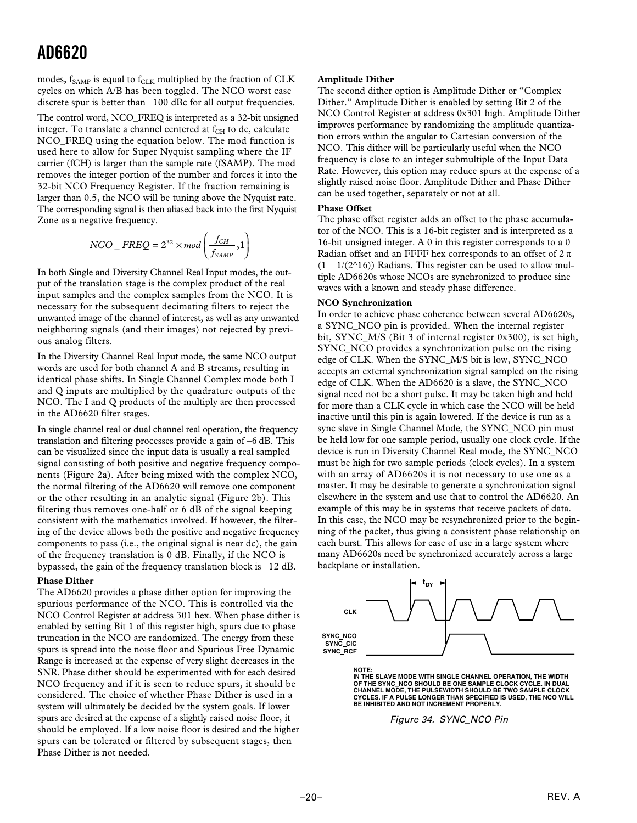modes,  $f_{SAMP}$  is equal to  $f_{CLK}$  multiplied by the fraction of CLK cycles on which A/B has been toggled. The NCO worst case discrete spur is better than –100 dBc for all output frequencies.

The control word, NCO\_FREQ is interpreted as a 32-bit unsigned integer. To translate a channel centered at  $f_{CH}$  to dc, calculate NCO\_FREQ using the equation below. The mod function is used here to allow for Super Nyquist sampling where the IF carrier (fCH) is larger than the sample rate (fSAMP). The mod removes the integer portion of the number and forces it into the 32-bit NCO Frequency Register. If the fraction remaining is larger than 0.5, the NCO will be tuning above the Nyquist rate. The corresponding signal is then aliased back into the first Nyquist Zone as a negative frequency.

$$
NCO\_FREQ = 2^{32} \times mod\left(\frac{f_{CH}}{f_{SAMP}}, 1\right)
$$

In both Single and Diversity Channel Real Input modes, the output of the translation stage is the complex product of the real input samples and the complex samples from the NCO. It is necessary for the subsequent decimating filters to reject the unwanted image of the channel of interest, as well as any unwanted neighboring signals (and their images) not rejected by previous analog filters.

In the Diversity Channel Real Input mode, the same NCO output words are used for both channel A and B streams, resulting in identical phase shifts. In Single Channel Complex mode both I and Q inputs are multiplied by the quadrature outputs of the NCO. The I and Q products of the multiply are then processed in the AD6620 filter stages.

In single channel real or dual channel real operation, the frequency translation and filtering processes provide a gain of –6 dB. This can be visualized since the input data is usually a real sampled signal consisting of both positive and negative frequency components (Figure 2a). After being mixed with the complex NCO, the normal filtering of the AD6620 will remove one component or the other resulting in an analytic signal (Figure 2b). This filtering thus removes one-half or 6 dB of the signal keeping consistent with the mathematics involved. If however, the filtering of the device allows both the positive and negative frequency components to pass (i.e., the original signal is near dc), the gain of the frequency translation is 0 dB. Finally, if the NCO is bypassed, the gain of the frequency translation block is –12 dB.

#### **Phase Dither**

The AD6620 provides a phase dither option for improving the spurious performance of the NCO. This is controlled via the NCO Control Register at address 301 hex. When phase dither is enabled by setting Bit 1 of this register high, spurs due to phase truncation in the NCO are randomized. The energy from these spurs is spread into the noise floor and Spurious Free Dynamic Range is increased at the expense of very slight decreases in the SNR. Phase dither should be experimented with for each desired NCO frequency and if it is seen to reduce spurs, it should be considered. The choice of whether Phase Dither is used in a system will ultimately be decided by the system goals. If lower spurs are desired at the expense of a slightly raised noise floor, it should be employed. If a low noise floor is desired and the higher spurs can be tolerated or filtered by subsequent stages, then Phase Dither is not needed.

#### **Amplitude Dither**

The second dither option is Amplitude Dither or "Complex Dither." Amplitude Dither is enabled by setting Bit 2 of the NCO Control Register at address 0x301 high. Amplitude Dither improves performance by randomizing the amplitude quantization errors within the angular to Cartesian conversion of the NCO. This dither will be particularly useful when the NCO frequency is close to an integer submultiple of the Input Data Rate. However, this option may reduce spurs at the expense of a slightly raised noise floor. Amplitude Dither and Phase Dither can be used together, separately or not at all.

#### **Phase Offset**

The phase offset register adds an offset to the phase accumulator of the NCO. This is a 16-bit register and is interpreted as a 16-bit unsigned integer. A 0 in this register corresponds to a 0 Radian offset and an FFFF hex corresponds to an offset of  $2 \pi$  $(1 - 1/(2^{\wedge}16))$  Radians. This register can be used to allow multiple AD6620s whose NCOs are synchronized to produce sine waves with a known and steady phase difference.

#### **NCO Synchronization**

In order to achieve phase coherence between several AD6620s, a SYNC\_NCO pin is provided. When the internal register bit, SYNC\_M/S (Bit 3 of internal register 0x300), is set high, SYNC\_NCO provides a synchronization pulse on the rising edge of CLK. When the SYNC\_M/S bit is low, SYNC\_NCO accepts an external synchronization signal sampled on the rising edge of CLK. When the AD6620 is a slave, the SYNC\_NCO signal need not be a short pulse. It may be taken high and held for more than a CLK cycle in which case the NCO will be held inactive until this pin is again lowered. If the device is run as a sync slave in Single Channel Mode, the SYNC\_NCO pin must be held low for one sample period, usually one clock cycle. If the device is run in Diversity Channel Real mode, the SYNC\_NCO must be high for two sample periods (clock cycles). In a system with an array of AD6620s it is not necessary to use one as a master. It may be desirable to generate a synchronization signal elsewhere in the system and use that to control the AD6620. An example of this may be in systems that receive packets of data. In this case, the NCO may be resynchronized prior to the beginning of the packet, thus giving a consistent phase relationship on each burst. This allows for ease of use in a large system where many AD6620s need be synchronized accurately across a large backplane or installation.



**NOTE: IN THE SLAVE MODE WITH SINGLE CHANNEL OPERATION, THE WIDTH OF THE SYNC\_NCO SHOULD BE ONE SAMPLE CLOCK CYCLE. IN DUAL CHANNEL MODE, THE PULSEWIDTH SHOULD BE TWO SAMPLE CLOCK CYCLES. IF A PULSE LONGER THAN SPECIFIED IS USED, THE NCO WILL BE INHIBITED AND NOT INCREMENT PROPERLY.**

Figure 34. SYNC\_NCO Pin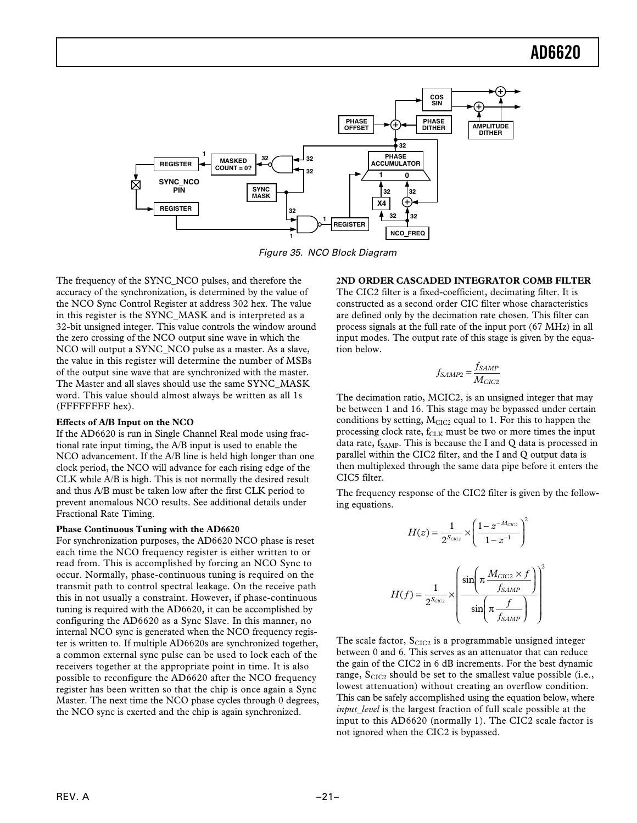

Figure 35. NCO Block Diagram

The frequency of the SYNC\_NCO pulses, and therefore the accuracy of the synchronization, is determined by the value of the NCO Sync Control Register at address 302 hex. The value in this register is the SYNC\_MASK and is interpreted as a 32-bit unsigned integer. This value controls the window around the zero crossing of the NCO output sine wave in which the NCO will output a SYNC\_NCO pulse as a master. As a slave, the value in this register will determine the number of MSBs of the output sine wave that are synchronized with the master. The Master and all slaves should use the same SYNC\_MASK word. This value should almost always be written as all 1s (FFFFFFFF hex).

#### **Effects of A/B Input on the NCO**

If the AD6620 is run in Single Channel Real mode using fractional rate input timing, the A/B input is used to enable the NCO advancement. If the A/B line is held high longer than one clock period, the NCO will advance for each rising edge of the CLK while A/B is high. This is not normally the desired result and thus A/B must be taken low after the first CLK period to prevent anomalous NCO results. See additional details under Fractional Rate Timing.

### **Phase Continuous Tuning with the AD6620**

For synchronization purposes, the AD6620 NCO phase is reset each time the NCO frequency register is either written to or read from. This is accomplished by forcing an NCO Sync to occur. Normally, phase-continuous tuning is required on the transmit path to control spectral leakage. On the receive path this in not usually a constraint. However, if phase-continuous tuning is required with the AD6620, it can be accomplished by configuring the AD6620 as a Sync Slave. In this manner, no internal NCO sync is generated when the NCO frequency register is written to. If multiple AD6620s are synchronized together, a common external sync pulse can be used to lock each of the receivers together at the appropriate point in time. It is also possible to reconfigure the AD6620 after the NCO frequency register has been written so that the chip is once again a Sync Master. The next time the NCO phase cycles through 0 degrees, the NCO sync is exerted and the chip is again synchronized.

### **2ND ORDER CASCADED INTEGRATOR COMB FILTER**

The CIC2 filter is a fixed-coefficient, decimating filter. It is constructed as a second order CIC filter whose characteristics are defined only by the decimation rate chosen. This filter can process signals at the full rate of the input port (67 MHz) in all input modes. The output rate of this stage is given by the equation below.

$$
f_{SAMP2} = \frac{f_{SAMP}}{M_{CIC2}}
$$

The decimation ratio, MCIC2, is an unsigned integer that may be between 1 and 16. This stage may be bypassed under certain conditions by setting,  $M<sub>CIC2</sub>$  equal to 1. For this to happen the processing clock rate,  $f_{\rm CLK}$  must be two or more times the input data rate,  $f_{SAMP}$ . This is because the I and Q data is processed in parallel within the CIC2 filter, and the I and Q output data is then multiplexed through the same data pipe before it enters the CIC5 filter.

The frequency response of the CIC2 filter is given by the following equations.

$$
H(z) = \frac{1}{2^{S_{ClC2}}} \times \left(\frac{1 - z^{-M_{ClC2}}}{1 - z^{-1}}\right)^2
$$

$$
H(f) = \frac{1}{2^{S_{ClC2}}} \times \left(\frac{\sin\left(\pi \frac{M_{ClC2} \times f}{f_{SAMP}}\right)}{\sin\left(\pi \frac{f}{f_{SAMP}}\right)}\right)^2
$$

The scale factor,  $S<sub>CIC2</sub>$  is a programmable unsigned integer between 0 and 6. This serves as an attenuator that can reduce the gain of the CIC2 in 6 dB increments. For the best dynamic range,  $S<sub>CIC2</sub>$  should be set to the smallest value possible (i.e., lowest attenuation) without creating an overflow condition. This can be safely accomplished using the equation below, where *input\_level* is the largest fraction of full scale possible at the input to this AD6620 (normally 1). The CIC2 scale factor is not ignored when the CIC2 is bypassed.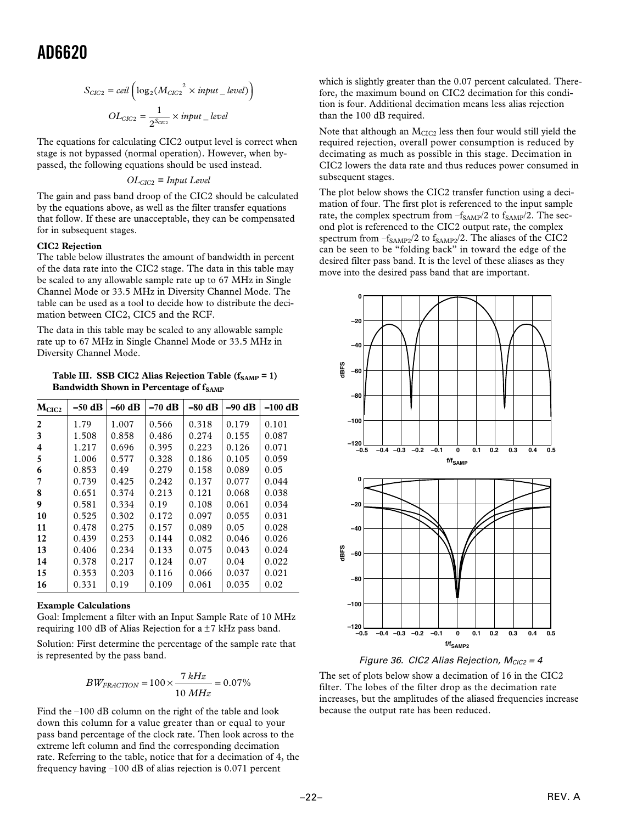$$
S_{ClC2} = ceil \left( \log_2(M_{ClC2}^{2} \times input\_level) \right)
$$
  

$$
OL_{ClC2} = \frac{1}{2^{S_{ClC2}}} \times input\_level
$$

The equations for calculating CIC2 output level is correct when stage is not bypassed (normal operation). However, when bypassed, the following equations should be used instead.

#### *OLCIC*2 *= Input Level*

The gain and pass band droop of the CIC2 should be calculated by the equations above, as well as the filter transfer equations that follow. If these are unacceptable, they can be compensated for in subsequent stages.

#### **CIC2 Rejection**

The table below illustrates the amount of bandwidth in percent of the data rate into the CIC2 stage. The data in this table may be scaled to any allowable sample rate up to 67 MHz in Single Channel Mode or 33.5 MHz in Diversity Channel Mode. The table can be used as a tool to decide how to distribute the decimation between CIC2, CIC5 and the RCF.

The data in this table may be scaled to any allowable sample rate up to 67 MHz in Single Channel Mode or 33.5 MHz in Diversity Channel Mode.

Table III. SSB CIC2 Alias Rejection Table  $(f_{SAMP} = 1)$ **Bandwidth Shown in Percentage of fSAMP** 

| M <sub>CIC2</sub> | $-50$ dB | $-60$ dB | $-70$ dB | $-80$ dB | $-90$ dB | $-100$ dB |
|-------------------|----------|----------|----------|----------|----------|-----------|
| 2                 | 1.79     | 1.007    | 0.566    | 0.318    | 0.179    | 0.101     |
| 3                 | 1.508    | 0.858    | 0.486    | 0.274    | 0.155    | 0.087     |
| 4                 | 1.217    | 0.696    | 0.395    | 0.223    | 0.126    | 0.071     |
| 5                 | 1.006    | 0.577    | 0.328    | 0.186    | 0.105    | 0.059     |
| 6                 | 0.853    | 0.49     | 0.279    | 0.158    | 0.089    | 0.05      |
|                   | 0.739    | 0.425    | 0.242    | 0.137    | 0.077    | 0.044     |
| 8                 | 0.651    | 0.374    | 0.213    | 0.121    | 0.068    | 0.038     |
| 9                 | 0.581    | 0.334    | 0.19     | 0.108    | 0.061    | 0.034     |
| 10                | 0.525    | 0.302    | 0.172    | 0.097    | 0.055    | 0.031     |
| 11                | 0.478    | 0.275    | 0.157    | 0.089    | 0.05     | 0.028     |
| 12                | 0.439    | 0.253    | 0.144    | 0.082    | 0.046    | 0.026     |
| 13                | 0.406    | 0.234    | 0.133    | 0.075    | 0.043    | 0.024     |
| 14                | 0.378    | 0.217    | 0.124    | 0.07     | 0.04     | 0.022     |
| 15                | 0.353    | 0.203    | 0.116    | 0.066    | 0.037    | 0.021     |
| 16                | 0.331    | 0.19     | 0.109    | 0.061    | 0.035    | 0.02      |

#### **Example Calculations**

Goal: Implement a filter with an Input Sample Rate of 10 MHz requiring 100 dB of Alias Rejection for  $a \pm 7$  kHz pass band.

Solution: First determine the percentage of the sample rate that is represented by the pass band.

$$
BW_{FRACTION} = 100 \times \frac{7 kHz}{10 MHz} = 0.07\%
$$

Find the –100 dB column on the right of the table and look down this column for a value greater than or equal to your pass band percentage of the clock rate. Then look across to the extreme left column and find the corresponding decimation rate. Referring to the table, notice that for a decimation of 4, the frequency having –100 dB of alias rejection is 0.071 percent

which is slightly greater than the 0.07 percent calculated. Therefore, the maximum bound on CIC2 decimation for this condition is four. Additional decimation means less alias rejection than the 100 dB required.

Note that although an  $M<sub>CIC2</sub>$  less then four would still yield the required rejection, overall power consumption is reduced by decimating as much as possible in this stage. Decimation in CIC2 lowers the data rate and thus reduces power consumed in subsequent stages.

The plot below shows the CIC2 transfer function using a decimation of four. The first plot is referenced to the input sample rate, the complex spectrum from  $-f_{SAMP}/2$  to  $f_{SAMP}/2$ . The second plot is referenced to the CIC2 output rate, the complex spectrum from  $-f_{SAMP2}/2$  to  $f_{SAMP2}/2$ . The aliases of the CIC2 can be seen to be "folding back" in toward the edge of the desired filter pass band. It is the level of these aliases as they move into the desired pass band that are important.





The set of plots below show a decimation of 16 in the CIC2 filter. The lobes of the filter drop as the decimation rate increases, but the amplitudes of the aliased frequencies increase because the output rate has been reduced.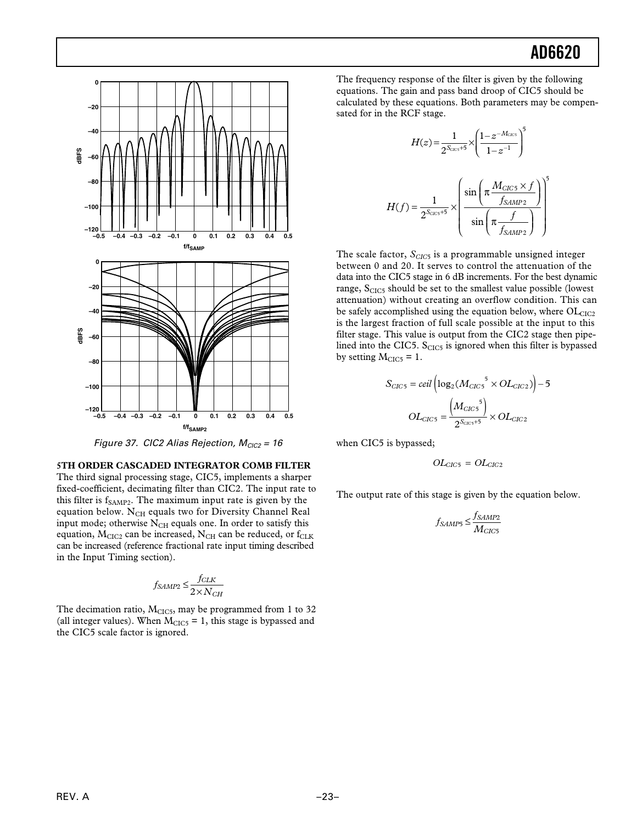

$$
H(z) = \frac{1}{2^{S_{\text{CCS}}+5}} \times \left(\frac{1-z^{-M_{\text{CCS}}}}{1-z^{-1}}\right)^5
$$

$$
H(f) = \frac{1}{2^{S_{\text{CCS}}+5}} \times \left(\frac{\sin\left(\pi \frac{M_{\text{CICS}} \times f}{f_{\text{SAMP2}}}\right)}{\sin\left(\pi \frac{f}{f_{\text{SAMP2}}}\right)}\right)^5
$$

The scale factor,  $S_{ClC5}$  is a programmable unsigned integer between 0 and 20. It serves to control the attenuation of the data into the CIC5 stage in 6 dB increments. For the best dynamic range, S<sub>CIC5</sub> should be set to the smallest value possible (lowest attenuation) without creating an overflow condition. This can be safely accomplished using the equation below, where  $OL<sub>CIC2</sub>$ is the largest fraction of full scale possible at the input to this filter stage. This value is output from the CIC2 stage then pipelined into the CIC5.  $S<sub>CIC5</sub>$  is ignored when this filter is bypassed by setting  $M<sub>CIC5</sub> = 1$ .

$$
S_{CIC5} = ceil \left( \log_2(M_{CIC5}^5 \times OL_{CIC2}) \right) - 5
$$

$$
OL_{CIC5} = \frac{M_{CIC5}^5}{2^{S_{CIC5}+5}} \times OL_{CIC2}
$$

when CIC5 is bypassed;

$$
OL_{CIC5} = OL_{CIC2}
$$

The output rate of this stage is given by the equation below.

$$
f_{SAMP5} \leq \frac{f_{SAMP2}}{M_{CIC5}}
$$



Figure 37. CIC2 Alias Rejection,  $M_{ClC2} = 16$ 

**5TH ORDER CASCADED INTEGRATOR COMB FILTER** The third signal processing stage, CIC5, implements a sharper fixed-coefficient, decimating filter than CIC2. The input rate to this filter is  $f_{\mathrm{SAMP2}}$ . The maximum input rate is given by the equation below. N<sub>CH</sub> equals two for Diversity Channel Real input mode; otherwise  $N<sub>CH</sub>$  equals one. In order to satisfy this equation,  $M<sub>CIC2</sub>$  can be increased,  $N<sub>CH</sub>$  can be reduced, or  $f<sub>CLK</sub>$ can be increased (reference fractional rate input timing described in the Input Timing section).

$$
f_{SAMP2} \leq \frac{f_{CLK}}{2 \times N_{CH}}
$$

The decimation ratio,  $M<sub>CIC5</sub>$ , may be programmed from 1 to 32 (all integer values). When  $M<sub>CIC5</sub> = 1$ , this stage is bypassed and the CIC5 scale factor is ignored.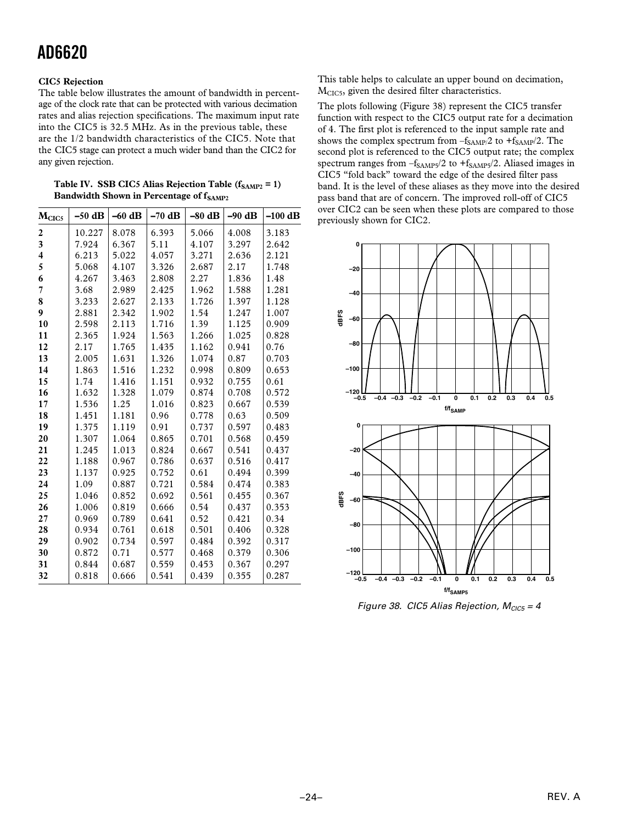## **CIC5 Rejection**

The table below illustrates the amount of bandwidth in percentage of the clock rate that can be protected with various decimation rates and alias rejection specifications. The maximum input rate into the CIC5 is 32.5 MHz. As in the previous table, these are the 1/2 bandwidth characteristics of the CIC5. Note that the CIC5 stage can protect a much wider band than the CIC2 for any given rejection.

| M <sub>CIC5</sub>       | $-50$ dB | $-60$ dB | $-70$ dB | $-80$ dB | $-90$ dB | $-100$ dB |
|-------------------------|----------|----------|----------|----------|----------|-----------|
| $\overline{2}$          | 10.227   | 8.078    | 6.393    | 5.066    | 4.008    | 3.183     |
| 3                       | 7.924    | 6.367    | 5.11     | 4.107    | 3.297    | 2.642     |
| $\overline{\mathbf{4}}$ | 6.213    | 5.022    | 4.057    | 3.271    | 2.636    | 2.121     |
| 5                       | 5.068    | 4.107    | 3.326    | 2.687    | 2.17     | 1.748     |
| 6                       | 4.267    | 3.463    | 2.808    | 2.27     | 1.836    | 1.48      |
| 7                       | 3.68     | 2.989    | 2.425    | 1.962    | 1.588    | 1.281     |
| 8                       | 3.233    | 2.627    | 2.133    | 1.726    | 1.397    | 1.128     |
| 9                       | 2.881    | 2.342    | 1.902    | 1.54     | 1.247    | 1.007     |
| 10                      | 2.598    | 2.113    | 1.716    | 1.39     | 1.125    | 0.909     |
| 11                      | 2.365    | 1.924    | 1.563    | 1.266    | 1.025    | 0.828     |
| 12                      | 2.17     | 1.765    | 1.435    | 1.162    | 0.941    | 0.76      |
| 13                      | 2.005    | 1.631    | 1.326    | 1.074    | 0.87     | 0.703     |
| 14                      | 1.863    | 1.516    | 1.232    | 0.998    | 0.809    | 0.653     |
| 15                      | 1.74     | 1.416    | 1.151    | 0.932    | 0.755    | 0.61      |
| 16                      | 1.632    | 1.328    | 1.079    | 0.874    | 0.708    | 0.572     |
| 17                      | 1.536    | 1.25     | 1.016    | 0.823    | 0.667    | 0.539     |
| 18                      | 1.451    | 1.181    | 0.96     | 0.778    | 0.63     | 0.509     |
| 19                      | 1.375    | 1.119    | 0.91     | 0.737    | 0.597    | 0.483     |
| 20                      | 1.307    | 1.064    | 0.865    | 0.701    | 0.568    | 0.459     |
| 21                      | 1.245    | 1.013    | 0.824    | 0.667    | 0.541    | 0.437     |
| 22                      | 1.188    | 0.967    | 0.786    | 0.637    | 0.516    | 0.417     |
| 23                      | 1.137    | 0.925    | 0.752    | 0.61     | 0.494    | 0.399     |
| 24                      | 1.09     | 0.887    | 0.721    | 0.584    | 0.474    | 0.383     |
| 25                      | 1.046    | 0.852    | 0.692    | 0.561    | 0.455    | 0.367     |
| 26                      | 1.006    | 0.819    | 0.666    | 0.54     | 0.437    | 0.353     |
| 27                      | 0.969    | 0.789    | 0.641    | 0.52     | 0.421    | 0.34      |
| 28                      | 0.934    | 0.761    | 0.618    | 0.501    | 0.406    | 0.328     |
| 29                      | 0.902    | 0.734    | 0.597    | 0.484    | 0.392    | 0.317     |
| 30                      | 0.872    | 0.71     | 0.577    | 0.468    | 0.379    | 0.306     |
| 31                      | 0.844    | 0.687    | 0.559    | 0.453    | 0.367    | 0.297     |
| 32                      | 0.818    | 0.666    | 0.541    | 0.439    | 0.355    | 0.287     |
|                         |          |          |          |          |          |           |

Table IV. SSB CIC5 Alias Rejection Table (f<sub>SAMP2</sub> = 1) **Bandwidth Shown in Percentage of f<sub>SAMP2</sub>** 

This table helps to calculate an upper bound on decimation, MCIC5, given the desired filter characteristics.

The plots following (Figure 38) represent the CIC5 transfer function with respect to the CIC5 output rate for a decimation of 4. The first plot is referenced to the input sample rate and shows the complex spectrum from  $-f_{SAMP}/2$  to  $+f_{SAMP}/2$ . The second plot is referenced to the CIC5 output rate; the complex spectrum ranges from  $-f_{SAMP5}/2$  to  $+f_{SAMP5}/2$ . Aliased images in CIC5 "fold back" toward the edge of the desired filter pass band. It is the level of these aliases as they move into the desired pass band that are of concern. The improved roll-off of CIC5 over CIC2 can be seen when these plots are compared to those previously shown for CIC2.



Figure 38. CIC5 Alias Rejection,  $M_{CIC5} = 4$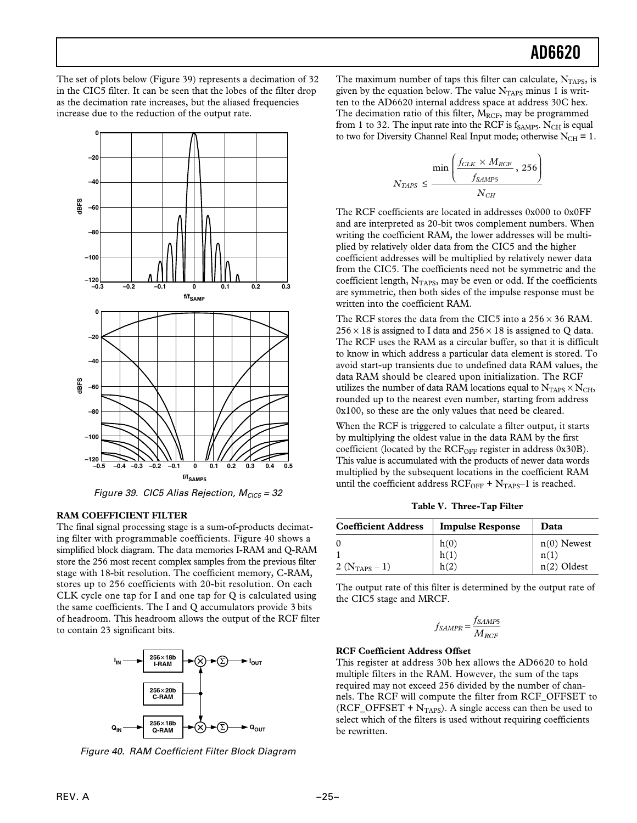The set of plots below (Figure 39) represents a decimation of 32 in the CIC5 filter. It can be seen that the lobes of the filter drop as the decimation rate increases, but the aliased frequencies increase due to the reduction of the output rate.



Figure 39. CIC5 Alias Rejection,  $M<sub>CIC5</sub> = 32$ 

#### **RAM COEFFICIENT FILTER**

The final signal processing stage is a sum-of-products decimating filter with programmable coefficients. Figure 40 shows a simplified block diagram. The data memories I-RAM and Q-RAM store the 256 most recent complex samples from the previous filter stage with 18-bit resolution. The coefficient memory, C-RAM, stores up to 256 coefficients with 20-bit resolution. On each CLK cycle one tap for I and one tap for Q is calculated using the same coefficients. The I and Q accumulators provide 3 bits of headroom. This headroom allows the output of the RCF filter to contain 23 significant bits.



Figure 40. RAM Coefficient Filter Block Diagram

The maximum number of taps this filter can calculate,  $N<sub>TAPS</sub>$ , is given by the equation below. The value  $N<sub>TAPS</sub>$  minus 1 is written to the AD6620 internal address space at address 30C hex. The decimation ratio of this filter,  $M_{RCF}$ , may be programmed from 1 to 32. The input rate into the RCF is  $f_{SAMP5}$ . N<sub>CH</sub> is equal to two for Diversity Channel Real Input mode; otherwise  $N_{CH} = 1$ .

$$
N_{TAPS} \leq \frac{\min\left(\frac{f_{CLK} \times M_{RCF}}{f_{SAMP5}}, 256\right)}{N_{CH}}
$$

The RCF coefficients are located in addresses 0x000 to 0x0FF and are interpreted as 20-bit twos complement numbers. When writing the coefficient RAM, the lower addresses will be multiplied by relatively older data from the CIC5 and the higher coefficient addresses will be multiplied by relatively newer data from the CIC5. The coefficients need not be symmetric and the coefficient length,  $N<sub>TAPS</sub>$ , may be even or odd. If the coefficients are symmetric, then both sides of the impulse response must be written into the coefficient RAM.

The RCF stores the data from the CIC5 into a 256 × 36 RAM.  $256 \times 18$  is assigned to I data and  $256 \times 18$  is assigned to Q data. The RCF uses the RAM as a circular buffer, so that it is difficult to know in which address a particular data element is stored. To avoid start-up transients due to undefined data RAM values, the data RAM should be cleared upon initialization. The RCF utilizes the number of data RAM locations equal to  $N_{TAPS} \times N_{CH}$ , rounded up to the nearest even number, starting from address 0x100, so these are the only values that need be cleared.

When the RCF is triggered to calculate a filter output, it starts by multiplying the oldest value in the data RAM by the first coefficient (located by the  $RCF_{OFF}$  register in address 0x30B). This value is accumulated with the products of newer data words multiplied by the subsequent locations in the coefficient RAM until the coefficient address  $RCF_{OFF} + N_{TAPS-1}$  is reached.

**Table V. Three-Tap Filter**

| <b>Coefficient Address</b> | <b>Impulse Response</b> | Data          |
|----------------------------|-------------------------|---------------|
| $\theta$                   | $h(0)$<br>$h(1)$        | $n(0)$ Newest |
|                            |                         | n(1)          |
| 2 ( $N_{TAPS} - 1$ )       | h(2)                    | $n(2)$ Oldest |

The output rate of this filter is determined by the output rate of the CIC5 stage and MRCF.

$$
f_{SAMPR} = \frac{f_{SAMP5}}{M_{RCF}}
$$

#### **RCF Coefficient Address Offset**

This register at address 30b hex allows the AD6620 to hold multiple filters in the RAM. However, the sum of the taps required may not exceed 256 divided by the number of channels. The RCF will compute the filter from RCF\_OFFSET to  $(RCF_OFFSET + N<sub>TAPS</sub>)$ . A single access can then be used to select which of the filters is used without requiring coefficients be rewritten.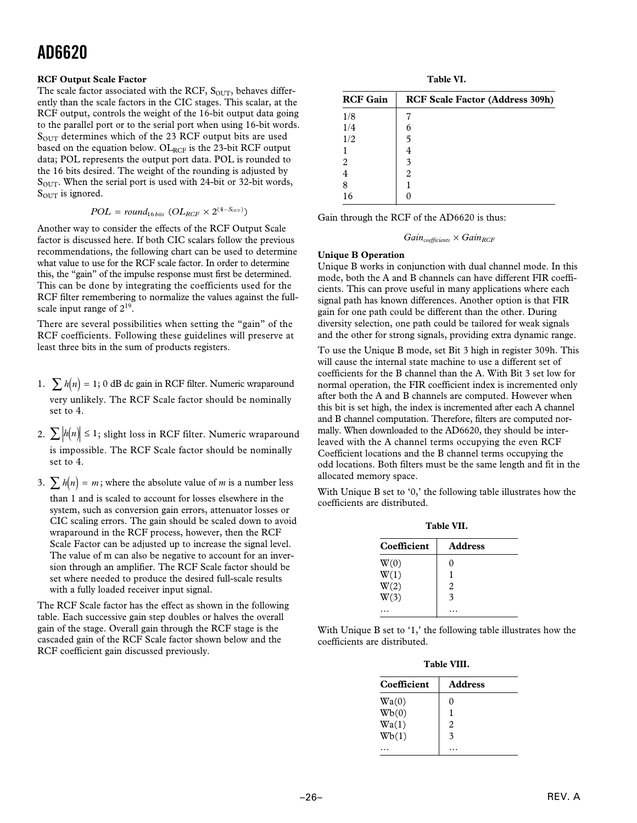#### **RCF Output Scale Factor**

The scale factor associated with the RCF,  $S<sub>OUT</sub>$ , behaves differently than the scale factors in the CIC stages. This scalar, at the RCF output, controls the weight of the 16-bit output data going to the parallel port or to the serial port when using 16-bit words.  $S<sub>OUT</sub>$  determines which of the 23 RCF output bits are used based on the equation below.  $OL_{RCF}$  is the 23-bit RCF output data; POL represents the output port data. POL is rounded to the 16 bits desired. The weight of the rounding is adjusted by  $S<sub>OUT</sub>$ . When the serial port is used with 24-bit or 32-bit words, S<sub>OUT</sub> is ignored.

$$
POL = round_{16 bits} (OL_{RCF} \times 2^{(4-S_{OUT})})
$$

Another way to consider the effects of the RCF Output Scale factor is discussed here. If both CIC scalars follow the previous recommendations, the following chart can be used to determine what value to use for the RCF scale factor. In order to determine this, the "gain" of the impulse response must first be determined. This can be done by integrating the coefficients used for the RCF filter remembering to normalize the values against the fullscale input range of  $2^{19}$ .

There are several possibilities when setting the "gain" of the RCF coefficients. Following these guidelines will preserve at least three bits in the sum of products registers.

- 1.  $\sum h(n) = 1$ ; 0 dB dc gain in RCF filter. Numeric wraparound very unlikely. The RCF Scale factor should be nominally set to 4.
- 2.  $\sum |h(n)| \leq 1$ ; slight loss in RCF filter. Numeric wraparound is impossible. The RCF Scale factor should be nominally set to 4.
- 3.  $\sum h(n) = m$ ; where the absolute value of *m* is a number less

than 1 and is scaled to account for losses elsewhere in the system, such as conversion gain errors, attenuator losses or CIC scaling errors. The gain should be scaled down to avoid wraparound in the RCF process, however, then the RCF Scale Factor can be adjusted up to increase the signal level. The value of m can also be negative to account for an inversion through an amplifier. The RCF Scale factor should be set where needed to produce the desired full-scale results with a fully loaded receiver input signal.

The RCF Scale factor has the effect as shown in the following table. Each successive gain step doubles or halves the overall gain of the stage. Overall gain through the RCF stage is the cascaded gain of the RCF Scale factor shown below and the RCF coefficient gain discussed previously.

**Table VI.**

| <b>RCF Gain</b> | <b>RCF Scale Factor (Address 309h)</b> |
|-----------------|----------------------------------------|
| 1/8             |                                        |
| 1/4             | 6                                      |
| 1/2             | 5                                      |
|                 | 4                                      |
| 2               | 3                                      |
|                 | 2                                      |
| 8               |                                        |
| 16              |                                        |

Gain through the RCF of the AD6620 is thus:

## $Gain_{coefficients} \times Gain_{RCF}$

#### **Unique B Operation**

Unique B works in conjunction with dual channel mode. In this mode, both the A and B channels can have different FIR coefficients. This can prove useful in many applications where each signal path has known differences. Another option is that FIR gain for one path could be different than the other. During diversity selection, one path could be tailored for weak signals and the other for strong signals, providing extra dynamic range.

To use the Unique B mode, set Bit 3 high in register 309h. This will cause the internal state machine to use a different set of coefficients for the B channel than the A. With Bit 3 set low for normal operation, the FIR coefficient index is incremented only after both the A and B channels are computed. However when this bit is set high, the index is incremented after each A channel and B channel computation. Therefore, filters are computed normally. When downloaded to the AD6620, they should be interleaved with the A channel terms occupying the even RCF Coefficient locations and the B channel terms occupying the odd locations. Both filters must be the same length and fit in the allocated memory space.

With Unique B set to '0,' the following table illustrates how the coefficients are distributed.

**Table VII.**

| Coefficient | <b>Address</b>    |
|-------------|-------------------|
| W(0)        | $\mathbf{\Omega}$ |
| W(1)        |                   |
| W(2)        | 2                 |
| W(3)        | 3                 |
|             |                   |

With Unique B set to '1,' the following table illustrates how the coefficients are distributed.

**Table VIII.**

| Coefficient | <b>Address</b>          |
|-------------|-------------------------|
| Wa(0)       | 0                       |
| Wb(0)       |                         |
| Wa(1)       | $\overline{\mathbf{c}}$ |
| Wb(1)       | $\mathbf{\hat{z}}$      |
|             |                         |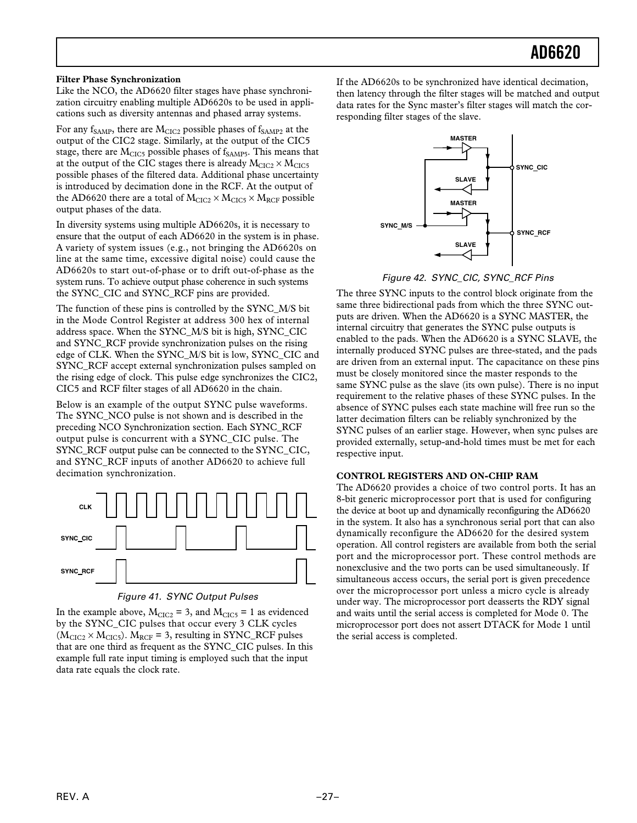#### **Filter Phase Synchronization**

Like the NCO, the AD6620 filter stages have phase synchronization circuitry enabling multiple AD6620s to be used in applications such as diversity antennas and phased array systems.

For any  $f_{SAMP}$ , there are  $M_{CIC2}$  possible phases of  $f_{SAMP2}$  at the output of the CIC2 stage. Similarly, at the output of the CIC5 stage, there are  $M<sub>CIC5</sub>$  possible phases of  $f<sub>SAMP5</sub>$ . This means that at the output of the CIC stages there is already  $M_{CIC2} \times M_{CIC5}$ possible phases of the filtered data. Additional phase uncertainty is introduced by decimation done in the RCF. At the output of the AD6620 there are a total of  $M_{CIC2} \times M_{CIC5} \times M_{RCF}$  possible output phases of the data.

In diversity systems using multiple AD6620s, it is necessary to ensure that the output of each AD6620 in the system is in phase. A variety of system issues (e.g., not bringing the AD6620s on line at the same time, excessive digital noise) could cause the AD6620s to start out-of-phase or to drift out-of-phase as the system runs. To achieve output phase coherence in such systems the SYNC\_CIC and SYNC\_RCF pins are provided.

The function of these pins is controlled by the SYNC\_M/S bit in the Mode Control Register at address 300 hex of internal address space. When the SYNC\_M/S bit is high, SYNC\_CIC and SYNC\_RCF provide synchronization pulses on the rising edge of CLK. When the SYNC\_M/S bit is low, SYNC\_CIC and SYNC\_RCF accept external synchronization pulses sampled on the rising edge of clock. This pulse edge synchronizes the CIC2, CIC5 and RCF filter stages of all AD6620 in the chain.

Below is an example of the output SYNC pulse waveforms. The SYNC\_NCO pulse is not shown and is described in the preceding NCO Synchronization section. Each SYNC\_RCF output pulse is concurrent with a SYNC\_CIC pulse. The SYNC\_RCF output pulse can be connected to the SYNC\_CIC, and SYNC\_RCF inputs of another AD6620 to achieve full decimation synchronization.



Figure 41. SYNC Output Pulses

In the example above,  $M<sub>CIC2</sub> = 3$ , and  $M<sub>CIC5</sub> = 1$  as evidenced by the SYNC\_CIC pulses that occur every 3 CLK cycles  $(M<sub>CIC2</sub> \times M<sub>CIC5</sub>)$ .  $M<sub>RCF</sub> = 3$ , resulting in SYNC\_RCF pulses that are one third as frequent as the SYNC\_CIC pulses. In this example full rate input timing is employed such that the input data rate equals the clock rate.

If the AD6620s to be synchronized have identical decimation, then latency through the filter stages will be matched and output data rates for the Sync master's filter stages will match the corresponding filter stages of the slave.



Figure 42. SYNC\_CIC, SYNC\_RCF Pins

The three SYNC inputs to the control block originate from the same three bidirectional pads from which the three SYNC outputs are driven. When the AD6620 is a SYNC MASTER, the internal circuitry that generates the SYNC pulse outputs is enabled to the pads. When the AD6620 is a SYNC SLAVE, the internally produced SYNC pulses are three-stated, and the pads are driven from an external input. The capacitance on these pins must be closely monitored since the master responds to the same SYNC pulse as the slave (its own pulse). There is no input requirement to the relative phases of these SYNC pulses. In the absence of SYNC pulses each state machine will free run so the latter decimation filters can be reliably synchronized by the SYNC pulses of an earlier stage. However, when sync pulses are provided externally, setup-and-hold times must be met for each respective input.

### **CONTROL REGISTERS AND ON-CHIP RAM**

The AD6620 provides a choice of two control ports. It has an 8-bit generic microprocessor port that is used for configuring the device at boot up and dynamically reconfiguring the AD6620 in the system. It also has a synchronous serial port that can also dynamically reconfigure the AD6620 for the desired system operation. All control registers are available from both the serial port and the microprocessor port. These control methods are nonexclusive and the two ports can be used simultaneously. If simultaneous access occurs, the serial port is given precedence over the microprocessor port unless a micro cycle is already under way. The microprocessor port deasserts the RDY signal and waits until the serial access is completed for Mode 0. The microprocessor port does not assert DTACK for Mode 1 until the serial access is completed.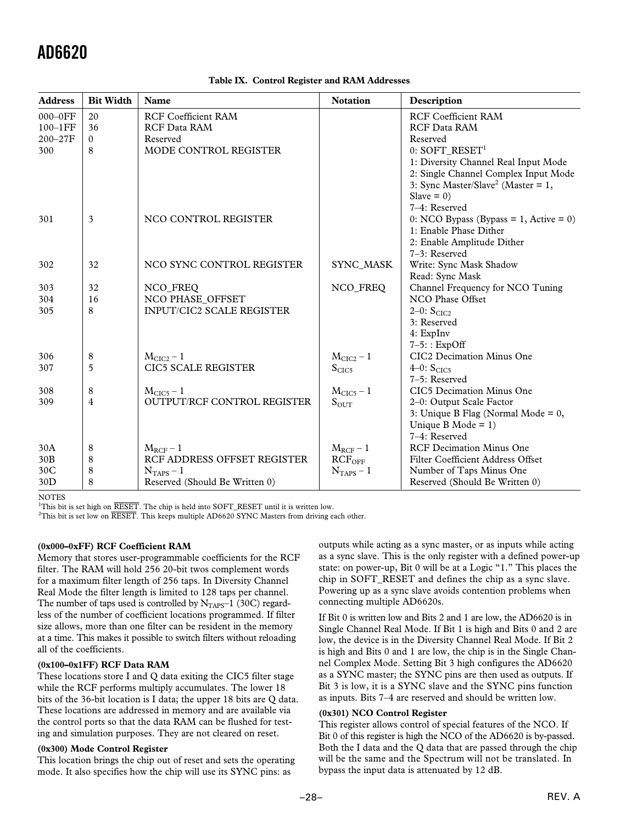| <b>Address</b> | <b>Bit Width</b> | Name                             | <b>Notation</b>    | Description                                    |
|----------------|------------------|----------------------------------|--------------------|------------------------------------------------|
| $000-0FF$      | 20               | <b>RCF Coefficient RAM</b>       |                    | <b>RCF Coefficient RAM</b>                     |
| $100-1FF$      | 36               | <b>RCF Data RAM</b>              |                    | <b>RCF Data RAM</b>                            |
| $200 - 27F$    | $\Omega$         | Reserved                         |                    | Reserved                                       |
| 300            | 8                | MODE CONTROL REGISTER            |                    | $0:$ SOFT_RESET <sup>1</sup>                   |
|                |                  |                                  |                    | 1: Diversity Channel Real Input Mode           |
|                |                  |                                  |                    | 2: Single Channel Complex Input Mode           |
|                |                  |                                  |                    | 3: Sync Master/Slave <sup>2</sup> (Master = 1, |
|                |                  |                                  |                    | Slave = $0$ )                                  |
|                |                  |                                  |                    | 7-4: Reserved                                  |
| 301            | 3                | NCO CONTROL REGISTER             |                    | 0: NCO Bypass (Bypass = 1, Active = 0)         |
|                |                  |                                  |                    | 1: Enable Phase Dither                         |
|                |                  |                                  |                    | 2: Enable Amplitude Dither                     |
|                |                  |                                  |                    | 7-3: Reserved                                  |
| 302            | 32               | NCO SYNC CONTROL REGISTER        | SYNC_MASK          | Write: Sync Mask Shadow                        |
|                |                  |                                  |                    | Read: Sync Mask                                |
| 303            | 32               | NCO_FREQ                         | NCO_FREQ           | Channel Frequency for NCO Tuning               |
| 304            | 16               | NCO PHASE OFFSET                 |                    | NCO Phase Offset                               |
| 305            | 8                | <b>INPUT/CIC2 SCALE REGISTER</b> |                    | $2-0$ : $SCIC2$                                |
|                |                  |                                  |                    | 3: Reserved                                    |
|                |                  |                                  |                    | $4:$ ExpInv                                    |
|                |                  |                                  |                    | $7-5$ : : ExpOff                               |
| 306            | 8                | $M_{CIC2} - 1$                   | $M_{CIC2} - 1$     | CIC <sub>2</sub> Decimation Minus One          |
| 307            | 5                | <b>CIC5 SCALE REGISTER</b>       | S <sub>CIC5</sub>  | 4–0: $S_{CIC5}$                                |
|                |                  |                                  |                    | 7-5: Reserved                                  |
| 308            | 8                | $MCIC5 - 1$                      | $MCIC5 - 1$        | CIC <sub>5</sub> Decimation Minus One          |
| 309            | 4                | OUTPUT/RCF CONTROL REGISTER      | $S_{\text{OUT}}$   | 2-0: Output Scale Factor                       |
|                |                  |                                  |                    | 3: Unique B Flag (Normal Mode = $0$ ,          |
|                |                  |                                  |                    | Unique B Mode = $1$ )                          |
|                |                  |                                  |                    | 7-4: Reserved                                  |
| 30A            | 8                | $M_{RCF}$ – 1                    | $M_{RCF} - 1$      | <b>RCF Decimation Minus One</b>                |
| 30B            | 8                | RCF ADDRESS OFFSET REGISTER      | RCF <sub>OFF</sub> | Filter Coefficient Address Offset              |
| 30C            | 8                | $NTAPS - 1$                      | $NTAPS - 1$        | Number of Taps Minus One                       |
| 30D            | 8                | Reserved (Should Be Written 0)   |                    | Reserved (Should Be Written 0)                 |

#### **Table IX. Control Register and RAM Addresses**

**NOTES** 

<sup>1</sup>This bit is set high on *RESET*. The chip is held into SOFT\_RESET until it is written low.

2 This bit is set low on *RESET*. This keeps multiple AD6620 SYNC Masters from driving each other.

#### **(0x000–0xFF) RCF Coefficient RAM**

Memory that stores user-programmable coefficients for the RCF filter. The RAM will hold 256 20-bit twos complement words for a maximum filter length of 256 taps. In Diversity Channel Real Mode the filter length is limited to 128 taps per channel. The number of taps used is controlled by  $N<sub>TAPS</sub>–1$  (30C) regardless of the number of coefficient locations programmed. If filter size allows, more than one filter can be resident in the memory at a time. This makes it possible to switch filters without reloading all of the coefficients.

#### **(0x100–0x1FF) RCF Data RAM**

These locations store I and Q data exiting the CIC5 filter stage while the RCF performs multiply accumulates. The lower 18 bits of the 36-bit location is I data; the upper 18 bits are Q data. These locations are addressed in memory and are available via the control ports so that the data RAM can be flushed for testing and simulation purposes. They are not cleared on reset.

#### **(0x300) Mode Control Register**

This location brings the chip out of reset and sets the operating mode. It also specifies how the chip will use its SYNC pins: as

outputs while acting as a sync master, or as inputs while acting as a sync slave. This is the only register with a defined power-up state: on power-up, Bit 0 will be at a Logic "1." This places the chip in SOFT\_RESET and defines the chip as a sync slave. Powering up as a sync slave avoids contention problems when connecting multiple AD6620s.

If Bit 0 is written low and Bits 2 and 1 are low, the AD6620 is in Single Channel Real Mode. If Bit 1 is high and Bits 0 and 2 are low, the device is in the Diversity Channel Real Mode. If Bit 2 is high and Bits 0 and 1 are low, the chip is in the Single Channel Complex Mode. Setting Bit 3 high configures the AD6620 as a SYNC master; the SYNC pins are then used as outputs. If Bit 3 is low, it is a SYNC slave and the SYNC pins function as inputs. Bits 7–4 are reserved and should be written low.

#### **(0x301) NCO Control Register**

This register allows control of special features of the NCO. If Bit 0 of this register is high the NCO of the AD6620 is by-passed. Both the I data and the Q data that are passed through the chip will be the same and the Spectrum will not be translated. In bypass the input data is attenuated by 12 dB.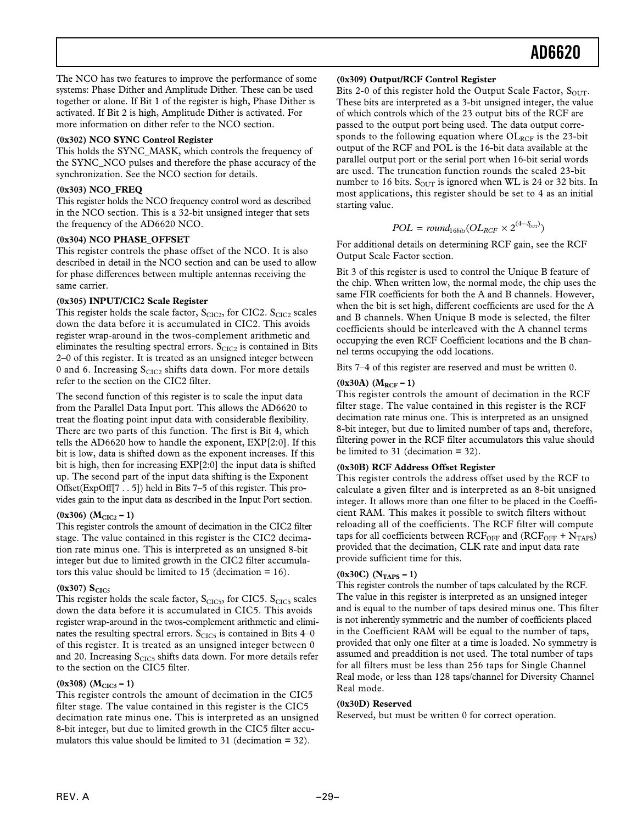The NCO has two features to improve the performance of some systems: Phase Dither and Amplitude Dither. These can be used together or alone. If Bit 1 of the register is high, Phase Dither is activated. If Bit 2 is high, Amplitude Dither is activated. For more information on dither refer to the NCO section.

### **(0x302) NCO SYNC Control Register**

This holds the SYNC\_MASK, which controls the frequency of the SYNC\_NCO pulses and therefore the phase accuracy of the synchronization. See the NCO section for details.

### **(0x303) NCO\_FREQ**

This register holds the NCO frequency control word as described in the NCO section. This is a 32-bit unsigned integer that sets the frequency of the AD6620 NCO.

### **(0x304) NCO PHASE\_OFFSET**

This register controls the phase offset of the NCO. It is also described in detail in the NCO section and can be used to allow for phase differences between multiple antennas receiving the same carrier.

### **(0x305) INPUT/CIC2 Scale Register**

This register holds the scale factor,  $S<sub>CIC2</sub>$ , for CIC2.  $S<sub>CIC2</sub>$  scales down the data before it is accumulated in CIC2. This avoids register wrap-around in the twos-complement arithmetic and eliminates the resulting spectral errors.  $S<sub>CIC2</sub>$  is contained in Bits 2–0 of this register. It is treated as an unsigned integer between 0 and 6. Increasing  $S<sub>CIC2</sub>$  shifts data down. For more details refer to the section on the CIC2 filter.

The second function of this register is to scale the input data from the Parallel Data Input port. This allows the AD6620 to treat the floating point input data with considerable flexibility. There are two parts of this function. The first is Bit 4, which tells the AD6620 how to handle the exponent, EXP[2:0]. If this bit is low, data is shifted down as the exponent increases. If this bit is high, then for increasing EXP[2:0] the input data is shifted up. The second part of the input data shifting is the Exponent Offset(ExpOff[7 . . 5]) held in Bits 7–5 of this register. This provides gain to the input data as described in the Input Port section.

### $(0x306)$   $(M<sub>CIC2</sub> - 1)$

This register controls the amount of decimation in the CIC2 filter stage. The value contained in this register is the CIC2 decimation rate minus one. This is interpreted as an unsigned 8-bit integer but due to limited growth in the CIC2 filter accumulators this value should be limited to 15 (decimation = 16).

#### $(0x307) S<sub>CIC5</sub>$

This register holds the scale factor,  $S_{CLC5}$ , for CIC5.  $S_{CLC5}$  scales down the data before it is accumulated in CIC5. This avoids register wrap-around in the twos-complement arithmetic and eliminates the resulting spectral errors.  $S<sub>CIC5</sub>$  is contained in Bits 4–0 of this register. It is treated as an unsigned integer between 0 and 20. Increasing  $S<sub>CIC5</sub>$  shifts data down. For more details refer to the section on the CIC5 filter.

#### $(0x308)$   $(M<sub>CIC5</sub> - 1)$

This register controls the amount of decimation in the CIC5 filter stage. The value contained in this register is the CIC5 decimation rate minus one. This is interpreted as an unsigned 8-bit integer, but due to limited growth in the CIC5 filter accumulators this value should be limited to 31 (decimation = 32).

#### **(0x309) Output/RCF Control Register**

Bits 2-0 of this register hold the Output Scale Factor,  $S_{OUT}$ . These bits are interpreted as a 3-bit unsigned integer, the value of which controls which of the 23 output bits of the RCF are passed to the output port being used. The data output corresponds to the following equation where  $OL_{RCF}$  is the 23-bit output of the RCF and POL is the 16-bit data available at the parallel output port or the serial port when 16-bit serial words are used. The truncation function rounds the scaled 23-bit number to 16 bits.  $S_{\text{OUT}}$  is ignored when WL is 24 or 32 bits. In most applications, this register should be set to 4 as an initial starting value.

$$
POL = round_{16bits}(OL_{RCF} \times 2^{(4-S_{btr})})
$$

For additional details on determining RCF gain, see the RCF Output Scale Factor section.

Bit 3 of this register is used to control the Unique B feature of the chip. When written low, the normal mode, the chip uses the same FIR coefficients for both the A and B channels. However, when the bit is set high, different coefficients are used for the A and B channels. When Unique B mode is selected, the filter coefficients should be interleaved with the A channel terms occupying the even RCF Coefficient locations and the B channel terms occupying the odd locations.

Bits 7–4 of this register are reserved and must be written 0.

### $(0x30A)$   $(M_{RCF} - 1)$

This register controls the amount of decimation in the RCF filter stage. The value contained in this register is the RCF decimation rate minus one. This is interpreted as an unsigned 8-bit integer, but due to limited number of taps and, therefore, filtering power in the RCF filter accumulators this value should be limited to 31 (decimation = 32).

#### **(0x30B) RCF Address Offset Register**

This register controls the address offset used by the RCF to calculate a given filter and is interpreted as an 8-bit unsigned integer. It allows more than one filter to be placed in the Coefficient RAM. This makes it possible to switch filters without reloading all of the coefficients. The RCF filter will compute taps for all coefficients between  $RCF_{OFF}$  and  $(RCF_{OFF} + N_{TAPS})$ provided that the decimation, CLK rate and input data rate provide sufficient time for this.

### **(0x30C) (NTAPS – 1)**

This register controls the number of taps calculated by the RCF. The value in this register is interpreted as an unsigned integer and is equal to the number of taps desired minus one. This filter is not inherently symmetric and the number of coefficients placed in the Coefficient RAM will be equal to the number of taps, provided that only one filter at a time is loaded. No symmetry is assumed and preaddition is not used. The total number of taps for all filters must be less than 256 taps for Single Channel Real mode, or less than 128 taps/channel for Diversity Channel Real mode.

#### **(0x30D) Reserved**

Reserved, but must be written 0 for correct operation.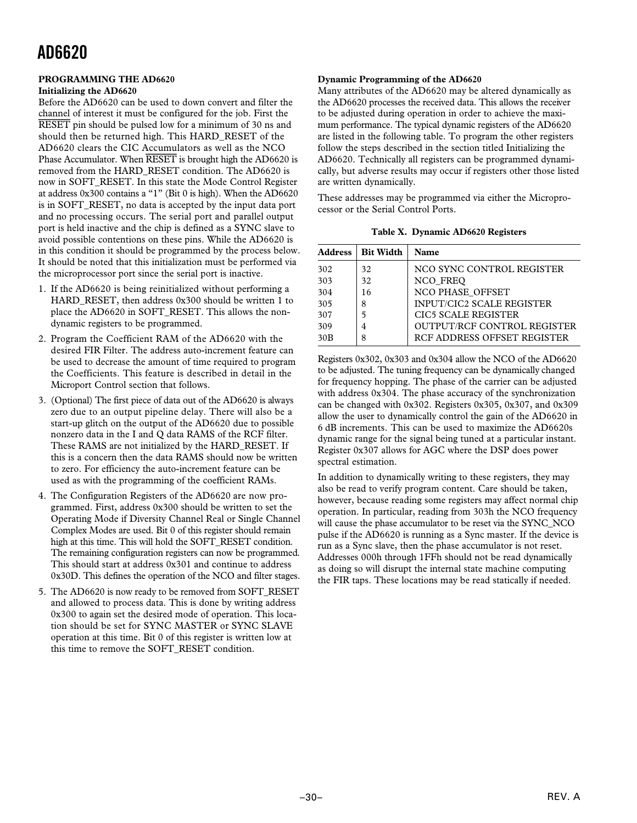#### **PROGRAMMING THE AD6620 Initializing the AD6620**

Before the AD6620 can be used to down convert and filter the channel of interest it must be configured for the job. First the *RESET* pin should be pulsed low for a minimum of 30 ns and should then be returned high. This HARD\_RESET of the AD6620 clears the CIC Accumulators as well as the NCO Phase Accumulator. When *RESET* is brought high the AD6620 is removed from the HARD\_RESET condition. The AD6620 is now in SOFT\_RESET. In this state the Mode Control Register at address 0x300 contains a "1" (Bit 0 is high). When the AD6620 is in SOFT\_RESET, no data is accepted by the input data port and no processing occurs. The serial port and parallel output port is held inactive and the chip is defined as a SYNC slave to avoid possible contentions on these pins. While the AD6620 is in this condition it should be programmed by the process below. It should be noted that this initialization must be performed via the microprocessor port since the serial port is inactive.

- 1. If the AD6620 is being reinitialized without performing a HARD\_RESET, then address 0x300 should be written 1 to place the AD6620 in SOFT\_RESET. This allows the nondynamic registers to be programmed.
- 2. Program the Coefficient RAM of the AD6620 with the desired FIR Filter. The address auto-increment feature can be used to decrease the amount of time required to program the Coefficients. This feature is described in detail in the Microport Control section that follows.
- 3. (Optional) The first piece of data out of the AD6620 is always zero due to an output pipeline delay. There will also be a start-up glitch on the output of the AD6620 due to possible nonzero data in the I and Q data RAMS of the RCF filter. These RAMS are not initialized by the HARD\_RESET. If this is a concern then the data RAMS should now be written to zero. For efficiency the auto-increment feature can be used as with the programming of the coefficient RAMs.
- 4. The Configuration Registers of the AD6620 are now programmed. First, address 0x300 should be written to set the Operating Mode if Diversity Channel Real or Single Channel Complex Modes are used. Bit 0 of this register should remain high at this time. This will hold the SOFT\_RESET condition. The remaining configuration registers can now be programmed. This should start at address 0x301 and continue to address 0x30D. This defines the operation of the NCO and filter stages.
- 5. The AD6620 is now ready to be removed from SOFT\_RESET and allowed to process data. This is done by writing address 0x300 to again set the desired mode of operation. This location should be set for SYNC MASTER or SYNC SLAVE operation at this time. Bit 0 of this register is written low at this time to remove the SOFT\_RESET condition.

### **Dynamic Programming of the AD6620**

Many attributes of the AD6620 may be altered dynamically as the AD6620 processes the received data. This allows the receiver to be adjusted during operation in order to achieve the maximum performance. The typical dynamic registers of the AD6620 are listed in the following table. To program the other registers follow the steps described in the section titled Initializing the AD6620. Technically all registers can be programmed dynamically, but adverse results may occur if registers other those listed are written dynamically.

These addresses may be programmed via either the Microprocessor or the Serial Control Ports.

**Table X. Dynamic AD6620 Registers**

| <b>Address</b> | <b>Bit Width</b> | <b>Name</b>                      |
|----------------|------------------|----------------------------------|
| 302            | 32               | NCO SYNC CONTROL REGISTER        |
| 303            | 32               | NCO FREO                         |
| 304            | 16               | NCO PHASE OFFSET                 |
| 305            | 8                | <b>INPUT/CIC2 SCALE REGISTER</b> |
| 307            | 5                | <b>CIC5 SCALE REGISTER</b>       |
| 309            |                  | OUTPUT/RCF CONTROL REGISTER      |
| 30B            | 8                | RCF ADDRESS OFFSET REGISTER      |

Registers 0x302, 0x303 and 0x304 allow the NCO of the AD6620 to be adjusted. The tuning frequency can be dynamically changed for frequency hopping. The phase of the carrier can be adjusted with address 0x304. The phase accuracy of the synchronization can be changed with 0x302. Registers 0x305, 0x307, and 0x309 allow the user to dynamically control the gain of the AD6620 in 6 dB increments. This can be used to maximize the AD6620s dynamic range for the signal being tuned at a particular instant. Register 0x307 allows for AGC where the DSP does power spectral estimation.

In addition to dynamically writing to these registers, they may also be read to verify program content. Care should be taken, however, because reading some registers may affect normal chip operation. In particular, reading from 303h the NCO frequency will cause the phase accumulator to be reset via the SYNC\_NCO pulse if the AD6620 is running as a Sync master. If the device is run as a Sync slave, then the phase accumulator is not reset. Addresses 000h through 1FFh should not be read dynamically as doing so will disrupt the internal state machine computing the FIR taps. These locations may be read statically if needed.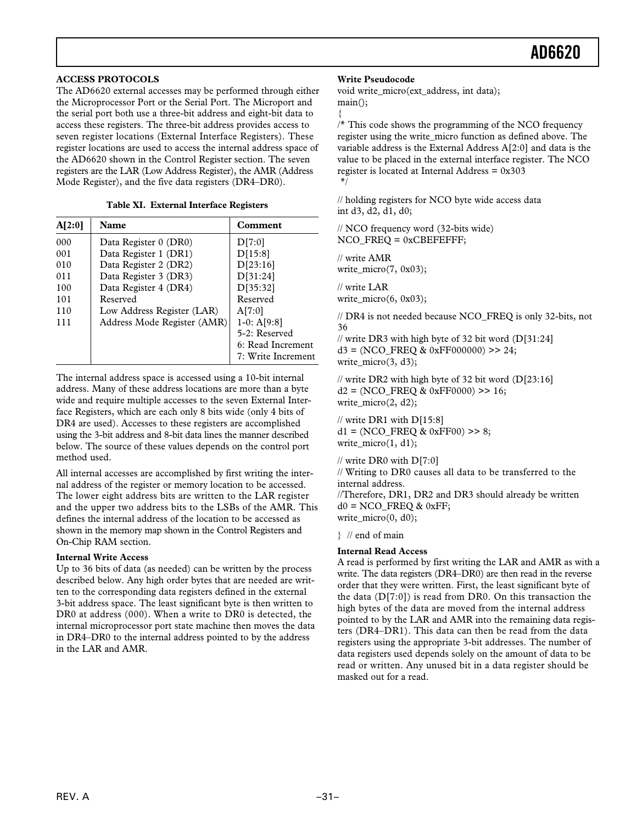### **ACCESS PROTOCOLS**

The AD6620 external accesses may be performed through either the Microprocessor Port or the Serial Port. The Microport and the serial port both use a three-bit address and eight-bit data to access these registers. The three-bit address provides access to seven register locations (External Interface Registers). These register locations are used to access the internal address space of the AD6620 shown in the Control Register section. The seven registers are the LAR (Low Address Register), the AMR (Address Mode Register), and the five data registers (DR4–DR0).

|  | Table XI. External Interface Registers |  |
|--|----------------------------------------|--|
|  |                                        |  |

| A[2:0] | Name                        | Comment            |
|--------|-----------------------------|--------------------|
| 000    | Data Register 0 (DR0)       | D[7:0]             |
| 001    | Data Register 1 (DR1)       | D[15:8]            |
| 010    | Data Register 2 (DR2)       | D[23:16]           |
| 011    | Data Register 3 (DR3)       | D[31:24]           |
| 100    | Data Register 4 (DR4)       | D[35:32]           |
| 101    | Reserved                    | Reserved           |
| 110    | Low Address Register (LAR)  | A[7:0]             |
| 111    | Address Mode Register (AMR) | $1-0: A[9:8]$      |
|        |                             | 5-2: Reserved      |
|        |                             | 6: Read Increment  |
|        |                             | 7: Write Increment |

The internal address space is accessed using a 10-bit internal address. Many of these address locations are more than a byte wide and require multiple accesses to the seven External Interface Registers, which are each only 8 bits wide (only 4 bits of DR4 are used). Accesses to these registers are accomplished using the 3-bit address and 8-bit data lines the manner described below. The source of these values depends on the control port method used.

All internal accesses are accomplished by first writing the internal address of the register or memory location to be accessed. The lower eight address bits are written to the LAR register and the upper two address bits to the LSBs of the AMR. This defines the internal address of the location to be accessed as shown in the memory map shown in the Control Registers and On-Chip RAM section.

#### **Internal Write Access**

Up to 36 bits of data (as needed) can be written by the process described below. Any high order bytes that are needed are written to the corresponding data registers defined in the external 3-bit address space. The least significant byte is then written to DR0 at address (000). When a write to DR0 is detected, the internal microprocessor port state machine then moves the data in DR4–DR0 to the internal address pointed to by the address in the LAR and AMR.

#### **Write Pseudocode**

void write micro(ext address, int data); main();

{

/\* This code shows the programming of the NCO frequency register using the write\_micro function as defined above. The variable address is the External Address A[2:0] and data is the value to be placed in the external interface register. The NCO register is located at Internal Address  $= 0x303$ \*/

// holding registers for NCO byte wide access data int d3, d2, d1, d0;

// NCO frequency word (32-bits wide) NCO\_FREQ = 0xCBEFEFFF;

// write AMR write\_micro(7, 0x03);

// write LAR write  $micro(6, 0x03);$ 

// DR4 is not needed because NCO\_FREQ is only 32-bits, not 36

// write DR3 with high byte of 32 bit word (D[31:24]  $d3 = (NCO$  FREQ & 0xFF000000) >> 24; write  $micro(3, d3);$ 

// write DR2 with high byte of 32 bit word (D[23:16]  $d2 = (NCO)$  FREQ & 0xFF0000) >> 16; write  $micro(2, d2);$ 

// write DR1 with D[15:8]  $d1 = (NCO$  FREQ & 0xFF00) >> 8; write\_micro(1, d1);

// write DR0 with D[7:0]

// Writing to DR0 causes all data to be transferred to the internal address. //Therefore, DR1, DR2 and DR3 should already be written

 $d0 = NCO$  FREQ & 0xFF; write\_micro(0, d0);

} // end of main

### **Internal Read Access**

A read is performed by first writing the LAR and AMR as with a write. The data registers (DR4–DR0) are then read in the reverse order that they were written. First, the least significant byte of the data  $(D[7:0])$  is read from DR0. On this transaction the high bytes of the data are moved from the internal address pointed to by the LAR and AMR into the remaining data registers (DR4–DR1). This data can then be read from the data registers using the appropriate 3-bit addresses. The number of data registers used depends solely on the amount of data to be read or written. Any unused bit in a data register should be masked out for a read.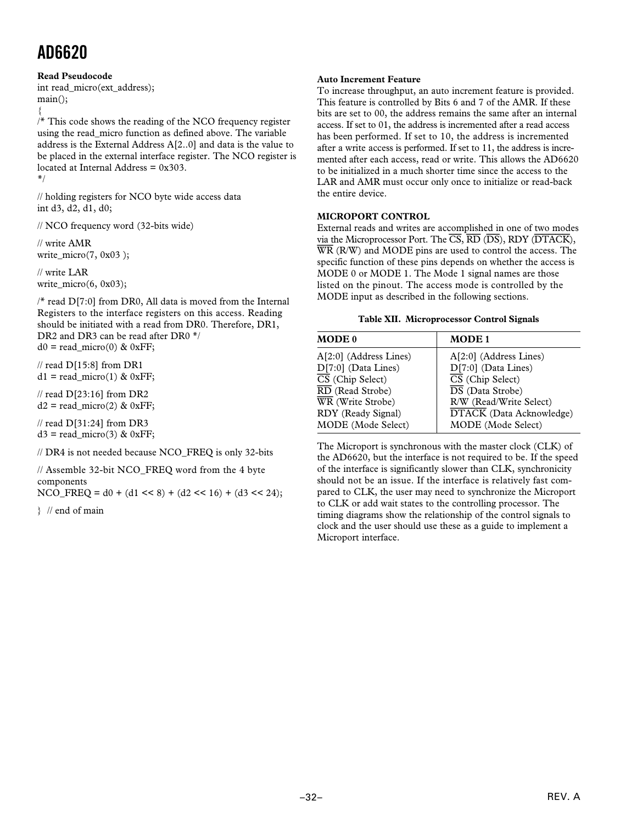### **Read Pseudocode**

int read\_micro(ext\_address); main();

{

 $/*$  This code shows the reading of the NCO frequency register using the read\_micro function as defined above. The variable address is the External Address A[2..0] and data is the value to be placed in the external interface register. The NCO register is located at Internal Address = 0x303.

\*/

// holding registers for NCO byte wide access data int d3, d2, d1, d0;

// NCO frequency word (32-bits wide)

// write AMR write  $micro(7, 0x03)$ ;

// write LAR write\_micro(6, 0x03);

/\* read D[7:0] from DR0, All data is moved from the Internal Registers to the interface registers on this access. Reading should be initiated with a read from DR0. Therefore, DR1, DR2 and DR3 can be read after DR0  $*/$  $d0 =$  read micro(0) & 0xFF;

 $\frac{1}{2}$  read D[15:8] from DR1  $d1 = read micro(1) & 0xFF;$ 

// read D[23:16] from DR2  $d2 = read\_micro(2)$  & 0xFF;

// read D[31:24] from DR3  $d3 = read\_micro(3)$  & 0xFF;

// DR4 is not needed because NCO\_FREQ is only 32-bits

// Assemble 32-bit NCO\_FREQ word from the 4 byte components

NCO\_FREQ =  $d0 + (d1 \le 8) + (d2 \le 16) + (d3 \le 24);$ 

} // end of main

#### **Auto Increment Feature**

To increase throughput, an auto increment feature is provided. This feature is controlled by Bits 6 and 7 of the AMR. If these bits are set to 00, the address remains the same after an internal access. If set to 01, the address is incremented after a read access has been performed. If set to 10, the address is incremented after a write access is performed. If set to 11, the address is incremented after each access, read or write. This allows the AD6620 to be initialized in a much shorter time since the access to the LAR and AMR must occur only once to initialize or read-back the entire device.

### **MICROPORT CONTROL**

External reads and writes are accomplished in one of two modes via the Microprocessor Port. The *CS*, *RD* (*DS*), RDY (*DTACK*), *WR* (R/W) and MODE pins are used to control the access. The specific function of these pins depends on whether the access is MODE 0 or MODE 1. The Mode 1 signal names are those listed on the pinout. The access mode is controlled by the MODE input as described in the following sections.

#### **Table XII. Microprocessor Control Signals**

| <b>MODE 0</b>                                                                                                                                                                       | <b>MODE1</b>                                                                                                                                                                                                   |
|-------------------------------------------------------------------------------------------------------------------------------------------------------------------------------------|----------------------------------------------------------------------------------------------------------------------------------------------------------------------------------------------------------------|
| A[2:0] (Address Lines)<br>$D[7:0]$ (Data Lines)<br>$\overline{\text{CS}}$ (Chip Select)<br>RD (Read Strobe)<br>WR (Write Strobe)<br>RDY (Ready Signal)<br><b>MODE</b> (Mode Select) | $A[2:0]$ (Address Lines)<br>$D[7:0]$ (Data Lines)<br>$\overline{\text{CS}}$ (Chip Select)<br>$\overline{DS}$ (Data Strobe)<br>R/W (Read/Write Select)<br><b>DTACK</b> (Data Acknowledge)<br>MODE (Mode Select) |

The Microport is synchronous with the master clock (CLK) of the AD6620, but the interface is not required to be. If the speed of the interface is significantly slower than CLK, synchronicity should not be an issue. If the interface is relatively fast compared to CLK, the user may need to synchronize the Microport to CLK or add wait states to the controlling processor. The timing diagrams show the relationship of the control signals to clock and the user should use these as a guide to implement a Microport interface.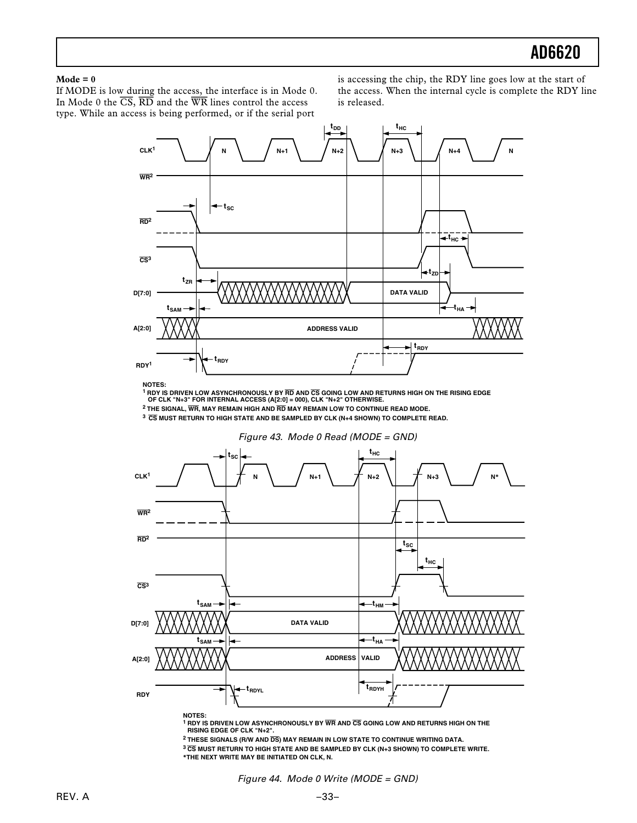#### **Mode = 0**

If MODE is low during the access, the interface is in Mode 0. In Mode 0 the *CS*, *RD* and the *WR* lines control the access type. While an access is being performed, or if the serial port

is accessing the chip, the RDY line goes low at the start of the access. When the internal cycle is complete the RDY line is released.



**NOTES:**

**1 RDY IS DRIVEN LOW ASYNCHRONOUSLY BY RD AND CS GOING LOW AND RETURNS HIGH ON THE RISING EDGE OF CLK "N+3" FOR INTERNAL ACCESS (A[2:0] = 000), CLK "N+2" OTHERWISE.**

**2 THE SIGNAL, WR, MAY REMAIN HIGH AND RD MAY REMAIN LOW TO CONTINUE READ MODE.**

**<sup>3</sup>CS MUST RETURN TO HIGH STATE AND BE SAMPLED BY CLK (N+4 SHOWN) TO COMPLETE READ.**



**1 RDY IS DRIVEN LOW ASYNCHRONOUSLY BY WR AND CS GOING LOW AND RETURNS HIGH ON THE RISING EDGE OF CLK "N+2".**

**2 THESE SIGNALS (R/W AND DS) MAY REMAIN IN LOW STATE TO CONTINUE WRITING DATA.**

**<sup>3</sup>CS MUST RETURN TO HIGH STATE AND BE SAMPLED BY CLK (N+3 SHOWN) TO COMPLETE WRITE. \*THE NEXT WRITE MAY BE INITIATED ON CLK, N.**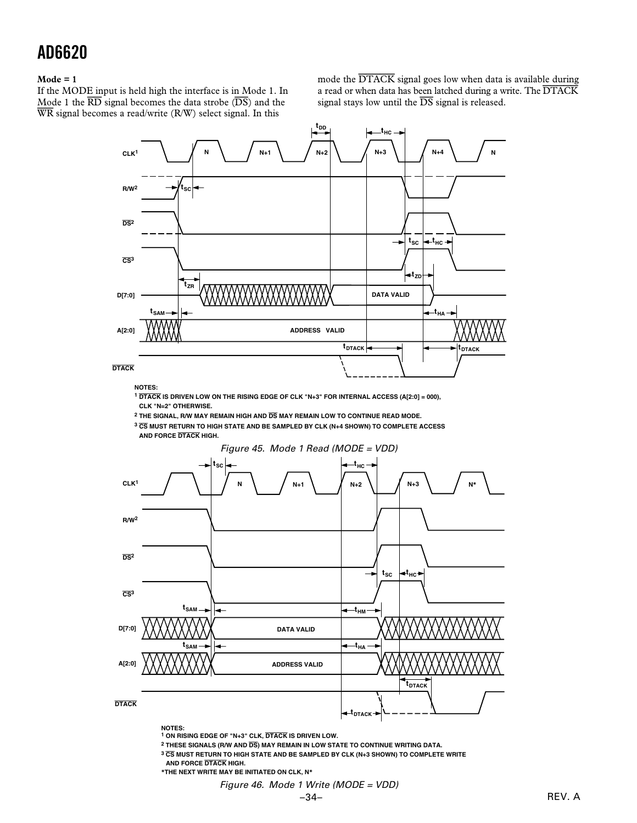#### **Mode = 1**

If the MODE input is held high the interface is in Mode 1. In Mode 1 the *RD* signal becomes the data strobe (*DS*) and the *WR* signal becomes a read/write (R/W) select signal. In this

mode the *DTACK* signal goes low when data is available during a read or when data has been latched during a write. The *DTACK* signal stays low until the *DS* signal is released.



**NOTES:**

**<sup>1</sup> DTACK IS DRIVEN LOW ON THE RISING EDGE OF CLK "N+3" FOR INTERNAL ACCESS (A[2:0] = 000), CLK "N=2" OTHERWISE.**

**2 THE SIGNAL, R/W MAY REMAIN HIGH AND DS MAY REMAIN LOW TO CONTINUE READ MODE.**

**<sup>3</sup> CS MUST RETURN TO HIGH STATE AND BE SAMPLED BY CLK (N+4 SHOWN) TO COMPLETE ACCESS AND FORCE DTACK HIGH.**



**1 ON RISING EDGE OF "N+3" CLK, DTACK IS DRIVEN LOW.**

- **2 THESE SIGNALS (R/W AND DS) MAY REMAIN IN LOW STATE TO CONTINUE WRITING DATA.**
- **<sup>3</sup> CS MUST RETURN TO HIGH STATE AND BE SAMPLED BY CLK (N+3 SHOWN) TO COMPLETE WRITE AND FORCE DTACK HIGH.**
- **\*THE NEXT WRITE MAY BE INITIATED ON CLK, N\***
	- Figure 46. Mode 1 Write (MODE = VDD)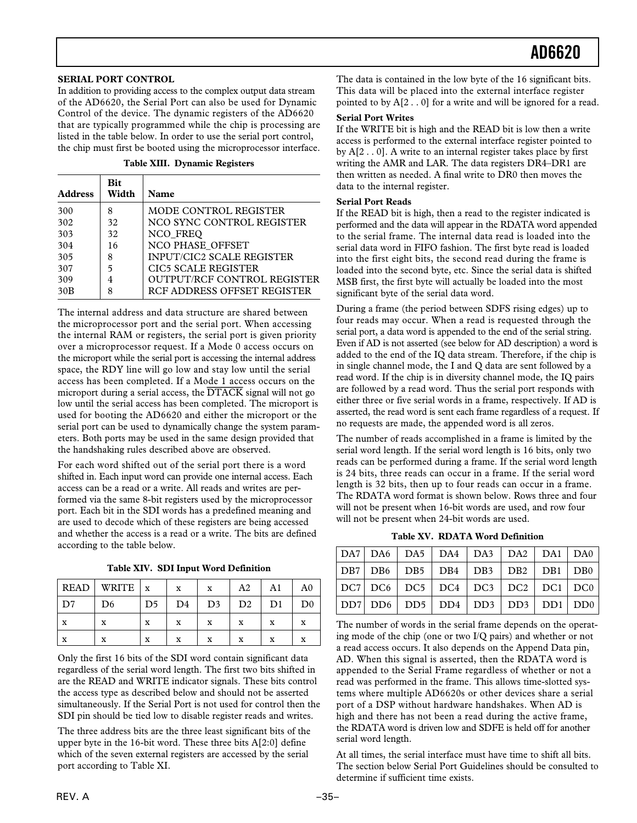#### **SERIAL PORT CONTROL**

In addition to providing access to the complex output data stream of the AD6620, the Serial Port can also be used for Dynamic Control of the device. The dynamic registers of the AD6620 that are typically programmed while the chip is processing are listed in the table below. In order to use the serial port control, the chip must first be booted using the microprocessor interface.

**Table XIII. Dynamic Registers**

| <b>Address</b> | <b>Bit</b><br>Width | Name                             |
|----------------|---------------------|----------------------------------|
| 300            | 8                   | MODE CONTROL REGISTER            |
| 302            | 32                  | NCO SYNC CONTROL REGISTER        |
| 303            | 32                  | NCO FREO                         |
| 304            | 16                  | NCO PHASE OFFSET                 |
| 305            | 8                   | <b>INPUT/CIC2 SCALE REGISTER</b> |
| 307            | 5                   | CIC5 SCALE REGISTER              |
| 309            | 4                   | OUTPUT/RCF CONTROL REGISTER      |
| 30B            | 8                   | RCF ADDRESS OFFSET REGISTER      |

The internal address and data structure are shared between the microprocessor port and the serial port. When accessing the internal RAM or registers, the serial port is given priority over a microprocessor request. If a Mode 0 access occurs on the microport while the serial port is accessing the internal address space, the RDY line will go low and stay low until the serial access has been completed. If a Mode 1 access occurs on the microport during a serial access, the *DTACK* signal will not go low until the serial access has been completed. The microport is used for booting the AD6620 and either the microport or the serial port can be used to dynamically change the system parameters. Both ports may be used in the same design provided that the handshaking rules described above are observed.

For each word shifted out of the serial port there is a word shifted in. Each input word can provide one internal access. Each access can be a read or a write. All reads and writes are performed via the same 8-bit registers used by the microprocessor port. Each bit in the SDI words has a predefined meaning and are used to decode which of these registers are being accessed and whether the access is a read or a write. The bits are defined according to the table below.

**Table XIV. SDI Input Word Definition**

| <b>READ</b> | WRITE $\vert x \vert$ |    | X              | X              | A <sub>2</sub> | A1 | A0             |
|-------------|-----------------------|----|----------------|----------------|----------------|----|----------------|
| D7          | D <sub>6</sub>        | D5 | D <sub>4</sub> | D <sub>3</sub> | D <sub>2</sub> | D1 | D <sub>0</sub> |
| x           | x                     | X  | X              | x              | x              | x  | x              |
| x           | x                     | X  | X              | x              | x              | x  | x              |

Only the first 16 bits of the SDI word contain significant data regardless of the serial word length. The first two bits shifted in are the READ and WRITE indicator signals. These bits control the access type as described below and should not be asserted simultaneously. If the Serial Port is not used for control then the SDI pin should be tied low to disable register reads and writes.

The three address bits are the three least significant bits of the upper byte in the 16-bit word. These three bits A[2:0] define which of the seven external registers are accessed by the serial port according to Table XI.

The data is contained in the low byte of the 16 significant bits. This data will be placed into the external interface register pointed to by A[2 . . 0] for a write and will be ignored for a read.

#### **Serial Port Writes**

If the WRITE bit is high and the READ bit is low then a write access is performed to the external interface register pointed to by A[2 . . 0]. A write to an internal register takes place by first writing the AMR and LAR. The data registers DR4–DR1 are then written as needed. A final write to DR0 then moves the data to the internal register.

#### **Serial Port Reads**

If the READ bit is high, then a read to the register indicated is performed and the data will appear in the RDATA word appended to the serial frame. The internal data read is loaded into the serial data word in FIFO fashion. The first byte read is loaded into the first eight bits, the second read during the frame is loaded into the second byte, etc. Since the serial data is shifted MSB first, the first byte will actually be loaded into the most significant byte of the serial data word.

During a frame (the period between SDFS rising edges) up to four reads may occur. When a read is requested through the serial port, a data word is appended to the end of the serial string. Even if AD is not asserted (see below for AD description) a word is added to the end of the IQ data stream. Therefore, if the chip is in single channel mode, the I and Q data are sent followed by a read word. If the chip is in diversity channel mode, the IQ pairs are followed by a read word. Thus the serial port responds with either three or five serial words in a frame, respectively. If AD is asserted, the read word is sent each frame regardless of a request. If no requests are made, the appended word is all zeros.

The number of reads accomplished in a frame is limited by the serial word length. If the serial word length is 16 bits, only two reads can be performed during a frame. If the serial word length is 24 bits, three reads can occur in a frame. If the serial word length is 32 bits, then up to four reads can occur in a frame. The RDATA word format is shown below. Rows three and four will not be present when 16-bit words are used, and row four will not be present when 24-bit words are used.

**Table XV. RDATA Word Definition**

|  | DA7   DA6   DA5   DA4   DA3   DA2   DA1   DA0                                                           |  |  |
|--|---------------------------------------------------------------------------------------------------------|--|--|
|  | DB7   DB6   DB5   DB4   DB3   DB2   DB1   DB0                                                           |  |  |
|  | DC7   DC6   DC5   DC4   DC3   DC2   DC1   DC0                                                           |  |  |
|  | $\vert$ DD7 $\vert$ DD6 $\vert$ DD5 $\vert$ DD4 $\vert$ DD3 $\vert$ DD3 $\vert$ DD1 $\vert$ DD0 $\vert$ |  |  |

The number of words in the serial frame depends on the operating mode of the chip (one or two I/Q pairs) and whether or not a read access occurs. It also depends on the Append Data pin, AD. When this signal is asserted, then the RDATA word is appended to the Serial Frame regardless of whether or not a read was performed in the frame. This allows time-slotted systems where multiple AD6620s or other devices share a serial port of a DSP without hardware handshakes. When AD is high and there has not been a read during the active frame, the RDATA word is driven low and SDFE is held off for another serial word length.

At all times, the serial interface must have time to shift all bits. The section below Serial Port Guidelines should be consulted to determine if sufficient time exists.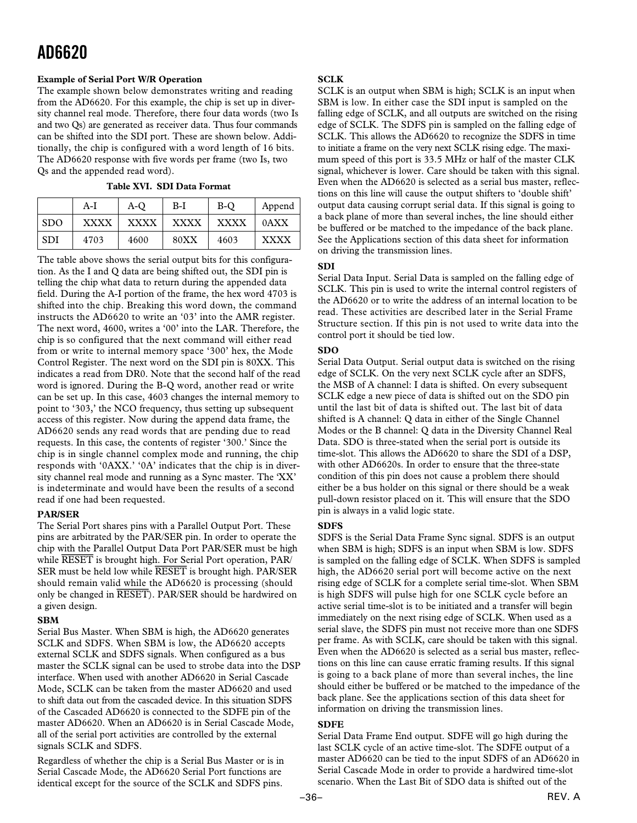#### **Example of Serial Port W/R Operation**

The example shown below demonstrates writing and reading from the AD6620. For this example, the chip is set up in diversity channel real mode. Therefore, there four data words (two Is and two Qs) are generated as receiver data. Thus four commands can be shifted into the SDI port. These are shown below. Additionally, the chip is configured with a word length of 16 bits. The AD6620 response with five words per frame (two Is, two Qs and the appended read word).

#### **Table XVI. SDI Data Format**

|            | A-I         | A-O         | B-I         | B-O         | Append      |
|------------|-------------|-------------|-------------|-------------|-------------|
| <b>SDO</b> | <b>XXXX</b> | <b>XXXX</b> | <b>XXXX</b> | <b>XXXX</b> | 0AXX        |
| <b>SDI</b> | 4703        | 4600        | 80XX        | 4603        | <b>XXXX</b> |

The table above shows the serial output bits for this configuration. As the I and Q data are being shifted out, the SDI pin is telling the chip what data to return during the appended data field. During the A-I portion of the frame, the hex word 4703 is shifted into the chip. Breaking this word down, the command instructs the AD6620 to write an '03' into the AMR register. The next word, 4600, writes a '00' into the LAR. Therefore, the chip is so configured that the next command will either read from or write to internal memory space '300' hex, the Mode Control Register. The next word on the SDI pin is 80XX. This indicates a read from DR0. Note that the second half of the read word is ignored. During the B-Q word, another read or write can be set up. In this case, 4603 changes the internal memory to point to '303,' the NCO frequency, thus setting up subsequent access of this register. Now during the append data frame, the AD6620 sends any read words that are pending due to read requests. In this case, the contents of register '300.' Since the chip is in single channel complex mode and running, the chip responds with '0AXX.' '0A' indicates that the chip is in diversity channel real mode and running as a Sync master. The 'XX' is indeterminate and would have been the results of a second read if one had been requested.

### **PAR/SER**

The Serial Port shares pins with a Parallel Output Port. These pins are arbitrated by the PAR/SER pin. In order to operate the chip with the Parallel Output Data Port PAR/SER must be high while *RESET* is brought high. For Serial Port operation, PAR/ SER must be held low while *RESET* is brought high. PAR/SER should remain valid while the AD6620 is processing (should only be changed in *RESET*). PAR/SER should be hardwired on a given design.

### **SBM**

Serial Bus Master. When SBM is high, the AD6620 generates SCLK and SDFS. When SBM is low, the AD6620 accepts external SCLK and SDFS signals. When configured as a bus master the SCLK signal can be used to strobe data into the DSP interface. When used with another AD6620 in Serial Cascade Mode, SCLK can be taken from the master AD6620 and used to shift data out from the cascaded device. In this situation SDFS of the Cascaded AD6620 is connected to the SDFE pin of the master AD6620. When an AD6620 is in Serial Cascade Mode, all of the serial port activities are controlled by the external signals SCLK and SDFS.

Regardless of whether the chip is a Serial Bus Master or is in Serial Cascade Mode, the AD6620 Serial Port functions are identical except for the source of the SCLK and SDFS pins.

### **SCLK**

SCLK is an output when SBM is high; SCLK is an input when SBM is low. In either case the SDI input is sampled on the falling edge of SCLK, and all outputs are switched on the rising edge of SCLK. The SDFS pin is sampled on the falling edge of SCLK. This allows the AD6620 to recognize the SDFS in time to initiate a frame on the very next SCLK rising edge. The maximum speed of this port is 33.5 MHz or half of the master CLK signal, whichever is lower. Care should be taken with this signal. Even when the AD6620 is selected as a serial bus master, reflections on this line will cause the output shifters to 'double shift' output data causing corrupt serial data. If this signal is going to a back plane of more than several inches, the line should either be buffered or be matched to the impedance of the back plane. See the Applications section of this data sheet for information on driving the transmission lines.

### **SDI**

Serial Data Input. Serial Data is sampled on the falling edge of SCLK. This pin is used to write the internal control registers of the AD6620 or to write the address of an internal location to be read. These activities are described later in the Serial Frame Structure section. If this pin is not used to write data into the control port it should be tied low.

### **SDO**

Serial Data Output. Serial output data is switched on the rising edge of SCLK. On the very next SCLK cycle after an SDFS, the MSB of A channel: I data is shifted. On every subsequent SCLK edge a new piece of data is shifted out on the SDO pin until the last bit of data is shifted out. The last bit of data shifted is A channel: Q data in either of the Single Channel Modes or the B channel: Q data in the Diversity Channel Real Data. SDO is three-stated when the serial port is outside its time-slot. This allows the AD6620 to share the SDI of a DSP, with other AD6620s. In order to ensure that the three-state condition of this pin does not cause a problem there should either be a bus holder on this signal or there should be a weak pull-down resistor placed on it. This will ensure that the SDO pin is always in a valid logic state.

#### **SDFS**

SDFS is the Serial Data Frame Sync signal. SDFS is an output when SBM is high; SDFS is an input when SBM is low. SDFS is sampled on the falling edge of SCLK. When SDFS is sampled high, the AD6620 serial port will become active on the next rising edge of SCLK for a complete serial time-slot. When SBM is high SDFS will pulse high for one SCLK cycle before an active serial time-slot is to be initiated and a transfer will begin immediately on the next rising edge of SCLK. When used as a serial slave, the SDFS pin must not receive more than one SDFS per frame. As with SCLK, care should be taken with this signal. Even when the AD6620 is selected as a serial bus master, reflections on this line can cause erratic framing results. If this signal is going to a back plane of more than several inches, the line should either be buffered or be matched to the impedance of the back plane. See the applications section of this data sheet for information on driving the transmission lines.

#### **SDFE**

Serial Data Frame End output. SDFE will go high during the last SCLK cycle of an active time-slot. The SDFE output of a master AD6620 can be tied to the input SDFS of an AD6620 in Serial Cascade Mode in order to provide a hardwired time-slot scenario. When the Last Bit of SDO data is shifted out of the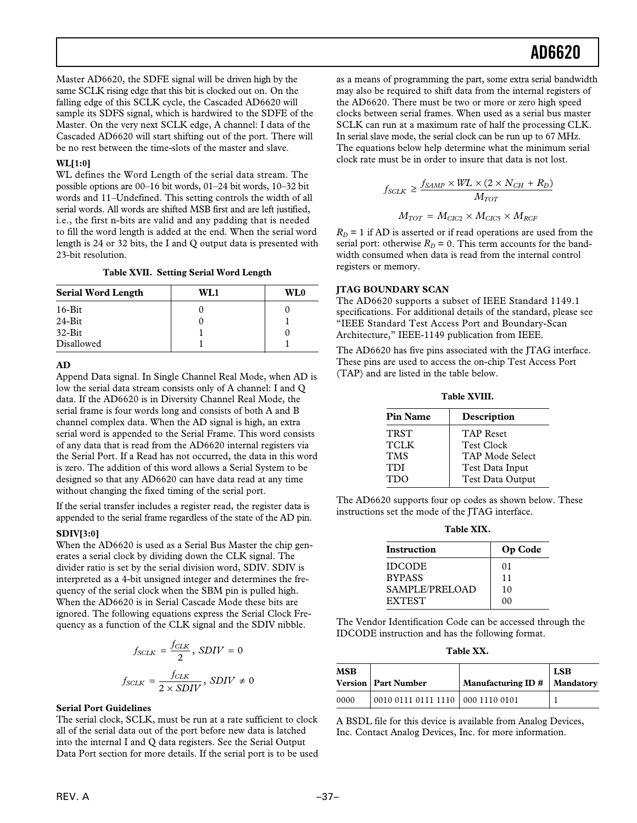Master AD6620, the SDFE signal will be driven high by the same SCLK rising edge that this bit is clocked out on. On the falling edge of this SCLK cycle, the Cascaded AD6620 will sample its SDFS signal, which is hardwired to the SDFE of the Master. On the very next SCLK edge, A channel: I data of the Cascaded AD6620 will start shifting out of the port. There will be no rest between the time-slots of the master and slave.

#### **WL[1:0]**

WL defines the Word Length of the serial data stream. The possible options are 00–16 bit words, 01–24 bit words, 10–32 bit words and 11–Undefined. This setting controls the width of all serial words. All words are shifted MSB first and are left justified, i.e., the first n-bits are valid and any padding that is needed to fill the word length is added at the end. When the serial word length is 24 or 32 bits, the I and Q output data is presented with 23-bit resolution.

### **Table XVII. Setting Serial Word Length**

| <b>Serial Word Length</b> | WL1 | WL0 |  |
|---------------------------|-----|-----|--|
| $16$ -Bit                 |     |     |  |
| $24 - Bit$                |     |     |  |
| $32-Hit$                  |     |     |  |
| Disallowed                |     |     |  |

#### **AD**

Append Data signal. In Single Channel Real Mode, when AD is low the serial data stream consists only of A channel: I and Q data. If the AD6620 is in Diversity Channel Real Mode, the serial frame is four words long and consists of both A and B channel complex data. When the AD signal is high, an extra serial word is appended to the Serial Frame. This word consists of any data that is read from the AD6620 internal registers via the Serial Port. If a Read has not occurred, the data in this word is zero. The addition of this word allows a Serial System to be designed so that any AD6620 can have data read at any time without changing the fixed timing of the serial port.

If the serial transfer includes a register read, the register data is appended to the serial frame regardless of the state of the AD pin.

#### **SDIV[3:0]**

When the AD6620 is used as a Serial Bus Master the chip generates a serial clock by dividing down the CLK signal. The divider ratio is set by the serial division word, SDIV. SDIV is interpreted as a 4-bit unsigned integer and determines the frequency of the serial clock when the SBM pin is pulled high. When the AD6620 is in Serial Cascade Mode these bits are ignored. The following equations express the Serial Clock Frequency as a function of the CLK signal and the SDIV nibble.

$$
f_{SCLK} = \frac{f_{CLK}}{2}, SDIV = 0
$$

$$
f_{SCLK} = \frac{f_{CLK}}{2 \times SDIV}, SDIV \neq 0
$$

### **Serial Port Guidelines**

The serial clock, SCLK, must be run at a rate sufficient to clock all of the serial data out of the port before new data is latched into the internal I and Q data registers. See the Serial Output Data Port section for more details. If the serial port is to be used

as a means of programming the part, some extra serial bandwidth may also be required to shift data from the internal registers of the AD6620. There must be two or more or zero high speed clocks between serial frames. When used as a serial bus master SCLK can run at a maximum rate of half the processing CLK. In serial slave mode, the serial clock can be run up to 67 MHz. The equations below help determine what the minimum serial clock rate must be in order to insure that data is not lost.

$$
f_{SCLR} \geq \frac{f_{SAMP} \times WL \times (2 \times N_{CH} + R_D)}{M_{TOT}}
$$

$$
M_{TOT} = M_{CIC2} \times M_{CIC5} \times M_{RCF}
$$

 $R_D$  = 1 if AD is asserted or if read operations are used from the serial port: otherwise  $R_D = 0$ . This term accounts for the bandwidth consumed when data is read from the internal control registers or memory.

#### **JTAG BOUNDARY SCAN**

The AD6620 supports a subset of IEEE Standard 1149.1 specifications. For additional details of the standard, please see "IEEE Standard Test Access Port and Boundary-Scan Architecture," IEEE-1149 publication from IEEE.

The AD6620 has five pins associated with the JTAG interface. These pins are used to access the on-chip Test Access Port (TAP) and are listed in the table below.

**Table XVIII.**

| <b>Pin Name</b> | Description       |
|-----------------|-------------------|
| <b>TRST</b>     | <b>TAP Reset</b>  |
| <b>TCLK</b>     | <b>Test Clock</b> |
| <b>TMS</b>      | TAP Mode Select   |
| TDI             | Test Data Input   |
| <b>TDO</b>      | Test Data Output  |
|                 |                   |

The AD6620 supports four op codes as shown below. These instructions set the mode of the JTAG interface.

**Table XIX.**

| <b>Instruction</b>    | Op Code |
|-----------------------|---------|
| <b>IDCODE</b>         | 01      |
| <b>BYPASS</b>         | 11      |
| <b>SAMPLE/PRELOAD</b> | 10      |
| <b>EXTEST</b>         | o٥      |

The Vendor Identification Code can be accessed through the IDCODE instruction and has the following format.

**Table XX.**

| MSB  | <b>Version   Part Number</b> | Manufacturing ID # | <b>LSB</b><br>  Mandatory |
|------|------------------------------|--------------------|---------------------------|
| 0000 | 0010011101111110 00011100101 |                    |                           |

A BSDL file for this device is available from Analog Devices, Inc. Contact Analog Devices, Inc. for more information.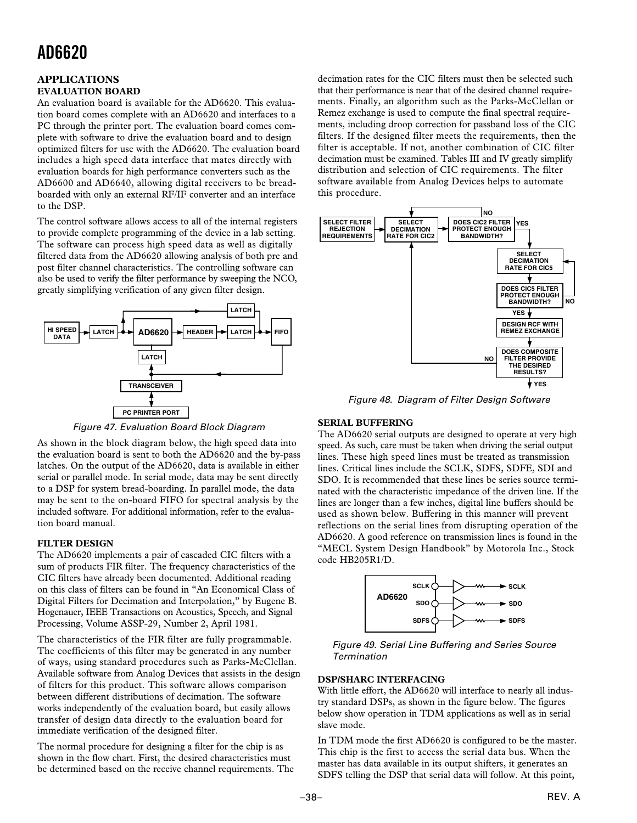### **APPLICATIONS EVALUATION BOARD**

An evaluation board is available for the AD6620. This evaluation board comes complete with an AD6620 and interfaces to a PC through the printer port. The evaluation board comes complete with software to drive the evaluation board and to design optimized filters for use with the AD6620. The evaluation board includes a high speed data interface that mates directly with evaluation boards for high performance converters such as the AD6600 and AD6640, allowing digital receivers to be breadboarded with only an external RF/IF converter and an interface to the DSP.

The control software allows access to all of the internal registers to provide complete programming of the device in a lab setting. The software can process high speed data as well as digitally filtered data from the AD6620 allowing analysis of both pre and post filter channel characteristics. The controlling software can also be used to verify the filter performance by sweeping the NCO, greatly simplifying verification of any given filter design.





As shown in the block diagram below, the high speed data into the evaluation board is sent to both the AD6620 and the by-pass latches. On the output of the AD6620, data is available in either serial or parallel mode. In serial mode, data may be sent directly to a DSP for system bread-boarding. In parallel mode, the data may be sent to the on-board FIFO for spectral analysis by the included software. For additional information, refer to the evaluation board manual.

## **FILTER DESIGN**

The AD6620 implements a pair of cascaded CIC filters with a sum of products FIR filter. The frequency characteristics of the CIC filters have already been documented. Additional reading on this class of filters can be found in "An Economical Class of Digital Filters for Decimation and Interpolation," by Eugene B. Hogenauer, IEEE Transactions on Acoustics, Speech, and Signal Processing, Volume ASSP-29, Number 2, April 1981.

The characteristics of the FIR filter are fully programmable. The coefficients of this filter may be generated in any number of ways, using standard procedures such as Parks-McClellan. Available software from Analog Devices that assists in the design of filters for this product. This software allows comparison between different distributions of decimation. The software works independently of the evaluation board, but easily allows transfer of design data directly to the evaluation board for immediate verification of the designed filter.

The normal procedure for designing a filter for the chip is as shown in the flow chart. First, the desired characteristics must be determined based on the receive channel requirements. The

decimation rates for the CIC filters must then be selected such that their performance is near that of the desired channel requirements. Finally, an algorithm such as the Parks-McClellan or Remez exchange is used to compute the final spectral requirements, including droop correction for passband loss of the CIC filters. If the designed filter meets the requirements, then the filter is acceptable. If not, another combination of CIC filter decimation must be examined. Tables III and IV greatly simplify distribution and selection of CIC requirements. The filter software available from Analog Devices helps to automate this procedure.



Figure 48. Diagram of Filter Design Software

### **SERIAL BUFFERING**

The AD6620 serial outputs are designed to operate at very high speed. As such, care must be taken when driving the serial output lines. These high speed lines must be treated as transmission lines. Critical lines include the SCLK, SDFS, SDFE, SDI and SDO. It is recommended that these lines be series source terminated with the characteristic impedance of the driven line. If the lines are longer than a few inches, digital line buffers should be used as shown below. Buffering in this manner will prevent reflections on the serial lines from disrupting operation of the AD6620. A good reference on transmission lines is found in the "MECL System Design Handbook" by Motorola Inc., Stock code HB205R1/D.



Figure 49. Serial Line Buffering and Series Source Termination

### **DSP/SHARC INTERFACING**

With little effort, the AD6620 will interface to nearly all industry standard DSPs, as shown in the figure below. The figures below show operation in TDM applications as well as in serial slave mode.

In TDM mode the first AD6620 is configured to be the master. This chip is the first to access the serial data bus. When the master has data available in its output shifters, it generates an SDFS telling the DSP that serial data will follow. At this point,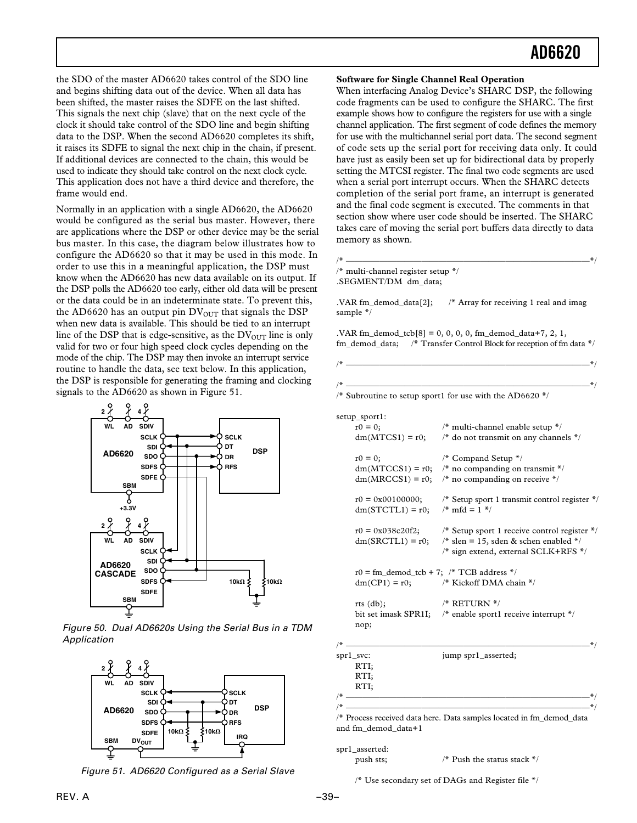the SDO of the master AD6620 takes control of the SDO line and begins shifting data out of the device. When all data has been shifted, the master raises the SDFE on the last shifted. This signals the next chip (slave) that on the next cycle of the clock it should take control of the SDO line and begin shifting data to the DSP. When the second AD6620 completes its shift, it raises its SDFE to signal the next chip in the chain, if present. If additional devices are connected to the chain, this would be used to indicate they should take control on the next clock cycle. This application does not have a third device and therefore, the frame would end.

Normally in an application with a single AD6620, the AD6620 would be configured as the serial bus master. However, there are applications where the DSP or other device may be the serial bus master. In this case, the diagram below illustrates how to configure the AD6620 so that it may be used in this mode. In order to use this in a meaningful application, the DSP must know when the AD6620 has new data available on its output. If the DSP polls the AD6620 too early, either old data will be present or the data could be in an indeterminate state. To prevent this, the AD6620 has an output pin  $DV<sub>OUT</sub>$  that signals the DSP when new data is available. This should be tied to an interrupt line of the DSP that is edge-sensitive, as the  $DV_{OUT}$  line is only valid for two or four high speed clock cycles depending on the mode of the chip. The DSP may then invoke an interrupt service routine to handle the data, see text below. In this application, the DSP is responsible for generating the framing and clocking signals to the AD6620 as shown in Figure 51.



Figure 50. Dual AD6620s Using the Serial Bus in a TDM Application



Figure 51. AD6620 Configured as a Serial Slave

#### **Software for Single Channel Real Operation**

When interfacing Analog Device's SHARC DSP, the following code fragments can be used to configure the SHARC. The first example shows how to configure the registers for use with a single channel application. The first segment of code defines the memory for use with the multichannel serial port data. The second segment of code sets up the serial port for receiving data only. It could have just as easily been set up for bidirectional data by properly setting the MTCSI register. The final two code segments are used when a serial port interrupt occurs. When the SHARC detects completion of the serial port frame, an interrupt is generated and the final code segment is executed. The comments in that section show where user code should be inserted. The SHARC takes care of moving the serial port buffers data directly to data memory as shown.

/\* —————————————————————————————\*/ /\* multi-channel register setup \*/ .SEGMENT/DM dm\_data;

.VAR fm\_demod\_data[2]; /\* Array for receiving 1 real and imag sample \*/

 $. VAR$  fm\_demod\_tcb $[8] = 0, 0, 0, 0,$  fm\_demod\_data+7, 2, 1, fm\_demod\_data; /\* Transfer Control Block for reception of fm data \*/

/\* Subroutine to setup sport1 for use with the AD6620  $*/$ 

| setup_sport1:                                 |                                                                                                                                                                       |
|-----------------------------------------------|-----------------------------------------------------------------------------------------------------------------------------------------------------------------------|
| $r0 = 0$ ;                                    | $/*$ multi-channel enable setup $*/$                                                                                                                                  |
| $dm(MTCS1) = r0;$                             | $/*$ do not transmit on any channels $*/$                                                                                                                             |
| $r0 = 0;$                                     | $\frac{4}{3}$ Compand Setup $\frac{4}{3}$                                                                                                                             |
|                                               | $dm(MTCCS1) = r0$ ; /* no companding on transmit */                                                                                                                   |
|                                               | $dm(MRCCS1) = r0$ ; /* no companding on receive */                                                                                                                    |
| $dm(STCTL1) = r0;$ /* mfd = 1 */              | $r0 = 0x00100000$ ;<br>/* Setup sport 1 transmit control register */                                                                                                  |
|                                               | $r0 = 0x038c20f2$ ; /* Setup sport 1 receive control register */<br>$dm(SRCTL1) = r0$ ; /* slen = 15, sden & schen enabled */<br>/* sign extend, external SCLK+RFS */ |
| $r0 = fm_{demod_tcb} + 7$ ; /* TCB address */ |                                                                                                                                                                       |
|                                               | $dm(CP1) = r0;$ /* Kickoff DMA chain */                                                                                                                               |
| rts $(db);$                                   | $/*$ RETURN $*/$                                                                                                                                                      |
|                                               | bit set imask SPR1I; /* enable sport1 receive interrupt */                                                                                                            |
| nop;                                          |                                                                                                                                                                       |
|                                               | $*$                                                                                                                                                                   |
| spr1_svc:                                     | jump spr1_asserted;                                                                                                                                                   |
| RTI                                           |                                                                                                                                                                       |
| RTI;                                          |                                                                                                                                                                       |
| RTI:                                          |                                                                                                                                                                       |

/\* —————————————————————————————\*/ /\* —————————————————————————————\*/ /\* Process received data here. Data samples located in fm\_demod\_data and fm\_demod\_data+1

spr1\_asserted:

push sts;  $\frac{1}{2}$  Push the status stack \*/

/\* Use secondary set of DAGs and Register file \*/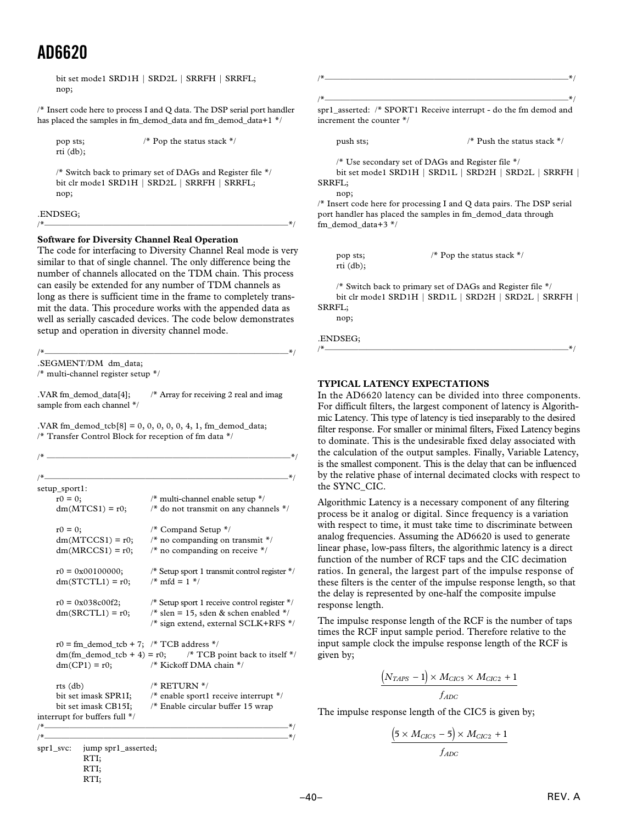bit set mode1 SRD1H | SRD2L | SRRFH | SRRFL; nop;

/\* Insert code here to process I and Q data. The DSP serial port handler has placed the samples in fm\_demod\_data and fm\_demod\_data+1 \*/

pop sts;  $\frac{1}{2}$  Pop the status stack  $\frac{*}{2}$ rti (db);

/\* Switch back to primary set of DAGs and Register file \*/ bit clr mode1 SRD1H | SRD2L | SRRFH | SRRFL; nop;

/\*—————————————————————————————\*/

.ENDSEG;

#### **Software for Diversity Channel Real Operation**

The code for interfacing to Diversity Channel Real mode is very similar to that of single channel. The only difference being the number of channels allocated on the TDM chain. This process can easily be extended for any number of TDM channels as long as there is sufficient time in the frame to completely transmit the data. This procedure works with the appended data as well as serially cascaded devices. The code below demonstrates setup and operation in diversity channel mode.

/\*—————————————————————————————\*/

.SEGMENT/DM dm\_data;

/\* multi-channel register setup \*/

RTI;

.VAR fm\_demod\_data[4]; /\* Array for receiving 2 real and imag sample from each channel \*/

.VAR fm\_demod\_tcb[8] =  $0, 0, 0, 0, 0, 4, 1$ , fm\_demod\_data; /\* Transfer Control Block for reception of fm data \*/

| setup_sport1:                                 |                                                                    |
|-----------------------------------------------|--------------------------------------------------------------------|
| $r0 = 0;$                                     | /* multi-channel enable setup */                                   |
| $dm(MTCS1) = r0;$                             | $/*$ do not transmit on any channels $*$ /                         |
| $r0 = 0;$                                     | $/*$ Compand Setup $*/$                                            |
| $dm(MTCCS1) = r0;$                            | $/\ast$ no companding on transmit $\ast/$                          |
| $dm(MRCCS1) = r0;$                            | $/*$ no companding on receive */                                   |
| $r0 = 0x00100000;$                            | $/*$ Setup sport 1 transmit control register $*/$                  |
| $dm(STCTL1) = r0;$                            | $/* \text{mfd} = 1 */$                                             |
| $r0 = 0x038c00f2;$                            | $\frac{4}{3}$ Setup sport 1 receive control register $\frac{4}{3}$ |
| $dm(SRCTL1) = r0;$                            | $*$ slen = 15, sden & schen enabled $*$ /                          |
|                                               | /* sign extend, external SCLK+RFS */                               |
| $r0 = fm_{demod_tcb} + 7$ ; /* TCB address */ |                                                                    |
|                                               | $dm(fm_demod_tcb + 4) = r0$ ; /* TCB point back to itself */       |
|                                               | $dm(CP1) = r0$ ; /* Kickoff DMA chain */                           |
| rts $(db)$                                    | $/*$ RETURN $*/$                                                   |
|                                               | bit set imask SPR1I; /* enable sport1 receive interrupt */         |
|                                               | bit set imask CB15I; /* Enable circular buffer 15 wrap             |
| interrupt for buffers full */                 |                                                                    |
|                                               |                                                                    |
|                                               | _*/                                                                |
| $spr1$ svc:<br>jump spr1_asserted;            |                                                                    |
| RTI;                                          |                                                                    |
| RTI:                                          |                                                                    |

```
/*—————————————————————————————*/
/*—————————————————————————————*/
spr1_asserted: /* SPORT1 Receive interrupt - do the fm demod and
increment the counter */
    push sts; \frac{1}{2} push the status stack \frac{1}{2} /* Push the status stack \frac{1}{2}/* Use secondary set of DAGs and Register file */
    bit set mode1 SRD1H | SRD1L | SRD2H | SRD2L | SRRFH |
SRRFL;
    nop;
/* Insert code here for processing I and Q data pairs. The DSP serial
```
port handler has placed the samples in fm\_demod\_data through fm\_demod\_data+3 \*/

rti (db);

pop sts; /\* Pop the status stack \*/

/\* Switch back to primary set of DAGs and Register file \*/ bit clr mode1 SRD1H | SRD1L | SRD2H | SRD2L | SRRFH | SRRFL;

/\*—————————————————————————————\*/

nop;

#### .ENDSEG;

## **TYPICAL LATENCY EXPECTATIONS**

In the AD6620 latency can be divided into three components. For difficult filters, the largest component of latency is Algorithmic Latency. This type of latency is tied inseparably to the desired filter response. For smaller or minimal filters, Fixed Latency begins to dominate. This is the undesirable fixed delay associated with the calculation of the output samples. Finally, Variable Latency, is the smallest component. This is the delay that can be influenced by the relative phase of internal decimated clocks with respect to the SYNC\_CIC.

Algorithmic Latency is a necessary component of any filtering process be it analog or digital. Since frequency is a variation with respect to time, it must take time to discriminate between analog frequencies. Assuming the AD6620 is used to generate linear phase, low-pass filters, the algorithmic latency is a direct function of the number of RCF taps and the CIC decimation ratios. In general, the largest part of the impulse response of these filters is the center of the impulse response length, so that the delay is represented by one-half the composite impulse response length.

The impulse response length of the RCF is the number of taps times the RCF input sample period. Therefore relative to the input sample clock the impulse response length of the RCF is given by;

$$
\frac{(N_{TAPS} - 1) \times M_{CIC5} \times M_{CIC2} + 1}{f_{ADC}}
$$

The impulse response length of the CIC5 is given by;

$$
\frac{(5 \times M_{CIC5} - 5) \times M_{CIC2} + 1}{f_{ADC}}
$$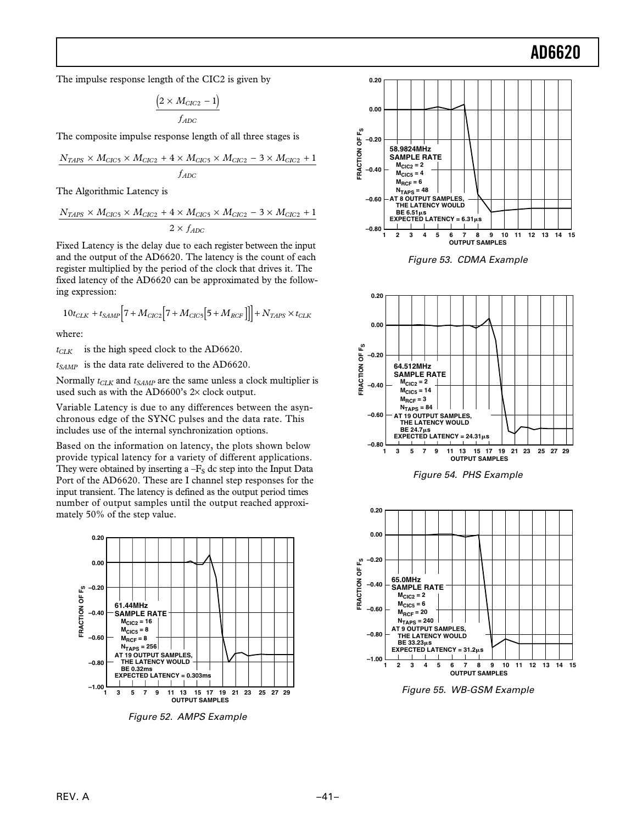The impulse response length of the CIC2 is given by

$$
\frac{\left(2 \times M_{ClC2} - 1\right)}{f_{ADC}}
$$

The composite impulse response length of all three stages is

$$
\frac{N_{TAPS} \times M_{CIC5} \times M_{CIC2} + 4 \times M_{CIC5} \times M_{CIC2} - 3 \times M_{CIC2} + 1}{f_{ADC}}
$$

The Algorithmic Latency is

$$
\frac{N_{TAPS} \times M_{CIC5} \times M_{CIC2} + 4 \times M_{CIC5} \times M_{CIC2} - 3 \times M_{CIC2} + 1}{2 \times f_{ADC}}
$$

Fixed Latency is the delay due to each register between the input and the output of the AD6620. The latency is the count of each register multiplied by the period of the clock that drives it. The fixed latency of the AD6620 can be approximated by the following expression:

$$
10t_{CLK}+t_{SAMP}\Big[7+M_{CIC2}\Big[7+M_{CIC5}\Big[5+M_{RCF}\Big]\Big]\Big]+N_{TAPS}\times t_{CLK}
$$

where:

 $t_{CLK}$  is the high speed clock to the AD6620.

*t<sub>SAMP</sub>* is the data rate delivered to the AD6620.

Normally  $t_{CLK}$  and  $t_{SAMP}$  are the same unless a clock multiplier is used such as with the AD6600's  $2\times$  clock output.

Variable Latency is due to any differences between the asynchronous edge of the SYNC pulses and the data rate. This includes use of the internal synchronization options.

Based on the information on latency, the plots shown below provide typical latency for a variety of different applications. They were obtained by inserting a  $-F<sub>S</sub>$  dc step into the Input Data Port of the AD6620. These are I channel step responses for the input transient. The latency is defined as the output period times number of output samples until the output reached approximately 50% of the step value.



Figure 52. AMPS Example



Figure 53. CDMA Example







Figure 55. WB-GSM Example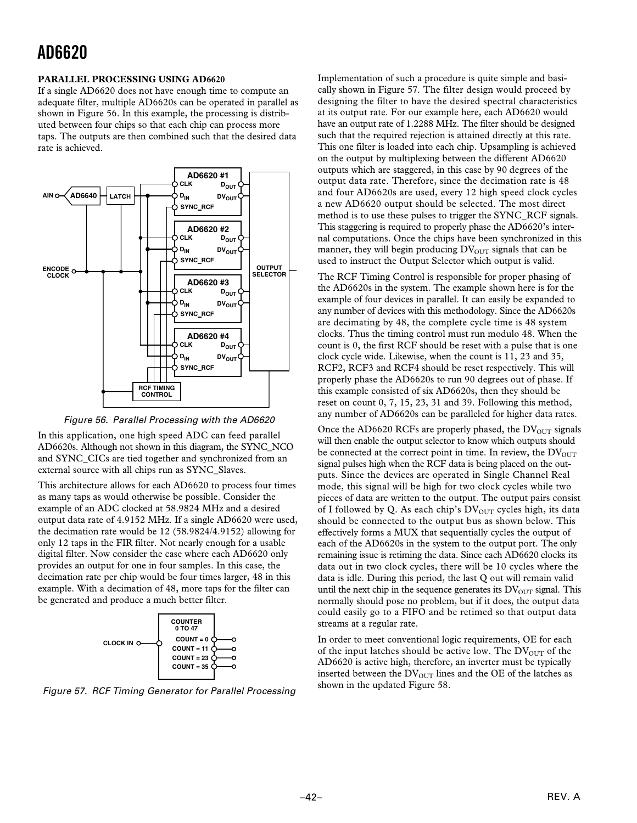#### **PARALLEL PROCESSING USING AD6620**

If a single AD6620 does not have enough time to compute an adequate filter, multiple AD6620s can be operated in parallel as shown in Figure 56. In this example, the processing is distributed between four chips so that each chip can process more taps. The outputs are then combined such that the desired data rate is achieved.



Figure 56. Parallel Processing with the AD6620

In this application, one high speed ADC can feed parallel AD6620s. Although not shown in this diagram, the SYNC\_NCO and SYNC\_CICs are tied together and synchronized from an external source with all chips run as SYNC\_Slaves.

This architecture allows for each AD6620 to process four times as many taps as would otherwise be possible. Consider the example of an ADC clocked at 58.9824 MHz and a desired output data rate of 4.9152 MHz. If a single AD6620 were used, the decimation rate would be 12 (58.9824/4.9152) allowing for only 12 taps in the FIR filter. Not nearly enough for a usable digital filter. Now consider the case where each AD6620 only provides an output for one in four samples. In this case, the decimation rate per chip would be four times larger, 48 in this example. With a decimation of 48, more taps for the filter can be generated and produce a much better filter.



Figure 57. RCF Timing Generator for Parallel Processing

Implementation of such a procedure is quite simple and basically shown in Figure 57. The filter design would proceed by designing the filter to have the desired spectral characteristics at its output rate. For our example here, each AD6620 would have an output rate of 1.2288 MHz. The filter should be designed such that the required rejection is attained directly at this rate. This one filter is loaded into each chip. Upsampling is achieved on the output by multiplexing between the different AD6620 outputs which are staggered, in this case by 90 degrees of the output data rate. Therefore, since the decimation rate is 48 and four AD6620s are used, every 12 high speed clock cycles a new AD6620 output should be selected. The most direct method is to use these pulses to trigger the SYNC\_RCF signals. This staggering is required to properly phase the AD6620's internal computations. Once the chips have been synchronized in this manner, they will begin producing  $DV<sub>OUT</sub>$  signals that can be used to instruct the Output Selector which output is valid.

The RCF Timing Control is responsible for proper phasing of the AD6620s in the system. The example shown here is for the example of four devices in parallel. It can easily be expanded to any number of devices with this methodology. Since the AD6620s are decimating by 48, the complete cycle time is 48 system clocks. Thus the timing control must run modulo 48. When the count is 0, the first RCF should be reset with a pulse that is one clock cycle wide. Likewise, when the count is 11, 23 and 35, RCF2, RCF3 and RCF4 should be reset respectively. This will properly phase the AD6620s to run 90 degrees out of phase. If this example consisted of six AD6620s, then they should be reset on count 0, 7, 15, 23, 31 and 39. Following this method, any number of AD6620s can be paralleled for higher data rates.

Once the AD6620 RCFs are properly phased, the  $DV_{\text{OUT}}$  signals will then enable the output selector to know which outputs should be connected at the correct point in time. In review, the  $DV_{\text{OUT}}$ signal pulses high when the RCF data is being placed on the outputs. Since the devices are operated in Single Channel Real mode, this signal will be high for two clock cycles while two pieces of data are written to the output. The output pairs consist of I followed by Q. As each chip's  $DV<sub>OUT</sub>$  cycles high, its data should be connected to the output bus as shown below. This effectively forms a MUX that sequentially cycles the output of each of the AD6620s in the system to the output port. The only remaining issue is retiming the data. Since each AD6620 clocks its data out in two clock cycles, there will be 10 cycles where the data is idle. During this period, the last Q out will remain valid until the next chip in the sequence generates its  $DV<sub>OUT</sub>$  signal. This normally should pose no problem, but if it does, the output data could easily go to a FIFO and be retimed so that output data streams at a regular rate.

In order to meet conventional logic requirements, OE for each of the input latches should be active low. The  $DV_{OUT}$  of the AD6620 is active high, therefore, an inverter must be typically inserted between the  $DV<sub>OUT</sub>$  lines and the OE of the latches as shown in the updated Figure 58.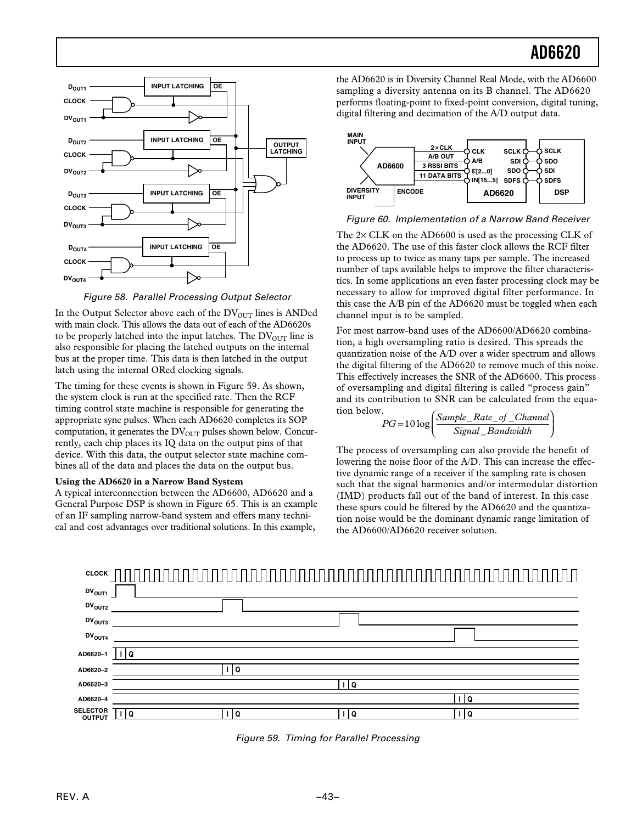

Figure 58. Parallel Processing Output Selector

In the Output Selector above each of the  $DV<sub>OUT</sub>$  lines is ANDed with main clock. This allows the data out of each of the AD6620s to be properly latched into the input latches. The  $DV<sub>OUT</sub>$  line is also responsible for placing the latched outputs on the internal bus at the proper time. This data is then latched in the output latch using the internal ORed clocking signals.

The timing for these events is shown in Figure 59. As shown, the system clock is run at the specified rate. Then the RCF timing control state machine is responsible for generating the appropriate sync pulses. When each AD6620 completes its SOP computation, it generates the  $DV<sub>OUT</sub>$  pulses shown below. Concurrently, each chip places its IQ data on the output pins of that device. With this data, the output selector state machine combines all of the data and places the data on the output bus.

#### **Using the AD6620 in a Narrow Band System**

A typical interconnection between the AD6600, AD6620 and a General Purpose DSP is shown in Figure 65. This is an example of an IF sampling narrow-band system and offers many technical and cost advantages over traditional solutions. In this example,

the AD6620 is in Diversity Channel Real Mode, with the AD6600 sampling a diversity antenna on its B channel. The AD6620 performs floating-point to fixed-point conversion, digital tuning, digital filtering and decimation of the A/D output data.



#### Figure 60. Implementation of a Narrow Band Receiver

The  $2 \times$  CLK on the AD6600 is used as the processing CLK of the AD6620. The use of this faster clock allows the RCF filter to process up to twice as many taps per sample. The increased number of taps available helps to improve the filter characteristics. In some applications an even faster processing clock may be necessary to allow for improved digital filter performance. In this case the A/B pin of the AD6620 must be toggled when each channel input is to be sampled.

For most narrow-band uses of the AD6600/AD6620 combination, a high oversampling ratio is desired. This spreads the quantization noise of the A/D over a wider spectrum and allows the digital filtering of the AD6620 to remove much of this noise. This effectively increases the SNR of the AD6600. This process of oversampling and digital filtering is called "process gain" and its contribution to SNR can be calculated from the equation below.

$$
PG = 10 \log \left( \frac{Sample\_Rate\_of\_Channel}{Signal\_Bandwidth} \right)
$$

The process of oversampling can also provide the benefit of lowering the noise floor of the A/D. This can increase the effective dynamic range of a receiver if the sampling rate is chosen such that the signal harmonics and/or intermodular distortion (IMD) products fall out of the band of interest. In this case these spurs could be filtered by the AD6620 and the quantization noise would be the dominant dynamic range limitation of the AD6600/AD6620 receiver solution.



Figure 59. Timing for Parallel Processing